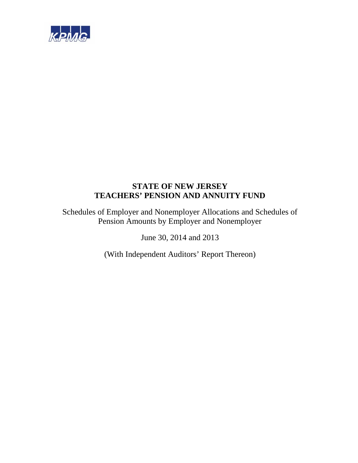

Schedules of Employer and Nonemployer Allocations and Schedules of Pension Amounts by Employer and Nonemployer

June 30, 2014 and 2013

(With Independent Auditors' Report Thereon)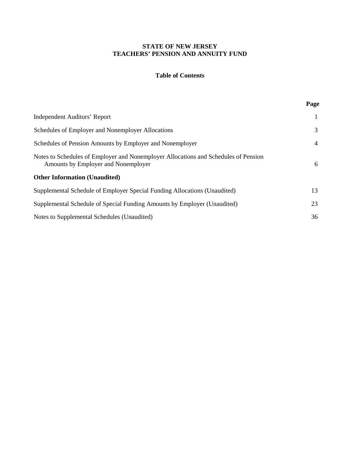# **Table of Contents**

**Page**

| <b>Independent Auditors' Report</b>                                                                                        | 1  |
|----------------------------------------------------------------------------------------------------------------------------|----|
| Schedules of Employer and Nonemployer Allocations                                                                          | 3  |
| Schedules of Pension Amounts by Employer and Nonemployer                                                                   | 4  |
| Notes to Schedules of Employer and Nonemployer Allocations and Schedules of Pension<br>Amounts by Employer and Nonemployer | 6  |
| <b>Other Information (Unaudited)</b>                                                                                       |    |
| Supplemental Schedule of Employer Special Funding Allocations (Unaudited)                                                  | 13 |
| Supplemental Schedule of Special Funding Amounts by Employer (Unaudited)                                                   | 23 |
| Notes to Supplemental Schedules (Unaudited)                                                                                | 36 |
|                                                                                                                            |    |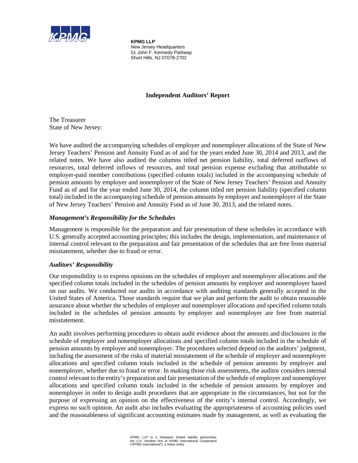

**KPMG LLP** New Jersey Headquarters 51 John F. Kennedy Parkway Short Hills, NJ 07078-2702

# **Independent Auditors' Report**

The Treasurer State of New Jersey:

We have audited the accompanying schedules of employer and nonemployer allocations of the State of New Jersey Teachers' Pension and Annuity Fund as of and for the years ended June 30, 2014 and 2013, and the related notes. We have also audited the columns titled net pension liability, total deferred outflows of resources, total deferred inflows of resources, and total pension expense excluding that attributable to employer-paid member contributions (specified column totals) included in the accompanying schedule of pension amounts by employer and nonemployer of the State of New Jersey Teachers' Pension and Annuity Fund as of and for the year ended June 30, 2014, the column titled net pension liability (specified column total) included in the accompanying schedule of pension amounts by employer and nonemployer of the State of New Jersey Teachers' Pension and Annuity Fund as of June 30, 2013, and the related notes.

# *Management's Responsibility for the Schedules*

Management is responsible for the preparation and fair presentation of these schedules in accordance with U.S. generally accepted accounting principles; this includes the design, implementation, and maintenance of internal control relevant to the preparation and fair presentation of the schedules that are free from material misstatement, whether due to fraud or error.

# *Auditors' Responsibility*

Our responsibility is to express opinions on the schedules of employer and nonemployer allocations and the specified column totals included in the schedules of pension amounts by employer and nonemployer based on our audits. We conducted our audits in accordance with auditing standards generally accepted in the United States of America. Those standards require that we plan and perform the audit to obtain reasonable assurance about whether the schedules of employer and nonemployer allocations and specified column totals included in the schedules of pension amounts by employer and nonemployer are free from material misstatement.

An audit involves performing procedures to obtain audit evidence about the amounts and disclosures in the schedule of employer and nonemployer allocations and specified column totals included in the schedule of pension amounts by employer and nonemployer. The procedures selected depend on the auditors' judgment, including the assessment of the risks of material misstatement of the schedule of employer and nonemployer allocations and specified column totals included in the schedule of pension amounts by employer and nonemployer, whether due to fraud or error. In making those risk assessments, the auditor considers internal control relevant to the entity's preparation and fair presentation of the schedule of employer and nonemployer allocations and specified column totals included in the schedule of pension amounts by employer and nonemployer in order to design audit procedures that are appropriate in the circumstances, but not for the purpose of expressing an opinion on the effectiveness of the entity's internal control. Accordingly, we express no such opinion. An audit also includes evaluating the appropriateness of accounting policies used and the reasonableness of significant accounting estimates made by management, as well as evaluating the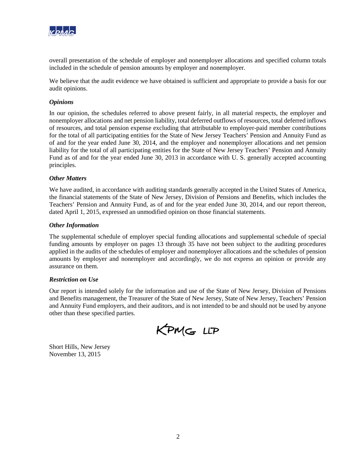

overall presentation of the schedule of employer and nonemployer allocations and specified column totals included in the schedule of pension amounts by employer and nonemployer.

We believe that the audit evidence we have obtained is sufficient and appropriate to provide a basis for our audit opinions.

## *Opinions*

In our opinion, the schedules referred to above present fairly, in all material respects, the employer and nonemployer allocations and net pension liability, total deferred outflows of resources, total deferred inflows of resources, and total pension expense excluding that attributable to employer-paid member contributions for the total of all participating entities for the State of New Jersey Teachers' Pension and Annuity Fund as of and for the year ended June 30, 2014, and the employer and nonemployer allocations and net pension liability for the total of all participating entities for the State of New Jersey Teachers' Pension and Annuity Fund as of and for the year ended June 30, 2013 in accordance with U. S. generally accepted accounting principles.

### *Other Matters*

We have audited, in accordance with auditing standards generally accepted in the United States of America, the financial statements of the State of New Jersey, Division of Pensions and Benefits, which includes the Teachers' Pension and Annuity Fund, as of and for the year ended June 30, 2014, and our report thereon, dated April 1, 2015, expressed an unmodified opinion on those financial statements.

### *Other Information*

The supplemental schedule of employer special funding allocations and supplemental schedule of special funding amounts by employer on pages 13 through 35 have not been subject to the auditing procedures applied in the audits of the schedules of employer and nonemployer allocations and the schedules of pension amounts by employer and nonemployer and accordingly, we do not express an opinion or provide any assurance on them.

### *Restriction on Use*

Our report is intended solely for the information and use of the State of New Jersey, Division of Pensions and Benefits management, the Treasurer of the State of New Jersey, State of New Jersey, Teachers' Pension and Annuity Fund employers, and their auditors, and is not intended to be and should not be used by anyone other than these specified parties.

KPMG LLP

Short Hills, New Jersey November 13, 2015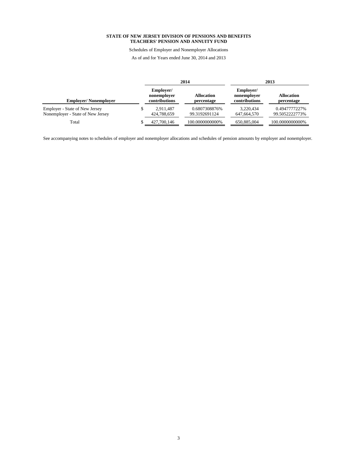Schedules of Employer and Nonemployer Allocations

As of and for Years ended June 30, 2014 and 2013

|                                                                     |                                           | 2014                            | 2013                                      |                                 |  |
|---------------------------------------------------------------------|-------------------------------------------|---------------------------------|-------------------------------------------|---------------------------------|--|
| <b>Employer/Nonemployer</b>                                         | Employer/<br>nonemployer<br>contributions | <b>Allocation</b><br>percentage | Employer/<br>nonemployer<br>contributions | <b>Allocation</b><br>percentage |  |
| Employer - State of New Jersey<br>Nonemployer - State of New Jersey | 2.911.487<br>424,788,659                  | 0.6807308876%<br>99.3192691124  | 3.220.434<br>647,664,570                  | 0.4947777227%<br>99.5052222773% |  |
| Total                                                               | 427,700,146                               | 100.0000000000%                 | 650.885,004                               | 100.0000000000%                 |  |

See accompanying notes to schedules of employer and nonemployer allocations and schedules of pension amounts by employer and nonemployer.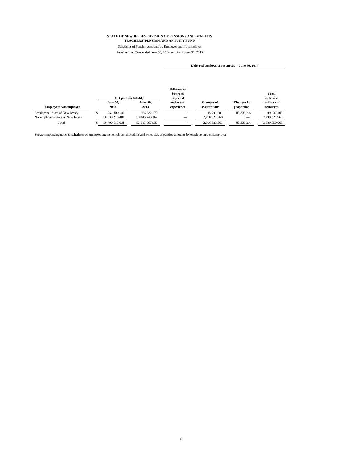Schedules of Pension Amounts by Employer and Nonemployer As of and for Year ended June 30, 2014 and As of June 30, 2013

 $\overline{\phantom{a}}$ 

#### **Deferred outflows of resources – June 30, 2014**

|                                                                      |                               | <b>Net pension liability</b>    | <b>Differences</b><br>between<br>expected |                                  |                                 | <b>Total</b><br>deferred    |
|----------------------------------------------------------------------|-------------------------------|---------------------------------|-------------------------------------------|----------------------------------|---------------------------------|-----------------------------|
| <b>Employer/Nonemployer</b>                                          | <b>June 30,</b><br>2013       | <b>June 30.</b><br>2014         | and actual<br>experience                  | <b>Changes of</b><br>assumptions | <b>Changes</b> in<br>proportion | outflows of<br>resources    |
| Employers - State of New Jersey<br>Nonemployer - State of New Jersey | 251.300.147<br>50.539.213.484 | 366, 322, 172<br>53,446,745,367 |                                           | 15,701,901<br>2.290.921.960      | 83,335,207                      | 99.037.108<br>2.290.921.960 |
| Total                                                                | 50.790.513.631                | 53,813,067,539                  |                                           | 2.306.623.861                    | 83,335,207                      | 2.389.959.068               |

See accompanying notes to schedules of employer and nonemployer allocations and schedules of pension amounts by employer and nonemployer.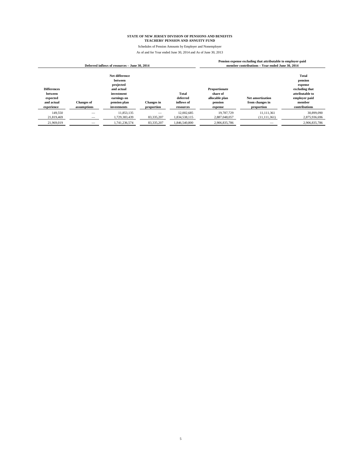Schedules of Pension Amounts by Employer and Nonemployer

| Deferred inflows of resources – June 30, 2014                         |                                  |                                                                                                                  |                                 |                                              |                                                                   | Pension expense excluding that attributable to employer-paid<br>member contributions - Year ended June 30, 2014 |                                                                                                                     |
|-----------------------------------------------------------------------|----------------------------------|------------------------------------------------------------------------------------------------------------------|---------------------------------|----------------------------------------------|-------------------------------------------------------------------|-----------------------------------------------------------------------------------------------------------------|---------------------------------------------------------------------------------------------------------------------|
| <b>Differences</b><br>between<br>expected<br>and actual<br>experience | <b>Changes</b> of<br>assumptions | Net difference<br>between<br>projected<br>and actual<br>investment<br>earnings on<br>pension plan<br>investments | <b>Changes</b> in<br>proportion | Total<br>deferred<br>inflows of<br>resources | Proportionate<br>share of<br>allocable plan<br>pension<br>expense | Net amortization<br>from changes in<br>proportion                                                               | <b>Total</b><br>pension<br>expense<br>excluding that<br>attributable to<br>employer paid<br>member<br>contributions |
| 149.550<br>21.819.469                                                 |                                  | 11.853.135<br>1,729,383,439                                                                                      | 83,335,207                      | 12.002.685<br>1,834,538,115                  | 19,787,729<br>2.887.048.057                                       | 11.111.361<br>(11, 111, 361)                                                                                    | 30,899,090<br>2,875,936,696                                                                                         |
| 21,969,019                                                            |                                  | 1,741,236,574                                                                                                    | 83,335,207                      | 1,846,540,800                                | 2,906,835,786                                                     |                                                                                                                 | 2,906,835,786                                                                                                       |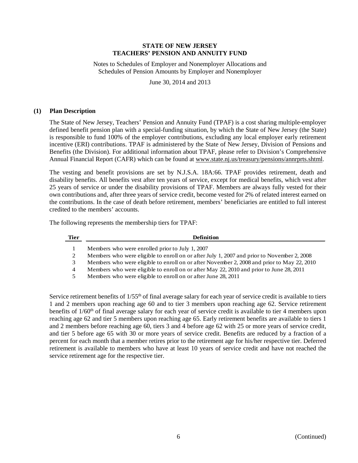Notes to Schedules of Employer and Nonemployer Allocations and Schedules of Pension Amounts by Employer and Nonemployer

June 30, 2014 and 2013

### **(1) Plan Description**

The State of New Jersey, Teachers' Pension and Annuity Fund (TPAF) is a cost sharing multiple-employer defined benefit pension plan with a special-funding situation, by which the State of New Jersey (the State) is responsible to fund 100% of the employer contributions, excluding any local employer early retirement incentive (ERI) contributions. TPAF is administered by the State of New Jersey, Division of Pensions and Benefits (the Division). For additional information about TPAF, please refer to Division's Comprehensive Annual Financial Report (CAFR) which can be found at www.state.nj.us/treasury/pensions/annrprts.shtml.

The vesting and benefit provisions are set by N.J.S.A. 18A:66. TPAF provides retirement, death and disability benefits. All benefits vest after ten years of service, except for medical benefits, which vest after 25 years of service or under the disability provisions of TPAF. Members are always fully vested for their own contributions and, after three years of service credit, become vested for 2% of related interest earned on the contributions. In the case of death before retirement, members' beneficiaries are entitled to full interest credited to the members' accounts.

The following represents the membership tiers for TPAF:

| <b>Tier</b> | <b>Definition</b>                                                                          |
|-------------|--------------------------------------------------------------------------------------------|
|             | Members who were enrolled prior to July 1, 2007                                            |
|             | Members who were eligible to enroll on or after July 1, 2007 and prior to November 2, 2008 |
| 3           | Members who were eligible to enroll on or after November 2, 2008 and prior to May 22, 2010 |
| 4           | Members who were eligible to enroll on or after May 22, 2010 and prior to June 28, 2011    |
|             | Members who were eligible to enroll on or after June 28, 2011                              |

Service retirement benefits of 1/55<sup>th</sup> of final average salary for each year of service credit is available to tiers 1 and 2 members upon reaching age 60 and to tier 3 members upon reaching age 62. Service retirement benefits of  $1/60<sup>th</sup>$  of final average salary for each year of service credit is available to tier 4 members upon reaching age 62 and tier 5 members upon reaching age 65. Early retirement benefits are available to tiers 1 and 2 members before reaching age 60, tiers 3 and 4 before age 62 with 25 or more years of service credit, and tier 5 before age 65 with 30 or more years of service credit. Benefits are reduced by a fraction of a percent for each month that a member retires prior to the retirement age for his/her respective tier. Deferred retirement is available to members who have at least 10 years of service credit and have not reached the service retirement age for the respective tier.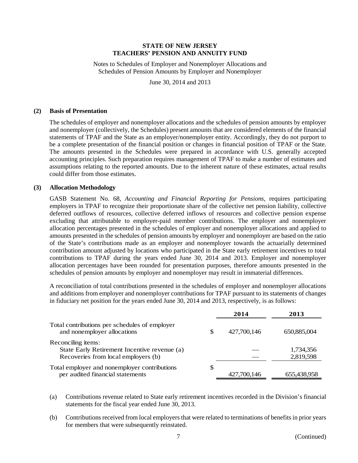Notes to Schedules of Employer and Nonemployer Allocations and Schedules of Pension Amounts by Employer and Nonemployer

June 30, 2014 and 2013

#### **(2) Basis of Presentation**

The schedules of employer and nonemployer allocations and the schedules of pension amounts by employer and nonemployer (collectively, the Schedules) present amounts that are considered elements of the financial statements of TPAF and the State as an employer/nonemployer entity. Accordingly, they do not purport to be a complete presentation of the financial position or changes in financial position of TPAF or the State. The amounts presented in the Schedules were prepared in accordance with U.S. generally accepted accounting principles. Such preparation requires management of TPAF to make a number of estimates and assumptions relating to the reported amounts. Due to the inherent nature of these estimates, actual results could differ from those estimates.

#### **(3) Allocation Methodology**

GASB Statement No. 68, *Accounting and Financial Reporting for Pensions*, requires participating employers in TPAF to recognize their proportionate share of the collective net pension liability, collective deferred outflows of resources, collective deferred inflows of resources and collective pension expense excluding that attributable to employer-paid member contributions. The employer and nonemployer allocation percentages presented in the schedules of employer and nonemployer allocations and applied to amounts presented in the schedules of pension amounts by employer and nonemployer are based on the ratio of the State's contributions made as an employer and nonemployer towards the actuarially determined contribution amount adjusted by locations who participated in the State early retirement incentives to total contributions to TPAF during the years ended June 30, 2014 and 2013. Employer and nonemployer allocation percentages have been rounded for presentation purposes, therefore amounts presented in the schedules of pension amounts by employer and nonemployer may result in immaterial differences.

A reconciliation of total contributions presented in the schedules of employer and nonemployer allocations and additions from employer and nonemployer contributions for TPAF pursuant to its statements of changes in fiduciary net position for the years ended June 30, 2014 and 2013, respectively, is as follows:

|                                                                              | 2014              | 2013        |
|------------------------------------------------------------------------------|-------------------|-------------|
| Total contributions per schedules of employer<br>and nonemployer allocations | \$<br>427,700,146 | 650,885,004 |
| Reconciling items:                                                           |                   |             |
| State Early Retirement Incentive revenue (a)                                 |                   | 1,734,356   |
| Recoveries from local employers (b)                                          |                   | 2,819,598   |
| Total employer and nonemployer contributions                                 | \$                |             |
| per audited financial statements                                             | 427,700,146       | 655,438,958 |

- (a) Contributions revenue related to State early retirement incentives recorded in the Division's financial statements for the fiscal year ended June 30, 2013.
- (b) Contributions received from local employers that were related to terminations of benefits in prior years for members that were subsequently reinstated.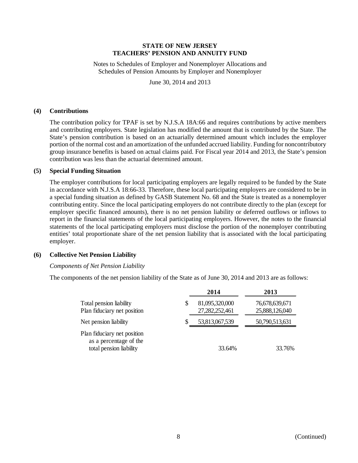Notes to Schedules of Employer and Nonemployer Allocations and Schedules of Pension Amounts by Employer and Nonemployer

June 30, 2014 and 2013

### **(4) Contributions**

The contribution policy for TPAF is set by N.J.S.A 18A:66 and requires contributions by active members and contributing employers. State legislation has modified the amount that is contributed by the State. The State's pension contribution is based on an actuarially determined amount which includes the employer portion of the normal cost and an amortization of the unfunded accrued liability. Funding for noncontributory group insurance benefits is based on actual claims paid. For Fiscal year 2014 and 2013, the State's pension contribution was less than the actuarial determined amount.

### **(5) Special Funding Situation**

The employer contributions for local participating employers are legally required to be funded by the State in accordance with N.J.S.A 18:66-33. Therefore, these local participating employers are considered to be in a special funding situation as defined by GASB Statement No. 68 and the State is treated as a nonemployer contributing entity. Since the local participating employers do not contribute directly to the plan (except for employer specific financed amounts), there is no net pension liability or deferred outflows or inflows to report in the financial statements of the local participating employers. However, the notes to the financial statements of the local participating employers must disclose the portion of the nonemployer contributing entities' total proportionate share of the net pension liability that is associated with the local participating employer.

### **(6) Collective Net Pension Liability**

### *Components of Net Pension Liability*

The components of the net pension liability of the State as of June 30, 2014 and 2013 are as follows:

|                                                                                  |   | 2014                             | 2013                             |
|----------------------------------------------------------------------------------|---|----------------------------------|----------------------------------|
| Total pension liability<br>Plan fiduciary net position                           | S | 81,095,320,000<br>27,282,252,461 | 76,678,639,671<br>25,888,126,040 |
| Net pension liability                                                            | S | 53,813,067,539                   | 50,790,513,631                   |
| Plan fiduciary net position<br>as a percentage of the<br>total pension liability |   | 33.64%                           | 33.76%                           |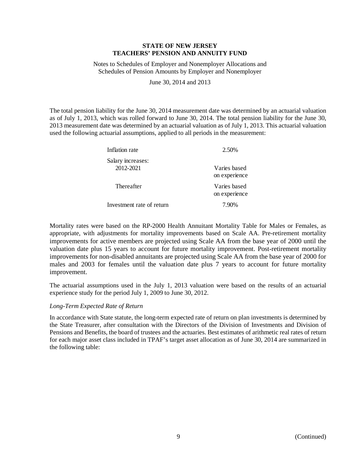Notes to Schedules of Employer and Nonemployer Allocations and Schedules of Pension Amounts by Employer and Nonemployer

June 30, 2014 and 2013

The total pension liability for the June 30, 2014 measurement date was determined by an actuarial valuation as of July 1, 2013, which was rolled forward to June 30, 2014. The total pension liability for the June 30, 2013 measurement date was determined by an actuarial valuation as of July 1, 2013. This actuarial valuation used the following actuarial assumptions, applied to all periods in the measurement:

| Inflation rate                 | 2.50%                         |
|--------------------------------|-------------------------------|
| Salary increases:<br>2012-2021 | Varies based<br>on experience |
| Thereafter                     | Varies based<br>on experience |
| Investment rate of return      | 7.90%                         |

Mortality rates were based on the RP-2000 Health Annuitant Mortality Table for Males or Females, as appropriate, with adjustments for mortality improvements based on Scale AA. Pre-retirement mortality improvements for active members are projected using Scale AA from the base year of 2000 until the valuation date plus 15 years to account for future mortality improvement. Post-retirement mortality improvements for non-disabled annuitants are projected using Scale AA from the base year of 2000 for males and 2003 for females until the valuation date plus 7 years to account for future mortality improvement.

The actuarial assumptions used in the July 1, 2013 valuation were based on the results of an actuarial experience study for the period July 1, 2009 to June 30, 2012.

# *Long-Term Expected Rate of Return*

In accordance with State statute, the long-term expected rate of return on plan investments is determined by the State Treasurer, after consultation with the Directors of the Division of Investments and Division of Pensions and Benefits, the board of trustees and the actuaries. Best estimates of arithmetic real rates of return for each major asset class included in TPAF's target asset allocation as of June 30, 2014 are summarized in the following table: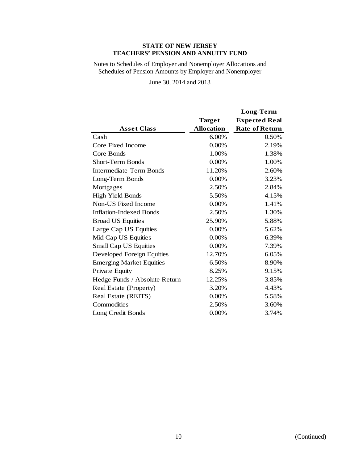Notes to Schedules of Employer and Nonemployer Allocations and Schedules of Pension Amounts by Employer and Nonemployer

June 30, 2014 and 2013

|                                 |                   | Long-Term             |
|---------------------------------|-------------------|-----------------------|
|                                 | Target            | <b>Expected Real</b>  |
| <b>Asset Class</b>              | <b>Allocation</b> | <b>Rate of Return</b> |
| Cash                            | 6.00%             | 0.50%                 |
| Core Fixed Income               | 0.00%             | 2.19%                 |
| Core Bonds                      | 1.00%             | 1.38%                 |
| <b>Short-Term Bonds</b>         | 0.00%             | 1.00%                 |
| <b>Intermediate-Term Bonds</b>  | 11.20%            | 2.60%                 |
| Long-Term Bonds                 | 0.00%             | 3.23%                 |
| Mortgages                       | 2.50%             | 2.84%                 |
| High Yield Bonds                | 5.50%             | 4.15%                 |
| Non-US Fixed Income             | 0.00%             | 1.41%                 |
| <b>Inflation-Indexed Bonds</b>  | 2.50%             | 1.30%                 |
| <b>Broad US Equities</b>        | 25.90%            | 5.88%                 |
| Large Cap US Equities           | 0.00%             | 5.62%                 |
| Mid Cap US Equities             | $0.00\%$          | 6.39%                 |
| Small Cap US Equities           | $0.00\%$          | 7.39%                 |
| Developed Foreign Equities      | 12.70%            | 6.05%                 |
| <b>Emerging Market Equities</b> | 6.50%             | 8.90%                 |
| Private Equity                  | 8.25%             | 9.15%                 |
| Hedge Funds / Absolute Return   | 12.25%            | 3.85%                 |
| Real Estate (Property)          | 3.20%             | 4.43%                 |
| Real Estate (REITS)             | 0.00%             | 5.58%                 |
| Commodities                     | 2.50%             | 3.60%                 |
| Long Credit Bonds               | $0.00\%$          | 3.74%                 |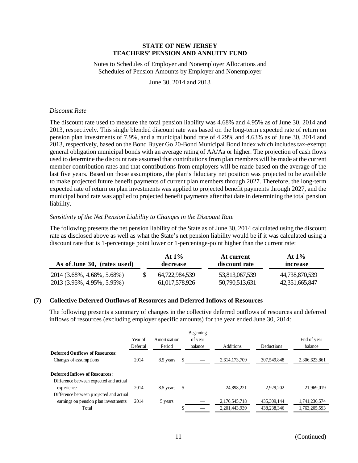Notes to Schedules of Employer and Nonemployer Allocations and Schedules of Pension Amounts by Employer and Nonemployer

June 30, 2014 and 2013

### *Discount Rate*

The discount rate used to measure the total pension liability was 4.68% and 4.95% as of June 30, 2014 and 2013, respectively. This single blended discount rate was based on the long-term expected rate of return on pension plan investments of 7.9%, and a municipal bond rate of 4.29% and 4.63% as of June 30, 2014 and 2013, respectively, based on the Bond Buyer Go 20-Bond Municipal Bond Index which includes tax-exempt general obligation municipal bonds with an average rating of AA/Aa or higher. The projection of cash flows used to determine the discount rate assumed that contributions from plan members will be made at the current member contribution rates and that contributions from employers will be made based on the average of the last five years. Based on those assumptions, the plan's fiduciary net position was projected to be available to make projected future benefit payments of current plan members through 2027. Therefore, the long-term expected rate of return on plan investments was applied to projected benefit payments through 2027, and the municipal bond rate was applied to projected benefit payments after that date in determining the total pension liability.

### *Sensitivity of the Net Pension Liability to Changes in the Discount Rate*

The following presents the net pension liability of the State as of June 30, 2014 calculated using the discount rate as disclosed above as well as what the State's net pension liability would be if it was calculated using a discount rate that is 1-percentage point lower or 1-percentage-point higher than the current rate:

| As of June 30, (rates used) | At $1\%$<br>decrease | At current<br>discount rate | At $1\%$<br>increase |
|-----------------------------|----------------------|-----------------------------|----------------------|
| 2014 (3.68%, 4.68%, 5.68%)  | 64.722.984.539       | 53,813,067,539              | 44,738,870,539       |
| 2013 (3.95%, 4.95%, 5.95%)  | 61,017,578,926       | 50,790,513,631              | 42,351,665,847       |

# **(7) Collective Deferred Outflows of Resources and Deferred Inflows of Resources**

The following presents a summary of changes in the collective deferred outflows of resources and deferred inflows of resources (excluding employer specific amounts) for the year ended June 30, 2014:

|                                         |          |              | Beginning |                  |                   |               |
|-----------------------------------------|----------|--------------|-----------|------------------|-------------------|---------------|
|                                         | Year of  | Amortization | of year   |                  |                   | End of year   |
|                                         | Deferral | Period       | balance   | <b>Additions</b> | <b>Deductions</b> | balance       |
| <b>Deferred Outflows of Resources:</b>  |          |              |           |                  |                   |               |
| Changes of assumptions                  | 2014     | 8.5 years    |           | 2,614,173,709    | 307,549,848       | 2,306,623,861 |
|                                         |          |              |           |                  |                   |               |
| <b>Deferred Inflows of Resources:</b>   |          |              |           |                  |                   |               |
| Difference between expected and actual  |          |              |           |                  |                   |               |
| experience                              | 2014     | 8.5 years    | \$        | 24.898.221       | 2.929.202         | 21,969,019    |
| Difference between projected and actual |          |              |           |                  |                   |               |
| earnings on pension plan investments    | 2014     | 5 years      |           | 2,176,545,718    | 435, 309, 144     | 1,741,236,574 |
| Total                                   |          |              |           | 2.201.443.939    | 438,238,346       | 1.763.205.593 |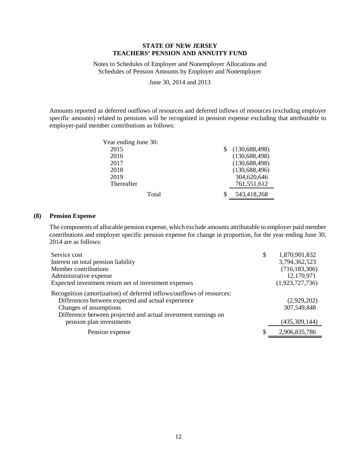Notes to Schedules of Employer and Nonemployer Allocations and Schedules of Pension Amounts by Employer and Nonemployer

June 30, 2014 and 2013

Amounts reported as deferred outflows of resources and deferred inflows of resources (excluding employer specific amounts) related to pensions will be recognized in pension expense excluding that attributable to employer-paid member contributions as follows:

| Year ending June 30: |                 |
|----------------------|-----------------|
| 2015                 | (130, 688, 498) |
| 2016                 | (130, 688, 498) |
| 2017                 | (130, 688, 498) |
| 2018                 | (130, 688, 496) |
| 2019                 | 304,620,646     |
| Thereafter           | 761,551,612     |
| Total                | 543,418,268     |

### **(8) Pension Expense**

The components of allocable pension expense, which exclude amounts attributable to employer paid member contributions and employer specific pension expense for change in proportion, for the year ending June 30, 2014 are as follows:

| Service cost                                                          | \$<br>1,870,901,832 |
|-----------------------------------------------------------------------|---------------------|
| Interest on total pension liability                                   | 3,794,362,523       |
| Member contributions                                                  | (716, 183, 306)     |
| Administrative expense                                                | 12,170,971          |
| Expected investment return net of investment expenses                 | (1,923,727,736)     |
| Recognition (amortization) of deferred inflows/outflows of resources: |                     |
| Differences between expected and actual experience                    | (2,929,202)         |
| Changes of assumptions                                                | 307,549,848         |
| Difference between projected and actual investment earnings on        |                     |
| pension plan investments                                              | (435,309,144)       |
| Pension expense                                                       | 2,906,835,786       |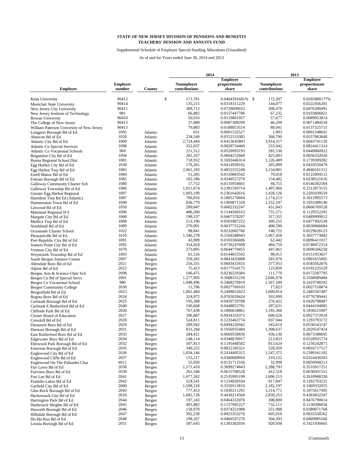Supplemental Schedule of Employer Special Funding Allocations (Unaudited)

|                                           |                 | 2014     |                   | 2013                |                   |                 |
|-------------------------------------------|-----------------|----------|-------------------|---------------------|-------------------|-----------------|
|                                           |                 |          |                   | <b>Employer</b>     |                   | <b>Employer</b> |
|                                           | <b>Employer</b> |          | <b>Nonmployer</b> | proportionate       | <b>Nonmployer</b> | proportionate   |
| <b>Employer</b>                           | number          | County   | contributions     | share               | contributions     | share           |
| Kean University                           | 90412           |          | \$<br>171,781     | 0.0404391681%<br>-S | 172,207           | 0.0265889177%   |
| Montclair State University                | 90414           |          | 135,215           | 0.0318311229        | 144,077           | 0.0222456201    |
| New Jersey City University                | 90411           |          | 309,713           | 0.0729099032        | 308,470           | 0.0476280491    |
| New Jersey Institute of Technology        | 981             |          | 66,882            | 0.0157447706        | 67,232            | 0.0103806821    |
|                                           |                 |          |                   |                     |                   |                 |
| Rowan University                          | 90410           |          | 50,916            | 0.0119861957        | 57,677            | 0.0089053814    |
| The College of New Jersey                 | 90415           |          | 37,088            | 0.0087309299        | 46,298            | 0.0071484534    |
| William Paterson University of New Jersey | 90413           |          | 79,883            | 0.0188053514        | 88,941            | 0.0137325715    |
| Longport Borough Bd of Ed                 | 1095            | Atlantic | 651               | 0.0001532527        | 1,003             | 0.0001548641    |
| Absecon Bd of Ed                          | 1020            | Atlantic | 234,540           | 0.0552133385        | 360,790           | 0.0557063048    |
| Atlantic City Bd of Ed                    | 1000            | Atlantic | 2,724,444         | 0.6413645803        | 3,914,317         | 0.6043741120    |
| <b>Atlantic Co Special Services</b>       | 1098            | Atlantic | 352,037           | 0.0828734460        | 533,942           | 0.0824411314    |
| <b>Atlantic Co Vocational Schools</b>     | 969             | Atlantic | 221,312           | 0.0520993193        | 285,530           | 0.0440860922    |
| Brigantine City Bd of Ed                  | 1094            | Atlantic | 282,167           | 0.0664252668        | 425,083           | 0.0656332026    |
|                                           | 1081            |          | 718,932           |                     |                   |                 |
| <b>Buena Regional School Dist</b>         |                 | Atlantic |                   | 0.1692446314        | 1,126,489         | 0.1739309282    |
| Egg Harbor City Bd of Ed                  | 1030            | Atlantic | 176,261           | 0.0414938102        | 265,899           | 0.0410550479    |
| Egg Harbor Twp Bd of Ed                   | 1083            | Atlantic | 2,061,183         | 0.4852255248        | 3,134,801         | 0.4840161312    |
| Estell Manor Bd of Ed                     | 1084            | Atlantic | 51,265            | 0.0120683542        | 79,018            | 0.0122004512    |
| Folsom Borough Bd of Ed                   | 1085            | Atlantic | 102,186           | 0.0240557270        | 154,482           | 0.0238521616    |
| Galloway Community Charter Sch            | 1080            | Atlantic | 57,752            | 0.0135954665        | 94,755            | 0.0146302584    |
| Galloway Township Bd of Ed                | 1086            | Atlantic | 1,011,674         | 0.2381593714        | 1,497,966         | 0.2312873155    |
| Greater Egg Harbor Regional               | 1097            | Atlantic | 1,003,199         | 0.2361642616        | 1,428,126         | 0.2205039559    |
| Hamilton Twp Bd Ed (Atlantic)             | 1087            | Atlantic | 766,816           | 0.1805170604        | 1,174,213         | 0.1812995573    |
|                                           |                 |          |                   |                     |                   |                 |
| Hammonton Town Bd of Ed                   | 1040            | Atlantic | 836,779           | 0.1969871328        | 1,252,187         | 0.1933388140    |
| Linwood Bd of Ed                          | 1050            | Atlantic | 289,847           | 0.0682332247        | 431,843           | 0.0666769528    |
| Mainland Regional H S                     | 1096            | Atlantic | 486,200           | 0.1144569163        | 731,571           | 0.1129552291    |
| Margate City Bd of Ed                     | 1060            | Atlantic | 198,537           | 0.0467378297        | 317,355           | 0.0489999012    |
| Mullica Twp Bd of Ed                      | 1088            | Atlantic | 213,196           | 0.0501887222        | 309,255           | 0.0477492538    |
| Northfield Bd of Ed                       | 1089            | Atlantic | 270,901           | 0.0637731244        | 408,590           | 0.0630866684    |
| Oceanside Charter School                  | 1022            | Atlantic | 98,841            | 0.0232682766        | 148,722           | 0.0229628123    |
| Pleasantville Bd of Ed                    | 1010            | Atlantic | 1,346,278         | 0.3169288943        | 1,967,458         | 0.3037773082    |
|                                           | 1091            | Atlantic | 43,909            | 0.0103366696        | 62,442            | 0.0096411017    |
| Port Republic City Bd of Ed               | 1092            |          | 314,024           |                     | 484,759           |                 |
| Somers Point City Bd of Ed                |                 | Atlantic |                   | 0.0739247608        |                   | 0.0748472314    |
| Ventnor City Bd of Ed                     | 1070            | Atlantic | 273,895           | 0.0644779455        | 447,061           | 0.0690266258    |
| Weymouth Township Bd of Ed                | 1093            | Atlantic | 61,516            | 0.0144815542        | 98,415            | 0.0151953657    |
| South Bergen Jointure Comm                | 2097            | Bergen   | 358,282           | 0.0843435888        | 583,970           | 0.0901655002    |
| Allendale Boro Bd of Ed                   | 2021            | Bergen   | 256,331           | 0.0603431835        | 377,953           | 0.0583562876    |
| Alpine Bd of Ed                           | 2022            | Bergen   | 75,423            | 0.0177554175        | 123,850           | 0.0191225529    |
| Bergen Arts & Science Chrtr Sch           | 2098            | Bergen   | 100,475           | 0.0236529384        | 111,779           | 0.0172587795    |
| Bergen Co Bd of Special Servs             | 2001            | Bergen   | 1,277,905         | 0.3008331256        | 2,046,678         | 0.3160089484    |
| Bergen Co Vocational School               | 980             | Bergen   | 1,048,496         | 0.2468276819        | 1,567,180         | 0.2419740202    |
| Bergen Community College                  | 2030            | Bergen   | 11,796            | 0.0027769103        | 17,823            | 0.0027518874    |
|                                           | 2023            |          | 1,061,484         | 0.2498852023        | 1,609,814         | 0.2485567487    |
| Bergenfield Bd of Ed                      |                 | Bergen   |                   |                     |                   |                 |
| Bogota Boro Bd of Ed                      | 2024            | Bergen   | 324,972           | 0.0765020424        | 503,099           | 0.0776789441    |
| Carlstadt Borough Bd of Ed                | 2025            | Bergen   | 195,288           | 0.0459729788        | 276,422           | 0.0426798087    |
| Carlstadt E.Rutherford Bd of Ed           | 2040            | Bergen   | 190,668           | 0.0448853791        | 287,631           | 0.0444104885    |
| Cliffside Park Bd of Ed                   | 2026            | Bergen   | 767,438           | 0.1806634861        | 1,185,366         | 0.1830215907    |
| Closter Board of Education                | 2027            | Bergen   | 396,887           | 0.0934316375        | 600,626           | 0.0927372018    |
| Cresskill Bd of Ed                        | 2028            | Bergen   | 524,811           | 0.1235463774        | 837,944           | 0.1293793172    |
| Demarest Boro Bd of Ed                    | 2029            | Bergen   | 209,942           | 0.0494226942        | 343,614           | 0.0530543147    |
| Dumont Borough Bd of Ed                   | 2031            | Bergen   | 831,284           | 0.1956935484        | 1,308,637         | 0.2020547454    |
| East Rutherford Boro Bd of Ed             | 2033            |          | 284,421           | 0.0669558836        | 436,130           | 0.0673388695    |
|                                           | 2034            | Bergen   | 148,114           | 0.0348676917        |                   |                 |
| Edgewater Boro Bd of Ed                   |                 | Bergen   |                   |                     | 213,053           | 0.0328955774    |
| Elmwood Park Borough Bd of Ed             | 2032            | Bergen   | 507,813           | 0.1195448582        | 813,624           | 0.1256242871    |
| Emerson Borough Bd of Ed                  | 2035            | Bergen   | 349,255           | 0.0822185321        | 528,959           | 0.0816717517    |
| Englewood City Bd of Ed                   | 2036            | Bergen   | 1,034,146         | 0.2434495315        | 1,547,375         | 0.2389161102    |
| Englewood Cliffs Bd of Ed                 | 2037            | Bergen   | 153,217           | 0.0360689950        | 210,122           | 0.0324430283    |
| Englewood On The Palisades Char           | 6011            | Bergen   | 55,950            | 0.0131712556        | 32,998            | 0.0050949213    |
| Fair Lawn Bd of Ed                        | 2038            | Bergen   | 1,571,410         | 0.3699274843        | 2,288,793         | 0.3533917251    |
| Fairview Boro Bd of Ed                    | 2039            | Bergen   | 261,546           | 0.0615708528        | 412,518           | 0.0636931551    |
|                                           | 2041            | Bergen   | 1,077,262         | 0.2535995199        | 1,696,213         | 0.2618968330    |
| Fort Lee Bd of Ed                         |                 |          |                   |                     |                   |                 |
| Franklin Lakes Bd of Ed                   | 2042            | Bergen   | 524,541           | 0.1234828164        | 817,847           | 0.1262763221    |
| Garfield City Bd of Ed                    | 2000            | Bergen   | 1,508,218         | 0.3550513810        | 2,182,197         | 0.3369332055    |
| Glen Rock Borough Bd of Ed                | 2043            | Bergen   | 777,453           | 0.1830211291        | 1,214,771         | 0.1875617495    |
| Hackensack City Bd of Ed                  | 2010            | Bergen   | 1,885,728         | 0.4439214560        | 2,839,253         | 0.4383832507    |
| Harrington Park Bd of Ed                  | 2044            | Bergen   | 197,243           | 0.0464332076        | 308,800           | 0.0476790014    |
| Hasbrouck Heights Bd of Ed                | 2045            | Bergen   | 491,882           | 0.1157945227        | 732,111           | 0.1130386056    |
| Haworth Borough Bd of Ed                  | 2046            | Bergen   | 158,978           | 0.0374251988        | 251,988           | 0.0389071768    |
| Hillsdale Borough Bd of Ed                | 2047            | Bergen   | 392,230           | 0.0923353276        | 605,910           | 0.0935530562    |
|                                           | 2048            |          | 198,167           | 0.0466507276        | 304,393           | 0.0469985566    |
| Ho-Ho-Kus Bd of Ed                        |                 | Bergen   |                   |                     |                   |                 |
| Leonia Borough Bd of Ed                   | 2051            | Bergen   | 587,645           | 0.1383382036        | 920,938           | 0.1421936665    |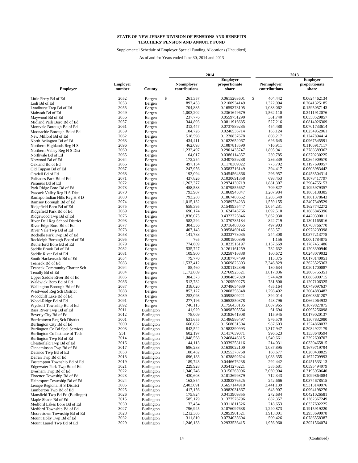Supplemental Schedule of Employer Special Funding Allocations (Unaudited)

|                                      |                 |                   |                   | 2014 |                 |                   | 2013 |                 |
|--------------------------------------|-----------------|-------------------|-------------------|------|-----------------|-------------------|------|-----------------|
|                                      |                 |                   |                   |      | <b>Employer</b> |                   |      | <b>Employer</b> |
|                                      | <b>Employer</b> |                   | <b>Nonmployer</b> |      | proportionate   | <b>Nonmployer</b> |      | proportionate   |
| <b>Employer</b>                      | number          | County            | contributions     |      | share           | contributions     |      | share           |
|                                      |                 |                   |                   |      |                 |                   |      |                 |
| Little Ferry Bd of Ed                | 2052            | Bergen            | \$<br>261,357     |      | 0.0615263601    | \$<br>404,442     |      | 0.0624462134    |
| Lodi Bd of Ed                        | 2053            | Bergen            | 892,453           |      | 0.2100934149    | 1,322,094         |      | 0.2041325185    |
| Lyndhurst Twp Bd of Ed               | 2055            | Bergen            | 704,885           |      | 0.1659378105    | 1,033,062         |      | 0.1595057143    |
| Mahwah Bd of Ed                      | 2049            | Bergen            | 1,003,202         |      | 0.2361649679    | 1,562,110         |      | 0.2411912076    |
| Maywood Bd of Ed                     | 2056            | Bergen            | 237,776           |      | 0.0559751290    | 361,740           |      | 0.0558529857    |
| Midland Park Boro Bd of Ed           | 2057            | Bergen            | 344,893           |      | 0.0811916685    | 527,216           |      | 0.0814026309    |
| Montvale Borough Bd of Ed            | 2061            | Bergen            | 313,447           |      | 0.0737889285    | 454,488           |      | 0.0701733614    |
| Moonachie Borough Bd of Ed           | 2059            | Bergen            | 104,726           |      | 0.0246536714    | 165,124           |      | 0.0254952961    |
| New Milford Bd of Ed                 | 2062            | Bergen            | 518,598           |      | 0.1220837678    | 808,217           |      | 0.1247894414    |
| North Arlington Bd of Ed             | 2063            | Bergen            | 434,411           |      | 0.1022652067    | 626,645           |      | 0.0967545591    |
| Northern Highlands Reg H S           | 2096            | Bergen            | 462,093           |      | 0.1087818590    | 716,911           |      | 0.1106917117    |
| Northern Valley Reg H S Dist         | 2060            | Bergen            | 1,232,497         |      | 0.2901435747    | 1,805,941         |      | 0.2788389362    |
| Northvale Bd of Ed                   | 2065            | Bergen            | 164,017           |      | 0.0386114357    | 239,785           |      | 0.0370230225    |
| Norwood Bd of Ed                     | 2064            | Bergen            | 173,254           |      | 0.0407859288    | 236,339           |      | 0.0364909570    |
| Oakland Bd of Ed                     | 2066            | Bergen            | 497,134           |      | 0.1170309022    | 775,702           |      | 0.1197690957    |
|                                      | 2067            |                   | 247,956           |      | 0.0583716149    | 394,417           |      | 0.0608983442    |
| Old Tappan Bd of Ed                  | 2068            | Bergen            | 193,094           |      |                 | 296,957           |      |                 |
| Oradell Bd of Ed                     |                 | Bergen            |                   |      | 0.0454564866    |                   |      | 0.0458504314    |
| Palisades Park Bd of Ed              | 2071            | Bergen            | 437,826           |      | 0.1030691358    | 698,453           |      | 0.1078417797    |
| Paramus Bd of Ed                     | 2072            | Bergen            | 1,263,377         |      | 0.2974130719    | 1,881,307         |      | 0.2904755153    |
| Park Ridge Boro Bd of Ed             | 2073            | Bergen            | 458,583           |      | 0.1079555657    | 709,827           |      | 0.1095979357    |
| Pascack Valley Reg H S Dist          | 2070            | Bergen            | 793,907           |      | 0.1868945847    | 1,207,984         |      | 0.1865138305    |
| Ramapo Indian Hills Reg H S D        | 2080            | Bergen            | 793,288           |      | 0.1867488652    | 1,205,549         |      | 0.1861378643    |
| Ramsey Borough Bd of Ed              | 2074            | Bergen            | 1,015,132         |      | 0.2389734233    | 1,559,155         |      | 0.2407349529    |
| Ridgefield Boro Bd of Ed             | 2075            | Bergen            | 658,395           |      | 0.1549935447    | 1,054,231         |      | 0.1627742272    |
| Ridgefield Park Bd of Ed             | 2069            | Bergen            | 690,174           |      | 0.1624746766    | 1,092,510         |      | 0.1686845396    |
| Ridgewood Twp Bd of Ed               | 2076            | Bergen            | 1,836,075         |      | 0.4322325846    | 2,862,930         |      | 0.4420390011    |
| River Dell Reg School District       | 2093            | Bergen            | 582,294           |      | 0.1370785184    | 842,719           |      | 0.1301165816    |
| River Edge Boro Bd of Ed             | 2077            | Bergen            | 304,356           |      | 0.0716488055    | 497,903           |      | 0.0768766770    |
|                                      | 2078            |                   | 407,143           |      | 0.0958460146    | 633,571           |      | 0.0978239398    |
| River Vale Twp Bd of Ed              | 2058            | Bergen            | 141,783           |      | 0.0333773035    | 244,308           |      | 0.0377213778    |
| Rochelle Park Twp Bd of Ed           |                 | Bergen            |                   |      |                 |                   |      |                 |
| Rockleigh Borough Board of Ed        | 2095            | Bergen            | 765               |      | 0.0001800896    | 1,156             |      | 0.0001784875    |
| Rutherford Boro Bd of Ed             | 2079            | Bergen            | 774,609           |      | 0.1823516197    | 1,157,669         |      | 0.1787451486    |
| Saddle Brook Bd of Ed                | 2082            | Bergen            | 535,727           |      | 0.1261161259    | 782,632           |      | 0.1208390940    |
| Saddle River Bd of Ed                | 2081            | Bergen            | 109,900           |      | 0.0258716888    | 160,672           |      | 0.0248079032    |
| South Hackensack Bd of Ed            | 2054            | Bergen            | 79,770            |      | 0.0187787499    | 115,375           |      | 0.0178140051    |
| Teaneck Bd of Ed                     | 2083            | Bergen            | 1,533,412         |      | 0.3609823303    | 2,346,829         |      | 0.3623525363    |
| <b>Teaneck Community Charter Sch</b> | 2094            | Bergen            | 85,460            |      | 0.0201182396    | 130,634           |      | 0.0201700087    |
| Tenafly Bd of Ed                     | 2084            | Bergen            | 1,172,809         |      | 0.2760923521    | 1,817,836         |      | 0.2806755351    |
| Upper Saddle River Bd of Ed          | 2085            | Bergen            | 384,373           |      | 0.0904857020    | 574,420           |      | 0.0886909715    |
| Waldwick Boro Bd of Ed               | 2086            | Bergen            | 513,782           |      | 0.1209500275    | 781,800           |      | 0.1207106325    |
| Wallington Borough Bd of Ed          | 2087            | Bergen            | 318,020           |      | 0.0748654639    | 485,164           |      | 0.0749097637    |
| Westwood Reg Sch District            | 2088            | Bergen            | 853,127           |      | 0.2008356348    | 1,298,492         |      | 0.2004883482    |
| Woodcliff Lake Bd of Ed              | 2089            | Bergen            | 253,093           |      | 0.0595809221    | 394,014           |      | 0.0608361207    |
|                                      | 2091            |                   | 277,196           |      | 0.0652550378    | 428,796           |      | 0.0662064932    |
| Wood-Ridge Bd of Ed                  | 2092            | Bergen            | 746.115           |      | 0.1756438135    | 1,087,965         |      | 0.1679827875    |
| Wyckoff Township Bd of Ed            | 3011            | Bergen            |                   |      |                 |                   |      |                 |
| Bass River Twp Bd of Ed              |                 | Burlington        | 41,929<br>78,009  |      | 0.0098705554    | 61,694            |      | 0.0095256098    |
| Beverly City Bd of Ed                | 3012            | Burlington        |                   |      | 0.0183641908    | 115,945           |      | 0.0179020137    |
| Bordentown Reg Sch District          | 3001            | <b>Burlington</b> | 631,655           |      | 0.1486986497    | 976,570           |      | 0.1507832980    |
| Burlington City Bd of Ed             | 3000            | Burlington        | 666,082           |      | 0.1568031504    | 987,603           |      | 0.1524868032    |
| Burlington Co Bd Spcl Services       | 3003            | Burlington        | 842,522           |      | 0.1983390993    | 1,317,947         |      | 0.2034922179    |
| Burlington Co Institute of Tech      | 951             | Burlington        | 602,197           |      | 0.1417639071    | 996,523           |      | 0.1538640594    |
| Burlington Twp Bd of Ed              | 3014            | Burlington        | 1,048,568         |      | 0.2468446315    | 1,549,661         |      | 0.2392690707    |
| Chesterfield Twp Bd of Ed            | 3016            | Burlington        | 144,113           |      | 0.0339258116    | 214,031           |      | 0.0330465815    |
| Cinnaminson Twp Bd of Ed             | 3017            | Burlington        | 696,238           |      | 0.1639022100    | 1,087,895         |      | 0.1679719794    |
| Delanco Twp Bd of Ed                 | 3053            | Burlington        | 108,482           |      | 0.0255378758    | 168,677           |      | 0.0260438825    |
| Delran Twp Bd of Ed                  | 3018            | Burlington        | 696,183           |      | 0.1638892624    | 1,083,355         |      | 0.1672709993    |
| Eastampton Township Bd of Ed         | 3019            | Burlington        | 189,743           |      | 0.0446676238    | 292,442           |      | 0.0451533113    |
| Edgewater Park Twp Bd of Ed          | 3021            | Burlington        | 229,928           |      | 0.0541276221    | 385,681           |      | 0.0595494979    |
| Evesham Twp Bd of Ed                 | 3022            | Burlington        | 1,340,746         |      | 0.3156265996    | 2,069,904         |      | 0.3195950640    |
| Florence Township Bd of Ed           | 3023            | Burlington        | 430,608           |      | 0.1013699379    | 712,343           |      | 0.1099864084    |
| Hainesport Township Bd of Ed         | 3024            |                   | 162,854           |      | 0.0383376525    | 242,666           |      | 0.0374678515    |
|                                      |                 | Burlington        |                   |      |                 |                   |      | 0.5313149976    |
| Lenape Regional H S District         | 3005            | Burlington        | 2,403,091         |      | 0.5657144910    | 3,441,139         |      |                 |
| Lumberton Twp Bd of Ed               | 3025            | Burlington        | 417,156           |      | 0.0982031867    | 643,907           |      | 0.0994198276    |
| Mansfield Twp Bd Ed (Burlingtn)      | 3026            | Burlington        | 175,824           |      | 0.0413909355    | 272,684           |      | 0.0421026581    |
| Maple Shade Bd of Ed                 | 3015            | Burlington        | 585,179           |      | 0.1377576796    | 882,357           |      | 0.1362367249    |
| Medford Lakes Boro Bd of Ed          | 3030            | Burlington        | 132,454           |      | 0.0311811526    | 218,653           |      | 0.0337602225    |
| Medford Township Bd of Ed            | 3027            | Burlington        | 796,945           |      | 0.1876097638    | 1,240,873         |      | 0.1915919220    |
| Moorestown Township Bd of Ed         | 3028            | Burlington        | 1,212,305         |      | 0.2853901521    | 1,913,001         |      | 0.2953690978    |
| Mount Holly Twp Bd of Ed             | 3032            | Burlington        | 311,810           |      | 0.0734035604    | 509,426           |      | 0.0786558387    |
| Mount Laurel Twp Bd of Ed            | 3029            | Burlington        | 1,246,133         |      | 0.2933536415    | 1,956,960         |      | 0.3021564074    |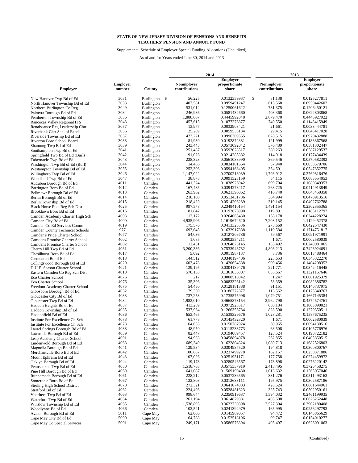Supplemental Schedule of Employer Special Funding Allocations (Unaudited)

|                                                          |                 |                                        | 2014 |                    |                              |    | 2013                 |  |                              |
|----------------------------------------------------------|-----------------|----------------------------------------|------|--------------------|------------------------------|----|----------------------|--|------------------------------|
|                                                          |                 |                                        |      |                    | <b>Employer</b>              |    |                      |  | <b>Employer</b>              |
|                                                          | <b>Employer</b> |                                        |      | <b>Nonmployer</b>  | proportionate                |    | <b>Nonmployer</b>    |  | proportionate                |
| <b>Employer</b>                                          | number          | County                                 |      | contributions      | share                        |    | contributions        |  | share                        |
| New Hanover Twp Bd of Ed                                 | 3031            | <b>Burlington</b>                      | \$   | 56,225             | 0.0132359937                 | \$ | 81,138               |  | 0.0125277811                 |
| North Hanover Township Bd of Ed                          | 3033            | Burlington                             |      | 407,581            | 0.0959491247                 |    | 615,568              |  | 0.0950442602                 |
| Northern Burlington Co Reg                               | 3049            | <b>Burlington</b>                      |      | 531,012            | 0.1250061622                 |    | 781,375              |  | 0.1206450121                 |
| Palmyra Borough Bd of Ed                                 | 3034            | Burlington                             |      | 246,986            | 0.0581432660                 |    | 403,368              |  | 0.0622803868                 |
| Pemberton Township Bd of Ed                              | 3036            | <b>Burlington</b>                      |      | 1,888,607          | 0.4445992048                 |    | 2,879,470            |  | 0.4445927922                 |
| Rancocas Valley Regional H S                             | 3048            | <b>Burlington</b>                      |      | 457,615            | 0.1077276877                 |    | 740,550              |  | 0.1143415949                 |
| Renaissance Reg Leadership Chtr                          | 3057            | <b>Burlington</b>                      |      | 13,977             | 0.0032903421                 |    | 21,661               |  | 0.0033444781                 |
| Riverbank Chtr Schl of Excell.                           | 3056            | Burlington                             |      | 25,289             | 0.0059533134                 |    | 29,415               |  | 0.0045417028                 |
| Riverside Township Bd of Ed                              | 3037            | Burlington                             |      | 423,221            | 0.0996309555                 |    | 628,515              |  | 0.0970432888                 |
| Riverton Boro School Board                               | 3038            | <b>Burlington</b>                      |      | 81,930             | 0.0192872381                 |    | 121,999              |  | 0.0188367568                 |
| Shamong Twp Bd of Ed                                     | 3039            | <b>Burlington</b>                      |      | 243,443            | 0.0573092042                 |    | 376,489              |  | 0.0581302447                 |
| Southampton Twp Bd of Ed                                 | 3041            | Burlington                             |      | 251,487            | 0.0592028517                 |    | 380,263              |  | 0.0587129537                 |
| Springfield Twp Bd of Ed (Burl)                          | 3042<br>3043    | <b>Burlington</b>                      |      | 91,026<br>238,323  | 0.0214285382<br>0.0561038990 |    | 114,918<br>369,546   |  | 0.0177434439<br>0.0570582392 |
| Tabernacle Twp Bd of Ed                                  | 3044            | <b>Burlington</b>                      |      | 14,486             | 0.0034101664                 |    | 37,940               |  | 0.0058579706                 |
| Washington Twp Bd of Ed (Burl)                           | 3055            | <b>Burlington</b>                      |      | 252,396            | 0.0594168405                 |    | 354,501              |  | 0.0547352775                 |
| Westampton Township Bd of Ed<br>Willingboro Twp Bd of Ed | 3046            | <b>Burlington</b><br><b>Burlington</b> |      | 1,147,022          | 0.2700218039                 |    | 1,793,912            |  | 0.2769816476                 |
| Woodland Twp Bd of Ed                                    | 3047            | Burlington                             |      | 38,878             | 0.0091523159                 |    | 54,115               |  | 0.0083554053                 |
| Audubon Borough Bd of Ed                                 | 4011            | Camden                                 |      | 441,324            | 0.1038926042                 |    | 699,704              |  | 0.1080349353                 |
| Barrington Boro Bd of Ed                                 | 4012            | Camden                                 |      | 167,485            | 0.0394278417                 |    | 268,725              |  | 0.0414913849                 |
| Bellmawr Borough Bd of Ed                                | 4013            | Camden                                 |      | 263,962            | 0.0621396062                 |    | 416,740              |  | 0.0643450358                 |
| Berlin Borough Bd of Ed                                  | 4014            | Camden                                 |      | 218,100            | 0.0513431786                 |    | 304,994              |  | 0.0470913516                 |
| Berlin Township Bd of Ed                                 | 4015            | Camden                                 |      | 218,429            | 0.0514206289                 |    | 319,145              |  | 0.0492762788                 |
| Black Horse Pike Reg Sch Dist                            | 4025            | Camden                                 |      | 997.578            | 0.2348410154                 |    | 1,491,154            |  | 0.2302355365                 |
| Brooklawn Boro Bd of Ed                                  | 4016            | Camden                                 |      | 81,847             | 0.0192676990                 |    | 119,891              |  | 0.0185112797                 |
| Camden Academy Charter High Sch                          | 4003            | Camden                                 |      | 112,172            | 0.0264065430                 |    | 158,178              |  | 0.0244228274                 |
| Camden City Bd of Ed                                     | 4000            | Camden                                 |      | 4,935,906          | 1.1619674620                 |    | 7,208,152            |  | 1.1129452378                 |
| Camden Co Ed Services Comm                               | 4019            | Camden                                 |      | 175,576            | 0.0413325536                 |    | 273,669              |  | 0.0422547430                 |
| <b>Camden County Technical Schools</b>                   | 977             | Camden                                 |      | 693,645            | 0.1632917888                 |    | 1,110,584            |  | 0.1714751817                 |
| Camden's Pride Charter School                            | 4077            | Camden                                 |      | 54,036             | 0.0127206786                 |    | 59,567               |  | 0.0091971991                 |
| Camdens Promise Charter School                           | 4002            | Camden                                 |      | 1,085              | 0.0002554211                 |    | 1,671                |  | 0.0002580039                 |
| Camdens Promise Charter School                           | 4002            | Camden                                 |      | 112,431            | 0.0264675145                 |    | 155,492              |  | 0.0240081065                 |
| Cherry Hill Twp Bd of Ed                                 | 4031            | Camden                                 |      | 3,200,336          | 0.7533948782                 |    | 4,808,213            |  | 0.7423924691                 |
| Chesilhurst Boro Bd of Ed                                | 4017            | Camden                                 |      | 5,092              | 0.0011987137                 |    | 8,736                |  | 0.0013488464                 |
| Clementon Bd of Ed                                       | 4018            | Camden                                 |      | 144,512            | 0.0340197406                 |    | 223,653              |  | 0.0345322270                 |
| Collingswood Borough Bd of Ed                            | 4020            | Camden                                 |      | 603,478            | 0.1420654688                 |    | 909,456              |  | 0.1404208352                 |
| D.U.E. Season Charter School                             | 4021            | Camden                                 |      | 129,195            | 0.0304139476                 |    | 221,771              |  | 0.0342416445                 |
| Eastern Camden Co Reg Sch Dist                           | 4010            | Camden                                 |      | 578,153            | 0.1361036807                 |    | 855,667              |  | 0.1321157646                 |
| Eco Charter School                                       | 4076<br>4076    | Camden                                 |      | 217                | 0.0000510842                 |    | 1,247                |  | 0.0001925379                 |
| Eco Charter School                                       | 4075            | Camden                                 |      | 35,396<br>54,450   | 0.0083326142<br>0.0128181388 |    | 53,359<br>91,151     |  | 0.0082386782<br>0.0140737975 |
| Freedom Academy Charter School                           | 4032            | Camden<br>Camden                       |      | 79,339             | 0.0186772877                 |    | 113,562              |  | 0.0175340763                 |
| Gibbsboro Borough Bd of Ed<br>Gloucester City Bd of Ed   | 4033            | Camden                                 |      | 737,253            | 0.1735575996                 |    | 1,079,751            |  | 0.1667145384                 |
| Gloucester Twp Bd of Ed                                  | 4034            | Camden                                 |      | 1,982,010          | 0.4665873154                 |    | 2,962,790            |  | 0.4574574761                 |
| Haddon Heights Bd of Ed                                  | 4037            | Camden                                 |      | 413,289            | 0.0972928517                 |    | 650,184              |  | 0.1003890021                 |
| Haddon Township Bd of Ed                                 | 4035            | Camden                                 |      | 537,934            | 0.1266356784                 |    | 828,590              |  | 0.1279350511                 |
| Haddonfield Bd of Ed                                     | 4036            | Camden                                 |      | 653,465            | 0.1538329676                 |    | 1,028,281            |  | 0.1587675235                 |
| Institute For Excellence Ch Sch                          | 4078            | Camden                                 |      | 61,778             | 0.0145432320                 |    | 1,671                |  | 0.0002580039                 |
| Institute For Excellence Ch Sch                          | 4078            | Camden                                 |      | 64,053             | 0.0150787924                 |    | 60,965               |  | 0.0094130516                 |
| Laurel Springs Borough Bd of Ed                          | 4038            | Camden                                 |      | 48,950             | 0.0115233773                 |    | 68,508               |  | 0.0105776976                 |
| Lawnside Borough Bd of Ed                                | 4039            | Camden                                 |      | 82,447             | 0.0194089457                 |    | 123,524              |  | 0.0190722182                 |
| Leap Academy Charter School                              | 4001            | Camden                                 |      | 194,933            | 0.0458894078                 |    | 262,855              |  | 0.0405850515                 |
| Lindenwold Borough Bd of Ed                              | 4068            | Camden                                 |      | 689,349            | 0.1622804624                 |    | 1,089,713            |  | 0.1682526803                 |
| Magnolia Borough Bd of Ed                                | 4041            | Camden                                 |      | 129,534            | 0.0304937520                 |    | 194,818              |  | 0.0300800767                 |
| Merchantville Boro Bd of Ed                              | 4042            | Camden                                 |      | 100,887            | 0.0237499278                 |    | 162,157              |  | 0.0250371886                 |
| Mount Ephraim Bd of Ed                                   | 4043            | Camden                                 |      | 107,026            | 0.0251951171                 |    | 177,758              |  | 0.0274459972                 |
| Oaklyn Borough Bd of Ed                                  | 4044            | Camden                                 |      | 119,173            | 0.0280546567                 |    | 178,898              |  | 0.0276220142                 |
| Pennsauken Twp Bd of Ed                                  | 4050            | Camden                                 |      | 1,518,763          | 0.3575337919                 |    | 2,413,495            |  | 0.3726458275                 |
| Pine Hill Borough Bd of Ed                               | 4069            | Camden                                 |      | 641,087            | 0.1509190480                 |    | 1,013,632            |  | 0.1565057046                 |
| Runnemede Borough Bd of Ed                               | 4061            | Camden                                 |      | 228,212            | 0.0537236565                 |    | 331,276              |  | 0.0511493163                 |
| Somerdale Boro Bd of Ed                                  | 4067            | Camden                                 |      | 132,803            | 0.0312633111                 |    | 195,975              |  | 0.0302587186                 |
| <b>Sterling High School District</b>                     | 4070            | Camden                                 |      | 272,321            | 0.0641074083                 |    | 428,524              |  | 0.0661644961                 |
| Stratford Bd of Ed                                       | 4062            | Camden                                 |      | 224,493            | 0.0528481623<br>0.2350919637 |    | 325,743              |  | 0.0502950161                 |
| Voorhees Twp Bd of Ed                                    | 4063<br>4064    | Camden                                 |      | 998,644<br>261,194 |                              |    | 1,594,032<br>405,608 |  | 0.2461199935<br>0.0626262448 |
| Waterford Twp Bd of Ed                                   | 4065            | Camden                                 |      | 1,538,895          | 0.0614879881                 |    | 2,527,304            |  | 0.3902180408                 |
| Winslow Township Bd of Ed<br>Woodlynne Bd of Ed          | 4066            | Camden<br>Camden                       |      | 102,541            | 0.3622730898<br>0.0241392979 |    | 165,995              |  | 0.0256297793                 |
| Avalon Borough Bd of Ed                                  | 5011            | Cape May                               |      | 62,006             | 0.0145969057                 |    | 94,472               |  | 0.0145865629                 |
| Cape May City Bd of Ed                                   | 5000            | Cape May                               |      | 64,788             | 0.0152518196                 |    | 99,747               |  | 0.0154010277                 |
| Cape May Co Special Services                             | 5001            | Cape May                               |      | 249,171            | 0.0586576394                 |    | 405,497              |  | 0.0626091063                 |
|                                                          |                 |                                        |      |                    |                              |    |                      |  |                              |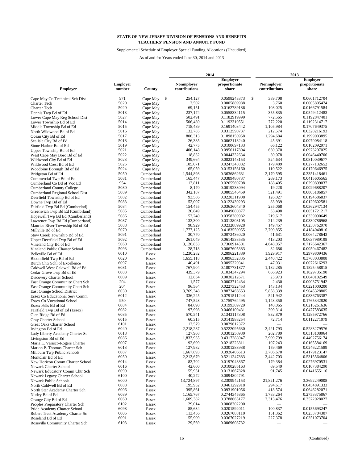Supplemental Schedule of Employer Special Funding Allocations (Unaudited)

|                                                           | 2014            |                |                   |                 |                   | 2013                         |  |  |  |
|-----------------------------------------------------------|-----------------|----------------|-------------------|-----------------|-------------------|------------------------------|--|--|--|
|                                                           |                 |                |                   | <b>Employer</b> |                   | <b>Employer</b>              |  |  |  |
|                                                           | <b>Employer</b> |                | <b>Nonmployer</b> | proportionate   | <b>Nonmployer</b> | proportionate                |  |  |  |
| <b>Employer</b>                                           | number          | County         | contributions     | share           | contributions     | share                        |  |  |  |
| Cape May Co Technical Sch Dist                            | 971             | Cape May       | 254,127<br>-\$    | 0.0598243373    | \$<br>389,708     | 0.0601712704                 |  |  |  |
| Charter Tech                                              | 5020            | Cape May       | 2,502             | 0.0005889988    | 3,760             | 0.0005805474                 |  |  |  |
| Charter Tech                                              | 5020            | Cape May       | 69,151            | 0.0162789186    | 108,025           | 0.0166791584                 |  |  |  |
| Dennis Twp Bd of Ed                                       | 5013            | Cape May       | 237,174           | 0.0558334115    | 355.835           | 0.0549412483                 |  |  |  |
| Lower Cape May Reg School Dist                            | 5027            | Cape May       | 502,491           | 0.1182919999    | 772,565           | 0.1192847401                 |  |  |  |
| Lower Township Bd of Ed                                   | 5014            | Cape May       | 506,480           | 0.1192310551    | 772,220           | 0.1192314717                 |  |  |  |
| Middle Township Bd of Ed                                  | 5015            | Cape May       | 718,489           | 0.1691403442    | 1,105,984         | 0.1707649375                 |  |  |  |
| North Wildwood Bd of Ed                                   | 5016            | Cape May       | 132,785           | 0.0312590737    | 212,574           | 0.0328216193                 |  |  |  |
| Ocean City Bd of Ed                                       | 5017            | Cape May       | 806,313           | 0.1898150958    | 1,294,684         | 0.1999003895                 |  |  |  |
| Sea Isle City Bd of Ed                                    | 5018            | Cape May       | 26.385            | 0.0062113240    | 45,391            | 0.0070084118                 |  |  |  |
| Stone Harbor Bd of Ed                                     | 5019            | Cape May       | 42,775            | 0.0100697133    | 66.122            | 0.0102092971                 |  |  |  |
| Upper Township Bd of Ed                                   | 5021            | Cape May       | 406,148           | 0.0956117804    | 630,370           | 0.0973297025                 |  |  |  |
| West Cape May Boro Bd of Ed                               | 5022            | Cape May       | 18,832            | 0.0044332634    | 30,078            | 0.0046440706                 |  |  |  |
| Wildwood City Bd of Ed                                    | 5023            | Cape May       | 349,664           | 0.0823148153    | 524,634           | 0.0810039677                 |  |  |  |
| Wildwood Crest Bd of Ed                                   | 5025            | Cape May       | 105,071           | 0.0247348882    | 179,489           | 0.0277132652                 |  |  |  |
| Woodbine Borough Bd of Ed                                 | 5024            | Cape May       | 65,059            | 0.0153156160    | 110,522           | 0.0170646975                 |  |  |  |
| Bridgeton Bd of Ed                                        | 5050            | Cumberland     | 1,544,898         | 0.3636862631    | 2,170,595         | 0.3351418461                 |  |  |  |
| Commercial Twp Bd of Ed                                   | 5081            | Cumberland     | 165,447           | 0.0389480737    | 269,173           | 0.0415605565                 |  |  |  |
| Cumberland Co Bd of Voc Ed                                | 954             | Cumberland     | 112,811           | 0.0265569708    | 188,405           | 0.0290899037                 |  |  |  |
| <b>Cumberland County College</b>                          | 5080            | Cumberland     | 8,170             | 0.0019233094    | 19,228            | 0.0029688207                 |  |  |  |
| Cumberland Regional School Dist                           | 5089            | Cumberland     | 342,187           | 0.0805546459    | 521.491           | 0.0805186857                 |  |  |  |
| Deerfield Township Bd of Ed                               | 5082            | Cumberland     | 93,586            | 0.0220311908    | 126,027           | 0.0194586837                 |  |  |  |
| Downe Twp Bd of Ed                                        | 5083            | Cumberland     | 52,007            | 0.0122430293    | 83,939            | 0.0129602581                 |  |  |  |
| Fairfield Twp Bd Ed (Cumberlnd)                           | 5084            | Cumberland     | 154,455           | 0.0363604340    | 235,068           | 0.0362947134                 |  |  |  |
| Greenwich Twp Bd Ed (Cumbrland)                           | 5085            | Cumberland     | 20,849            | 0.0049080877    | 33,498            | 0.0051721217                 |  |  |  |
| Hopewell Twp Bd Ed (Cumberland)                           | 5086            | Cumberland     | 152,240           | 0.0358389982    | 219,617           | 0.0339090649                 |  |  |  |
| Lawrence Twp Bd Ed (Cumberland)                           | 5087            | Cumberland     | 133,300           | 0.0313803105    | 214,239           | 0.0330786968                 |  |  |  |
| Maurice River Township Bd of Ed                           | 5088            | Cumberland     | 98,929            | 0.0232889928    | 149,457           | 0.0230762970                 |  |  |  |
| Millville Bd of Ed                                        | 5070            | Cumberland     | 1,777,125         | 0.4183550955    | 2,709,855         | 0.4184040816                 |  |  |  |
| Stow Creek Township Bd of Ed                              | 5091            | Cumberland     | 30,770            | 0.0072436020    | 41,631            | 0.0064278643                 |  |  |  |
| Upper Deerfield Twp Bd of Ed                              | 5092            | Cumberland     | 261,049           | 0.0614538535    | 413,203           | 0.0637989198                 |  |  |  |
| Vineland City Bd of Ed                                    | 5060            | Cumberland     | 3,126,833         | 0.7360914501    | 4,648,057         | 0.7176642367                 |  |  |  |
| Vineland Public Charter School                            | 5093            | Cumberland     | 28,718            | 0.0067605383    | 32,686            | 0.0050467482                 |  |  |  |
| Belleville Bd of Ed                                       | 6010            | Essex          | 1,230,282         | 0.2896221389    | 1,929,917         | 0.2979809436                 |  |  |  |
|                                                           | 6020            | Essex          | 1,655,118         | 0.3896332835    | 2,440,422         | 0.3768033808                 |  |  |  |
| Bloomfield Twp Bd of Ed<br>Burch Chtr Schl of Excellence  | 6097            |                | 40,491            | 0.0095320341    | 47,031            | 0.0072616293                 |  |  |  |
|                                                           | 6081            | Essex<br>Essex | 767,904           | 0.1807731877    | 1,182,285         | 0.1825458815                 |  |  |  |
| Caldwell West Caldwell Bd of Ed                           | 6083            |                | 439,379           | 0.1034347294    | 666,923           | 0.1029735190                 |  |  |  |
| Cedar Grove Twp Bd of Ed                                  | 6009            | Essex          | 12,834            | 0.0030212671    | 25,973            | 0.0040102549                 |  |  |  |
| Discovery Charter School                                  | 204             | Essex          | 1,577             | 0.0003712434    | 2,430             | 0.0003751942                 |  |  |  |
| East Orange Community Chart Sch                           | 204             | Essex          | 96,564            | 0.0227322453    | 143,134           | 0.0221000200                 |  |  |  |
| East Orange Community Chart Sch                           | 6030            | Essex          | 3,769,348         | 0.8873466653    | 5,858,339         | 0.9045328805                 |  |  |  |
| East Orange School District                               | 6012            | Essex<br>Essex | 336,225           | 0.0791511244    | 541,942           | 0.0836763387                 |  |  |  |
| Essex Co Educational Serv Comm                            | 950             |                | 747,528           | 0.1759764495    | 1,143,350         | 0.1765342820                 |  |  |  |
| <b>Essex Co Vocational School</b><br>Essex Fells Bd of Ed | 6084            | Essex          | 84,690            | 0.0199369729    | 140,065           | 0.0216261636                 |  |  |  |
|                                                           | 6082            | Essex          | 197,998           | 0.0466109431    | 309,314           | 0.0477583635                 |  |  |  |
| Fairfield Twp Bd of Ed (Essex)                            | 6085            | Essex          | 570,541           | 0.1343117308    | 832,879           | 0.1285972766                 |  |  |  |
| Glen Ridge Bd of Ed                                       | 6015            | Essex<br>Essex | 60,315            | 0.0141988254    | 72,714            | 0.0112271079                 |  |  |  |
| Gray Charter School<br>Great Oaks Charter School          | 6101            | Essex          | 12,579            | 0.0029612372    |                   |                              |  |  |  |
|                                                           | 6040            | Essex          | 2,218,287         | 0.5222095630    | 3,421,793         | 0.5283279576                 |  |  |  |
| Irvington Bd of Ed                                        | 6018            |                | 127,968           | 0.0301250980    | 202,789           | 0.0313108064                 |  |  |  |
| Lady Liberty Academy Charter Sc<br>Livingston Bd of Ed    | 6086            | Essex          | 1,833,935         | 0.4317288047    | 2,909,799         | 0.4492756174                 |  |  |  |
|                                                           | 6007            | Essex          | 92,699            | 0.0218223811    | 107,243           | 0.0165584169                 |  |  |  |
| Maria L. Varisco-Rogers Charter                           | 6013            | Essex          | 127,982           | 0.0301283938    | 159,469           | 0.0246221589                 |  |  |  |
| Marion P. Thomas Charter Sch                              | 6087            | Essex          | 1,667,893         | 0.3926406613    | 2,706,670         | 0.4179123147                 |  |  |  |
| Millburn Twp Public Schools                               | 6050            | Essex          | 2,213,679         | 0.5211247883    | 3,442,703         | 0.5315564806                 |  |  |  |
| Montclair Bd of Ed                                        | 6014            | Essex          | 83,702            |                 | 179,384           |                              |  |  |  |
| New Horizon Comm Charter School                           | 6016            | Essex          | 42,600            | 0.0197043867    | 69,549            | 0.0276970531<br>0.0107384290 |  |  |  |
| Newark Charter School                                     |                 | Essex          |                   | 0.0100285163    |                   |                              |  |  |  |
| Newark Educators' Comm Chtr Sch                           | 6099            | Essex          | 55,931<br>40,272  | 0.0131667828    | 91,745            | 0.0141655116                 |  |  |  |
| Newark Legacy Charter School                              | 6100            | Essex          |                   | 0.0094804791    |                   |                              |  |  |  |
| Newark Public Schools                                     | 6000            | Essex          | 13,724,897        | 3.2309942153    | 21,821,276        | 3.3692249008                 |  |  |  |
| North Caldwell Bd of Ed                                   | 6088            | Essex          | 195,952           | 0.0461292918    | 294,617           | 0.0454891333                 |  |  |  |
| North Star Academy Charter Sch                            | 6006            | Essex          | 395,861           | 0.0931901056    | 418,574           | 0.0646282071                 |  |  |  |
| Nutley Bd of Ed                                           | 6089            | Essex          | 1,165,767         | 0.2744345865    | 1,783,264         | 0.2753375867                 |  |  |  |
| Orange City Bd of Ed                                      | 6060            | Essex          | 1,609,382         | 0.3788665177    | 2,313,476         | 0.3572028027                 |  |  |  |
| Peoples Preparatory Charter Sch                           | 6102            | Essex          | 29,014            | 0.0068302200    |                   |                              |  |  |  |
| Pride Academy Charter School                              | 6098            | Essex          | 85,634            | 0.0201592011    | 100,837           | 0.0155693247                 |  |  |  |
| Robert Treat Academy Charter Sc                           | 6005            | Essex          | 113,456           | 0.0267088110    | 151,362           | 0.0233704307                 |  |  |  |
| Roseland Bd of Ed                                         | 6091            | Essex          | 155,909           | 0.0367027219    | 227,378           | 0.0351073704                 |  |  |  |
| Roseville Community Charter Sch                           | 6103            | Essex          | 29,569            | 0.0069608732    |                   |                              |  |  |  |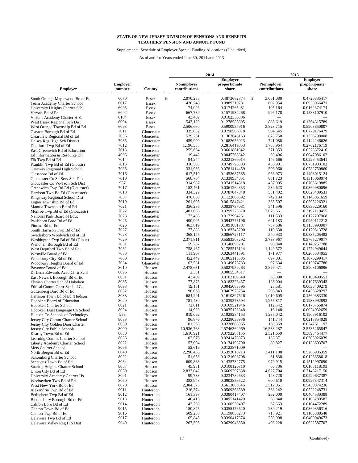Supplemental Schedule of Employer Special Funding Allocations (Unaudited)

|                                 |                 |            | 2014              |                 |    | 2013              |                 |  |
|---------------------------------|-----------------|------------|-------------------|-----------------|----|-------------------|-----------------|--|
|                                 |                 |            |                   | <b>Employer</b> |    |                   | <b>Employer</b> |  |
|                                 | <b>Employer</b> |            | <b>Nonmployer</b> | proportionate   |    | <b>Nonmployer</b> | proportionate   |  |
| <b>Employer</b>                 | number          | County     | contributions     | share           |    | contributions     | share           |  |
| South Orange-Maplewood Bd of Ed | 6070            | Essex      | \$<br>2,070,285   | 0.4873682374    | \$ | 3,061,080         | 0.4726335417    |  |
| Team Academy Charter School     | 6017            | Essex      | 420,248           | 0.0989310781    |    | 602,954           | 0.0930966471    |  |
| University Heights Charter Schl | 6095            | Essex      | 74,026            | 0.0174265481    |    | 105,164           | 0.0162374174    |  |
| Verona Bd of Ed                 | 6092            | Essex      | 667,739           | 0.1571932268    |    | 996,178           | 0.1538107910    |  |
| Visions Academy Charter H.S.    | 6104            | Essex      | 43,469            | 0.0102330886    |    |                   |                 |  |
| West Essex Regional Sch Dist    | 6094            | Essex      | 543,129           | 0.1278586395    |    | 883,619           | 0.1364315789    |  |
| West Orange Township Bd of Ed   | 6093            | Essex      | 2,506,660         | 0.5900957916    |    | 3,823,715         | 0.5903850807    |  |
| Clayton Borough Bd of Ed        | 7011            | Gloucester | 335,832           | 0.0790586078    |    | 504,645           | 0.0779176479    |  |
| Clearview Regional Bd of Ed     | 7036            | Gloucester | 579,261           | 0.1363645163    |    | 878,750           | 0.1356798008    |  |
| Delsea Reg High Sch District    | 7035            | Gloucester | 459,900           | 0.1082656023    |    | 741.088           | 0.1144246626    |  |
| Deptford Twp Bd of Ed           | 7012            | Gloucester | 1,196,383         | 0.2816419353    |    | 1,788,964         | 0.2762176719    |  |
| East Greenwich Bd of Education  | 7013            | Gloucester | 255,664           | 0.0601861642    |    | 371,353           | 0.0573372416    |  |
| Ed Information & Resource Ctr   | 4006            | Gloucester | 19,442            | 0.0045768642    |    | 30,496            | 0.0047086102    |  |
| Elk Twp Bd of Ed                | 7014            | Gloucester | 94,244            | 0.0221860914    |    | 146,666           | 0.0226453641    |  |
| Franklin Twp Bd of Ed (Glocstr) | 7015            | Gloucester | 318,505           | 0.0749796383    |    | 486,981           | 0.0751903102    |  |
| Gateway Regional High School    | 7038            | Gloucester | 331,936           | 0.0781414459    |    | 506,960           | 0.0782750860    |  |
| Glassboro Bd of Ed              | 7016            | Gloucester | 617,510           | 0.1453687585    |    | 966,973           | 0.1493015124    |  |
|                                 | 7010            | Gloucester | 568,764           | 0.1338934051    |    | 851,723           | 0.1315068074    |  |
| Gloucester Co Sp Serv Sch Dist  | 957             |            | 314,987           | 0.0741514618    |    | 457,005           | 0.0705619885    |  |
| Gloucester Co Vo-Tech Sch Dist  | 7017            | Gloucester | 153,461           | 0.0361264353    |    | 239,623           | 0.0369980096    |  |
| Greenwich Twp Bd Ed (Gloucster) |                 | Gloucester |                   |                 |    |                   |                 |  |
| Harrison Twp Bd Ed (Gloucester) | 7018            | Gloucester | 334,329           | 0.0787047848    |    | 531,402           | 0.0820489531    |  |
| Kingsway Regional School Dist   | 7037            | Gloucester | 476,868           | 0.1122600592    |    | 742,134           | 0.1145861659    |  |
| Logan Township Bd of Ed         | 7019            | Gloucester | 261,605           | 0.0615847421    |    | 385,507           | 0.0595226321    |  |
| Mantua Township Bd of Ed        | 7021            | Gloucester | 356,286           | 0.0838737081    |    | 541,596           | 0.0836229160    |  |
| Monroe Twp Bd of Ed (Gloucestr) | 7022            | Gloucester | 1,401,686         | 0.3299725570    |    | 2,070,661         | 0.3197119455    |  |
| National Park Board of Educ     | 7023            | Gloucester | 73,486            | 0.0172994261    |    | 111,533           | 0.0172207968    |  |
| Paulsboro Boro Bd of Ed         | 7025            | Gloucester | 400.905           | 0.0943775196    |    | 621,183           | 0.0959112213    |  |
| Pitman Bd of Ed                 | 7026            | Gloucester | 463,819           | 0.1091881787    |    | 737,686           | 0.1138993907    |  |
| South Harrison Twp Bd of Ed     | 7027            | Gloucester | 77,883            | 0.0183345290    |    | 110,630           | 0.0170813728    |  |
| Swedesboro Woolwich Bd of Ed    | 7028            | Gloucester | 368,175           | 0.0866725117    |    | 540,933           | 0.0835205482    |  |
| Washington Twp Bd of Ed (Glouc) | 7029            | Gloucester | 2,371,811         | 0.5583508292    |    | 3,733,967         | 0.5765279077    |  |
| Wenonah Borough Bd of Ed        | 7031            | Gloucester | 59,767            | 0.0140698201    |    | 90,840            | 0.0140257788    |  |
| West Deptford Twp Bd of Ed      | 7032            | Gloucester | 758,467           | 0.1785516124    |    | 1,149,572         | 0.1774949644    |  |
| Westville Board of Ed           | 7033            | Gloucester | 111,907           | 0.0263441591    |    | 171,977           | 0.0265534055    |  |
| Woodbury City Bd of Ed          | 7000            | Gloucester | 452,449           | 0.1065115535    |    | 697,081           | 0.1076299417    |  |
| Woodbury Heights Board of Ed    | 7034            | Gloucester | 63,581            | 0.0149676783    |    | 97,634            | 0.0150747786    |  |
| Bayonne Board of Ed             | 8010            | Hudson     | 2,475,651         | 0.5827959263    |    | 3,826,471         | 0.5908106096    |  |
| Dr Lena Edwards Acad Chrtr Schl | 8096            | Hudson     | 2,351             | 0.0005534517    |    |                   |                 |  |
| East Newark Borough Bd of Ed    | 8081            | Hudson     | 43,409            | 0.0102189640    |    | 65,090            | 0.0100499553    |  |
| Elysian Charter Sch of Hoboken  | 8085            | Hudson     | 77,875            | 0.0183326457    |    | 128,004           | 0.0197639343    |  |
| Ethical Comm Chrtr Schl - J.C.  | 8093            | Hudson     | 19,151            | 0.0045083595    |    | 23,581            | 0.0036409279    |  |
| Guttenberg Boro Bd of Ed        | 8082            | Hudson     | 196,666           | 0.0462973754    |    | 296,843           | 0.0458328297    |  |
| Harrison Town Bd of Ed (Hudson) | 8083            | Hudson     | 684,291           | 0.1610897526    |    | 1,010,605         | 0.1560383330    |  |
| Hoboken Board of Education      | 8020            | Hudson     | 781,430           | 0.1839573594    |    | 1,255,817         | 0.1938992893    |  |
| Hoboken Charter School          | 8021            | Hudson     | 72,011            | 0.0169521946    |    | 112,542           | 0.0173765874    |  |
| Hoboken Dual Language Ch School | 8094            | Hudson     | 14,920            | 0.0035123348    |    | 16,148            | 0.0024932659    |  |
| Hudson Co Schools of Technology | 956             | Hudson     | 819,092           | 0.1928234153    |    | 1,235,042         | 0.1906916103    |  |
| Jersey City Comm Charter School | 8088            | Hudson     | 96,876            | 0.0228056936    |    | 141,744           | 0.0218854028    |  |
| Jersey City Golden Door Charter | 8089            | Hudson     | 101,358           | 0.0238608065    |    | 160,369           | 0.0247611197    |  |
| Jersey City Public Schools      | 8000            | Hudson     | 10,936,763        | 2.5746362969    |    | 16,538,287        | 2.5535265847    |  |
| Kearny Town Bd of Ed            | 8030            | Hudson     | 1.610.921         | 0.3792288155    |    | 2,521,659         | 0.3893464477    |  |
| Learning Comm. Charter School   | 8086            | Hudson     | 102,576           | 0.0241475373    |    | 133,371           | 0.0205926039    |  |
| Liberty Academy Charter School  | 8022            | Hudson     | 57,004            | 0.0134193790    |    | 89,827            | 0.0138693707    |  |
| Mets Charter School             | 8095            | Hudson     | 52,619            | 0.0123871009    |    |                   |                 |  |
| North Bergen Bd of Ed           | 8040            | Hudson     | 2,290,465         | 0.5392010713    |    | 3,411,188         | 0.5266905359    |  |
| Schomburg Charter School        | 8092            | Hudson     | 51,658            | 0.0121608708    |    | 81,838            | 0.0126358618    |  |
| Secaucus Town Bd of Ed          | 8084            | Hudson     | 609,883           | 0.1435732775    |    | 979,915           | 0.1512997690    |  |
| Soaring Heights Charter School  | 8087            | Hudson     | 45,931            | 0.0108126710    |    | 66,786            | 0.0103118193    |  |
| Union City Bd of Ed             | 8050            | Hudson     | 2,833,042         | 0.6669297638    |    | 4,627,704         | 0.7145217150    |  |
| University Academy Charter Hs   | 8091            | Hudson     | 99,733            | 0.0234782633    |    | 148,728           | 0.0229637387    |  |
|                                 | 8060            | Hudson     | 383,948           | 0.0903856522    |    | 600,610           | 0.0927347314    |  |
| Weehawken Twp Bd of Ed          | 8070            |            | 2,384,373         | 0.5613080645    |    | 3,517,061         | 0.5430374236    |  |
| West New York Bd of Ed          | 9011            | Hudson     | 216,374           |                 |    | 338,242           |                 |  |
| Alexandria Twp Bd of Ed         |                 | Hunterdon  |                   | 0.0509368589    |    |                   | 0.0522248731    |  |
| Bethlehem Twp Bd of Ed          | 9012            | Hunterdon  | 161,597           | 0.0380417407    |    | 262,000           | 0.0404530388    |  |
| Bloomsbury Borough Bd of Ed     | 9013            | Hunterdon  | 40,415            | 0.0095141429    |    | 68,840            | 0.0106289587    |  |
| Califon Boro Bd of Ed           | 9014            | Hunterdon  | 42,708            | 0.0100539407    |    | 67,663            | 0.0104472289    |  |
| Clinton Town Bd of Ed           | 9015            | Hunterdon  | 150,875           | 0.0355176620    |    | 239,219           | 0.0369356316    |  |
| Clinton Twp Bd of Ed            | 9016            | Hunterdon  | 509,258           | 0.1198850273    |    | 715,921           | 0.1105388548    |  |
| Delaware Twp Bd of Ed           | 9017            | Hunterdon  | 165,845           | 0.0390417674    |    | 259,098           | 0.0400049673    |  |
| Delaware Valley Reg H S Dist    | 9040            | Hunterdon  | 267,595           | 0.0629948550    |    | 403,228           | 0.0622587707    |  |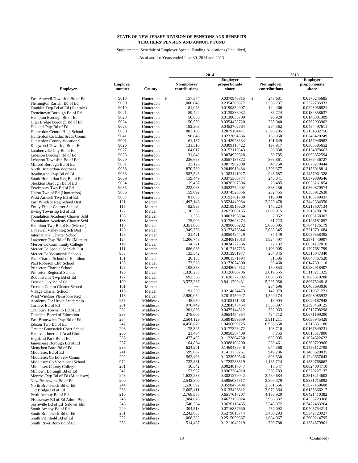Supplemental Schedule of Employer Special Funding Allocations (Unaudited)

|                                                        |                           |                        | 2014 |                                    |  |                              | 2013 |                                    |  |                              |
|--------------------------------------------------------|---------------------------|------------------------|------|------------------------------------|--|------------------------------|------|------------------------------------|--|------------------------------|
|                                                        |                           |                        |      |                                    |  | <b>Employer</b>              |      |                                    |  | <b>Employer</b>              |
| <b>Employer</b>                                        | <b>Employer</b><br>number | County                 |      | <b>Nonmployer</b><br>contributions |  | proportionate<br>share       |      | <b>Nonmployer</b><br>contributions |  | proportionate<br>share       |
|                                                        |                           |                        |      |                                    |  |                              |      |                                    |  |                              |
| East Amwell Township Bd of Ed                          | 9018                      | Hunterdon              | \$   | 157,574                            |  | 0.0370946815                 | \$   | 243,681                            |  | 0.0376245685                 |
| Flemington Raritan Bd of Ed                            | 9000                      | Hunterdon              |      | 1,000,040                          |  | 0.2354205977                 |      | 1,536,737                          |  | 0.2372735933                 |
| Franklin Twp Bd of Ed (Huntrdn)                        | 9019                      | Hunterdon              |      | 81,073                             |  | 0.0190854907                 |      | 144,466                            |  | 0.0223056821                 |
| Frenchtown Borough Bd of Ed                            | 9021                      | Hunterdon              |      | 59,422                             |  | 0.0139886032                 |      | 85,724                             |  | 0.0132358637                 |
| Hampton Borough Bd of Ed                               | 9023                      | Hunterdon              |      | 58,636                             |  | 0.0138035700                 |      | 90,920                             |  | 0.0140381309                 |
| High Bridge Borough Bd of Ed                           | 9024<br>9025              | Hunterdon              |      | 150,559                            |  | 0.0354432720                 |      | 235,040                            |  | 0.0362903902                 |
| Holland Twp Bd of Ed                                   | 9030                      | Hunterdon              |      | 192,303                            |  | 0.0452702764                 |      | 294,362                            |  | 0.0454497611                 |
| Hunterdon Central High School                          | 9041                      | Hunterdon              |      | 883,180<br>98,846                  |  | 0.2079104471                 |      | 1,395,285<br>158,950               |  | 0.2154332756                 |
| Hunterdon Co Educ Srvcs Comm                           | 9001                      | Hunterdon              |      | 61,137                             |  | 0.0232694536                 |      | 101,649                            |  | 0.0245420249                 |
| Hunterdon County Vocational                            | 9026                      | Hunterdon<br>Hunterdon |      | 131,310                            |  | 0.0143923334<br>0.0309118422 |      | 197,917                            |  | 0.0156946982<br>0.0305585652 |
| Kingwood Township Bd of Ed                             | 9027                      | Hunterdon              |      | 64,617                             |  | 0.0152115643                 |      | 86,838                             |  | 0.0134078663                 |
| Lambertville City Bd of Ed<br>Lebanon Borough Bd of Ed | 9028                      | Hunterdon              |      | 31,842                             |  | 0.0074959628                 |      | 60,785                             |  | 0.0093852594                 |
| Lebanon Township Bd of Ed                              | 9029                      | Hunterdon              |      | 236,665                            |  | 0.0557135872                 |      | 366,861                            |  | 0.0566436727                 |
| Milford Borough Bd of Ed                               | 9031                      | Hunterdon              |      | 33,126                             |  | 0.0077982308                 |      | 48,750                             |  | 0.0075270444                 |
| North Hunterdon-Voorhees                               | 9038                      | Hunterdon              |      | 870,780                            |  | 0.2049913484                 |      | 1,396,377                          |  | 0.2156018814                 |
| Readington Twp Bd of Ed                                | 9033                      | Hunterdon              |      | 587,543                            |  | 0.1383141917                 |      | 943,687                            |  | 0.1457061328                 |
| South Hunterdon Reg Bd of Ed                           | 9039                      | Hunterdon              |      | 159,449                            |  | 0.0375360774                 |      | 246,041                            |  | 0.0379889546                 |
| Stockton Borough Bd of Ed                              | 9034                      | Hunterdon              |      | 15,457                             |  | 0.0036387506                 |      | 23,485                             |  | 0.0036261054                 |
| Tewksbury Twp Bd of Ed                                 | 9035                      | Hunterdon              |      | 222,068                            |  | 0.0522772902                 |      | 363,256                            |  | 0.0560870574                 |
| Union Twp of Ed (Hunterdon)                            | 9036                      | Hunterdon              |      | 159,092                            |  | 0.0374520356                 |      | 232,455                            |  | 0.0358912638                 |
| West Amwell Twp Bd of Ed                               | 9037                      | Hunterdon              |      | 81,883                             |  | 0.0192761738                 |      | 119,008                            |  | 0.0183749437                 |
| East Windsor Reg School Dist                           | 121                       | Mercer                 |      | 1,497,146                          |  | 0.3524449084                 |      | 2,229,478                          |  | 0.3442334350                 |
| Emily Fisher Charter School                            | 115                       | Mercer                 |      | 92,993                             |  | 0.0218915920                 |      | 140,224                            |  | 0.0216507134                 |
| Ewing Township Bd of Ed                                | 122                       | Mercer                 |      | 1,136,568                          |  | 0.2675608155                 |      | 1,690,915                          |  | 0.2610788170                 |
| Foundation Academy Charter Schl                        | 133                       | Mercer                 |      | 1,358                              |  | 0.0003196884                 |      | 2,052                              |  | 0.0003168307                 |
| Foundation Academy Charter Schl                        | 133                       | Mercer                 |      | 75,909                             |  | 0.0178698274                 |      | 81,723                             |  | 0.0126181057                 |
| Hamilton Twp Bd of Ed (Mercer)                         | 110                       | Mercer                 |      | 3,351,863                          |  | 0.7890660282                 |      | 5,080,395                          |  | 0.7844176179                 |
| Hopewell Valley Reg Sch Dist                           | 123                       | Mercer                 |      | 1,349,756                          |  | 0.3177476544                 |      | 2,085,345                          |  | 0.3219791684                 |
| <b>International Charter School</b>                    | 128                       | Mercer                 |      | 21,421                             |  | 0.0050427429                 |      | 37,149                             |  | 0.0057358395                 |
| Lawrence Twp Bd of Ed (Mercer)                         | 124                       | Mercer                 |      | 1,206,746                          |  | 0.2840815013                 |      | 1,924,497                          |  | 0.2971440907                 |
| Mercer Co Community College                            | 119                       | Mercer                 |      | 14,771                             |  | 0.0034772586                 |      | 22,132                             |  | 0.0034172010                 |
| Mercer Co Special Ser Sch Dist                         | 111                       | Mercer                 |      | 686,963                            |  | 0.1617187713                 |      | 1,106,005                          |  | 0.1707681799                 |
| Mercer Co Vocational Schools                           | 953                       | Mercer                 |      | 133,342                            |  | 0.0313901977                 |      | 204,045                            |  | 0.0315047340                 |
| Pace Charter School of Hamilton                        | 131                       | Mercer                 |      | 26,155                             |  | 0.0061571794                 |      | 31,585                             |  | 0.0048767528                 |
| Paul Robeson Chtr School                               | 135                       | Mercer                 |      | 73,520                             |  | 0.0173074300                 |      | 95,460                             |  | 0.0147391110                 |
| Princeton Charter School                               | 126                       | Mercer                 |      | 105,358                            |  | 0.0248024512                 |      | 150,853                            |  | 0.0232918407                 |
| Princeton Regional School                              | 125                       | Mercer                 |      | 1,328,255                          |  | 0.3126860786                 |      | 2,019,555                          |  | 0.3118211325                 |
| Robbinsville Twp Bd of Ed                              | 127                       | Mercer                 |      | 692,566                            |  | 0.1630377802                 |      | 1,080,635                          |  | 0.1668510288                 |
| Trenton City Bd of Ed                                  | 100                       | Mercer                 |      | 3,573,237                          |  | 0.8411799431                 |      | 5,225,050                          |  | 0.8067524818                 |
| Trenton Comm Charter School                            | 101                       | Mercer                 |      |                                    |  |                              |      | 264,696                            |  | 0.0408693036                 |
| Village Charter School                                 | 116                       | Mercer                 |      | 91,255                             |  | 0.0214824473                 |      | 142,079                            |  | 0.0219371271                 |
| West Windsor Plainsboro Reg                            | 118                       | Mercer                 |      | 2,980,084                          |  | 0.7015450947                 |      | 4,529,174                          |  | 0.6993085932                 |
| Academy For Urban Leadership                           | 255                       | Middlesex              |      | 45,950                             |  | 0.0108171438                 |      | 18,904                             |  | 0.0029187948                 |
| Carteret Bd of Ed                                      | 231                       | Middlesex              |      | 970,449                            |  | 0.2284545454                 |      | 1,553,397                          |  | 0.2398459125                 |
| Cranbury Township Bd of Ed                             | 232                       | Middlesex              |      | 201,836                            |  | 0.0475144512                 |      | 332,063                            |  | 0.0512708298                 |
| Dunellen Board of Education                            | 233                       | Middlesex              |      | 278,005                            |  | 0.0654454854                 |      | 434,712                            |  | 0.0671199290                 |
| East Brunswick Twp Bd of Ed                            | 234                       | Middlesex              |      | 2,504,129                          |  | 0.5894999659                 |      | 3,911,211                          |  | 0.6038945428                 |
| Edison Twp Bd of Ed                                    | 247                       | Middlesex              |      | 4,458,879                          |  | 1.0496699725                 |      | 6,938,658                          |  | 1.0713351186                 |
| Greater Brunswick Chart.School                         | 203<br>256                | Middlesex              |      | 75,325                             |  | 0.0177323472                 |      | 108,710                            |  | 0.0167849231                 |
| Hatikvah Internat'l Acad Chrtr                         |                           | Middlesex              |      | 21,404                             |  | 0.0050387409                 |      | 8,755                              |  | 0.0013517800                 |
| Highland Park Bd of Ed                                 | 236<br>237                | Middlesex              |      | 477,405<br>164,864                 |  | 0.1123864750                 |      | 695,995<br>239,461                 |  | 0.1074622623                 |
| Jamesburg Borough Bd of Ed                             | 239                       | Middlesex              |      | 624,201                            |  | 0.0388108290<br>0.1469438948 |      | 944,368                            |  | 0.0369729966<br>0.1458112798 |
| Metuchen Boro Bd of Ed<br>Middlesex Bd of Ed           | 241                       | Middlesex<br>Middlesex |      | 599,687                            |  | 0.1411730251                 |      | 949,236                            |  | 0.1465629035                 |
| Middlesex Co Ed Serv Comm                              | 202                       | Middlesex              |      | 562,403                            |  | 0.1323959546                 |      | 803,530                            |  | 0.1240657643                 |
| Middlesex Co Vocational School                         | 972                       | Middlesex              |      | 732,881                            |  | 0.1725283819                 |      | 1,185,724                          |  | 0.1830768662                 |
| Middlesex County College                               | 201                       | Middlesex              |      | 10,542                             |  | 0.0024817047                 |      | 15,547                             |  | 0.0024004710                 |
| Milltown Borough Bd of Ed                              | 242                       | Middlesex              |      | 153,937                            |  | 0.0362384910                 |      | 239,783                            |  | 0.0370227137                 |
| Monroe Twp Bd of Ed (Middlesex)                        | 243                       | Middlesex              |      | 1,623,236                          |  | 0.3821279042                 |      | 2,469,684                          |  | 0.3813214603                 |
| New Brunswick Bd of Ed                                 | 200                       | Middlesex              |      | 2,542,800                          |  | 0.5986035517                 |      | 3,809,379                          |  | 0.5881715892                 |
| North Brunswick Bd of Ed                               | 244                       | Middlesex              |      | 1,528,592                          |  | 0.3598476484                 |      | 2,381,566                          |  | 0.3677159608                 |
| Old Bridge Bd of Ed                                    | 238                       | Middlesex              |      | 2,605,411                          |  | 0.6133428812                 |      | 3,972,364                          |  | 0.6133366217                 |
| Perth Amboy Bd of Ed                                   | 210                       | Middlesex              |      | 2,768,355                          |  | 0.6517017207                 |      | 4,158,920                          |  | 0.6421410382                 |
| Piscataway Bd of Ed Admn Bldg                          | 245                       | Middlesex              |      | 1,984,678                          |  | 0.4672153924                 |      | 2,936,332                          |  | 0.4533723368                 |
| Sayreville Bd of Ed Selover Elm                        | 248                       | Middlesex              |      | 1,540,334                          |  | 0.3626118465                 |      | 2,248,972                          |  | 0.3472433264                 |
| South Ambov Bd of Ed                                   | 249                       | Middlesex              |      | 304,513                            |  | 0.0716857650                 |      | 457,092                            |  | 0.0705754214                 |
| South Brunswick Bd of Ed                               | 251                       | Middlesex              |      | 2,242,805                          |  | 0.5279813744                 |      | 3,460,293                          |  | 0.5342723927                 |
| South Plainfield Bd of Ed                              | 252                       | Middlesex              |      | 1,068,382                          |  | 0.2515090687                 |      | 1,684,067                          |  | 0.2600214795                 |
| South River Boro Bd of Ed                              | 253                       | Middlesex              |      | 514,437                            |  | 0.1211042219                 |      | 799,788                            |  | 0.1234879961                 |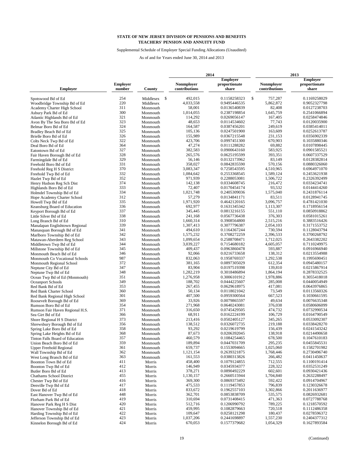Supplemental Schedule of Employer Special Funding Allocations (Unaudited)

|                                                             |                           |                        | 2014                               |                              |    | 2013                               |  |                              |
|-------------------------------------------------------------|---------------------------|------------------------|------------------------------------|------------------------------|----|------------------------------------|--|------------------------------|
|                                                             |                           |                        |                                    | <b>Employer</b>              |    |                                    |  | <b>Employer</b>              |
| <b>Employer</b>                                             | <b>Employer</b><br>number | County                 | <b>Nonmployer</b><br>contributions | proportionate<br>share       |    | <b>Nonmployer</b><br>contributions |  | proportionate<br>share       |
|                                                             | 254                       |                        | \$<br>492,015                      |                              | \$ | 757,287                            |  | 0.1169258029                 |
| Spotswood Bd of Ed                                          | 220                       | Middlesex<br>Middlesex | 4,033,558                          | 0.1158258323<br>0.9495446535 |    | 5,862,872                          |  | 0.9052327798                 |
| Woodbridge Township Bd of Ed<br>Academy Charter High School | 311                       | Monmouth               | 58,001                             | 0.0136540839                 |    | 82,408                             |  | 0.0127238703                 |
| Asbury Park Bd of Ed                                        | 300                       | Monmouth               | 1,014,055                          | 0.2387198854                 |    | 1,645,759                          |  | 0.2541066894                 |
| Atlantic Highlands Bd of Ed                                 | 321                       | Monmouth               | 114,292                            | 0.0269056147                 |    | 167,405                            |  | 0.0258474846                 |
| Avon By The Sea Boro Bd of Ed                               | 323                       | Monmouth               | 48,653                             | 0.0114534602                 |    | 77,743                             |  | 0.0120035900                 |
| Belmar Boro Bd of Ed                                        | 324                       | Monmouth               | 164,587                            | 0.0387456201                 |    | 249,619                            |  | 0.0385414011                 |
| Bradley Beach Bd of Ed                                      | 325                       | Monmouth               | 105,136                            | 0.0247501900                 |    | 163,609                            |  | 0.0252613787                 |
| Brielle Boro Bd of Ed                                       | 326                       | Monmouth               | 155,989                            | 0.0367215548                 |    | 231,153                            |  | 0.0356902339                 |
| Colts Neck Twp Bd of Ed                                     | 322                       | Monmouth               | 423,706                            | 0.0997451300                 |    | 670,903                            |  | 0.1035880346                 |
| Deal Boro Bd of Ed                                          | 364                       | Monmouth               | 47,274                             | 0.0111288282                 |    | 69,882                             |  | 0.0107898445                 |
| Eatontown Bd of Ed                                          | 327                       | Monmouth               | 382,583                            | 0.0900643160                 |    | 583,925                            |  | 0.0901585521                 |
| Fair Haven Borough Bd of Ed                                 | 328                       | Monmouth               | 265,576                            | 0.0625195599                 |    | 393,351                            |  | 0.0607337529                 |
| Farmingdale Bd of Ed                                        | 329                       | Monmouth               | 56,146                             | 0.0132173962                 |    | 83,149                             |  | 0.0128382814                 |
| Freehold Boro Bd of Ed                                      | 331                       | Monmouth               | 358,027                            | 0.0842835590                 |    | 570,156                            |  | 0.0880326060                 |
| Freehold Reg H S District                                   | 370                       | Monmouth               | 3,083,347                          | 0.7258543595                 |    | 4,510,965                          |  | 0.6964971070                 |
| Freehold Twp Bd of Ed                                       | 332                       | Monmouth               | 1,084,642                          | 0.2553368545                 |    | 1,589,124                          |  | 0.2453621938                 |
| Hazlet Twp Bd of Ed                                         | 352                       | Monmouth               | 971,939                            | 0.2288053081                 |    | 1,506,722                          |  | 0.2326392499                 |
| Henry Hudson Reg Sch Dist                                   | 374                       | Monmouth               | 142,138                            | 0.0334608745                 |    | 216,472                            |  | 0.0334234741                 |
| Highlands Boro Bd of Ed                                     | 333                       | Monmouth               | 72,407                             | 0.0170454174                 |    | 93,532                             |  | 0.0144414260                 |
| Holmdel Township Bd of Ed                                   | 334                       | Monmouth               | 1,021,748                          | 0.2405309036                 |    | 1,575,040                          |  | 0.2431876114                 |
| Hope Academy Charter School                                 | 312                       | Monmouth               | 57,279                             | 0.0134841171                 |    | 83,511                             |  | 0.0128941745                 |
| Howell Twp Bd of Ed                                         | 335                       | Monmouth               | 1,971,920                          | 0.4642120165                 |    | 3,096,757                          |  | 0.4781421030                 |
| Keansburg Board of Education                                | 336                       | Monmouth               | 692,977                            | 0.1631345342                 |    | 1,113,307                          |  | 0.1718956154                 |
| Keyport Borough Bd of Ed                                    | 337                       | Monmouth               | 345,445                            | 0.0813216155                 |    | 551,110                            |  | 0.0850918862                 |
| Little Silver Bd of Ed                                      | 338                       | Monmouth               | 241,168                            | 0.0567736438                 |    | 376,303                            |  | 0.0581015261                 |
| Long Branch Bd of Ed                                        | 310                       | Monmouth               | 1,660,314                          | 0.3908564800                 |    | 2,515,216                          |  | 0.3883516426                 |
| Manalapan Englishtown Regional                              | 339                       | Monmouth               | 1,307,413                          | 0.3077796387                 |    | 2.054.103                          |  | 0.3171553752                 |
| Manasquan Borough Bd of Ed                                  | 341                       | Monmouth               | 494,610                            | 0.1164367244                 |    | 730,594                            |  | 0.1128043794                 |
| Marlboro Township Bd of Ed                                  | 342                       | Monmouth               | 1,575,232                          | 0.3708272259                 |    | 2,396,533                          |  | 0.3700268792                 |
| Matawan-Aberdeen Reg School                                 | 343                       | Monmouth               | 1,099,654                          | 0.2588708471                 |    | 1,712,025                          |  | 0.2643382202                 |
| Middletown Twp Bd of Ed                                     | 344                       | Monmouth               | 3,039,227                          | 0.7154680182                 |    | 4,605,057                          |  | 0.7110249975                 |
| Millstone Township Bd of Ed                                 | 345                       | Monmouth               | 409,437                            | 0.0963860478                 |    | 593,887                            |  | 0.0916966940                 |
| Monmouth Beach Bd of Ed                                     | 346                       | Monmouth               | 92,066                             | 0.0216733658                 |    | 138,312                            |  | 0.0213554988                 |
| Monmouth Co Vocational Schools                              | 987                       | Monmouth               | 832,063                            | 0.1958769337                 |    | 1,292,538                          |  | 0.1995690451                 |
| Monmouth Regional School                                    | 372                       | Monmouth               | 381,165                            | 0.0897305029                 |    | 612,354                            |  | 0.0945480157                 |
| Neptune City Bd of Ed                                       | 347                       | Monmouth               | 83,904                             | 0.0197519398                 |    | 139,810                            |  | 0.0215867914                 |
| Neptune Twp Bd of Ed                                        | 348                       | Monmouth               | 1,282,219                          | 0.3018486894                 |    | 1,864,194                          |  | 0.2878332525                 |
| Ocean Twp Bd of Ed (Monmouth)                               | 351                       | Monmouth               | 1,276,958                          | 0.3006101912                 |    | 1,978,886                          |  | 0.3055418018                 |
| Oceanport Schools                                           | 349                       | Monmouth               | 188,702                            | 0.0444225607                 |    | 285,008                            |  | 0.0440054949                 |
| Red Bank Bd of Ed                                           | 353                       | Monmouth               | 267,455                            | 0.0629618975                 |    | 417,081                            |  | 0.0643976865                 |
| Red Bank Charter School                                     | 360                       | Monmouth               | 50,134                             | 0.0118021042                 |    | 73,549                             |  | 0.0113560326                 |
| Red Bank Regional High School                               | 301                       | Monmouth               | 407,500                            | 0.0959300564                 |    | 667,523                            |  | 0.1030661595                 |
| Roosevelt Borough Bd of Ed                                  | 369                       | Monmouth               | 33,926                             | 0.0079865597                 |    | 49,634                             |  | 0.0076635348                 |
| Rumson Boro Bd of Ed                                        | 354                       | Monmouth               | 271,968                            | 0.0640243081                 |    | 376,038                            |  | 0.0580606099                 |
| Rumson Fair Haven Regional H.S.                             | 371                       | Monmouth               | 316,650                            | 0.0745429505                 |    | 474,732                            |  | 0.0732990534                 |
| Sea Girt Bd of Ed                                           | 366                       | Monmouth               | 68,911                             | 0.0162224199                 |    | 106,729                            |  | 0.0164790549                 |
| Shore Regional H S District                                 | 373                       | Monmouth               | 213,416                            | 0.0502405127                 |    | 345,265                            |  | 0.0533092307                 |
| Shrewsbury Borough Bd of Ed                                 | 356                       | Monmouth               | 138,512                            | 0.0326072735                 |    | 219,188                            |  | 0.0338428270                 |
| Spring Lake Boro Bd of Ed                                   | 358                       | Monmouth               | 93,292                             | 0.0219619799                 |    | 156,439                            |  | 0.0241543242                 |
| Spring Lake Heights Bd of Ed                                | 368                       | Monmouth               | 87,673                             | 0.0206392045                 |    | 138,918                            |  | 0.0214490658                 |
| Tinton Falls Board of Education                             | 357                       | Monmouth               | 460,579                            | 0.1084254465                 |    | 678,500                            |  | 0.1047610183                 |
| Union Beach Boro Bd of Ed                                   | 359                       | Monmouth               | 189,894                            | 0.0447031709                 |    | 295,235                            |  | 0.0455845531                 |
| <b>Upper Freehold Regional</b>                              | 361                       | Monmouth               | 659,737                            | 0.1553094665                 |    | 1,025,060                          |  | 0.1582701982                 |
| Wall Township Bd of Ed                                      | 362                       | Monmouth               | 1,121,154                          | 0.2639321875                 |    | 1,768,446                          |  | 0.2730496740                 |
| West Long Branch Bd of Ed                                   | 363                       | Monmouth               | 161,553                            | 0.0380313826                 |    | 266,482                            |  | 0.0411450637                 |
| Boonton Town Bd of Ed                                       | 411                       | Morris                 | 458,400<br>146,949                 | 0.1079124855                 |    | 712,555<br>228,322                 |  | 0.1100191414                 |
| Boonton Twp Bd of Ed                                        | 412                       | Morris                 |                                    | 0.0345934377                 |    |                                    |  | 0.0352531249                 |
| Butler Boro Bd of Ed                                        | 413                       | Morris                 | 378,271                            | 0.0890492229                 |    | 602,601                            |  | 0.0930421436                 |
| Chathams School District                                    | 455                       | Morris                 | 1,130,157                          | 0.2660515944                 |    | 1,704,840                          |  | 0.2632288497                 |
| Chester Twp Bd of Ed                                        | 416<br>417                | Morris                 | 369,300<br>475,533                 | 0.0869373492                 |    | 592,422<br>796,839                 |  | 0.0914704967                 |
| Denville Twp Bd of Ed                                       | 418                       | Morris                 | 833,672                            | 0.1119457853                 |    |                                    |  | 0.1230326678<br>0.2011636977 |
| Dover Bd of Ed                                              | 448                       | Morris                 | 362,701                            | 0.1962557103                 |    | 1,302,866<br>535,575               |  |                              |
| East Hanover Twp Bd of Ed                                   | 419                       | Morris                 | 310,694                            | 0.0853838709                 |    | 471,363                            |  | 0.0826932681<br>0.0727788768 |
| Florham Park Bd of Ed                                       | 420                       | Morris                 | 512,716                            | 0.0731408415                 |    | 789,225                            |  |                              |
| Hanover Park Reg H S Dist                                   | 421                       | Morris                 | 459,995                            | 0.1206990792                 |    | 720,518                            |  | 0.1218570592                 |
| Hanover Township Bd of Ed                                   | 422                       | Morris                 | 109,647                            | 0.1082879663                 |    |                                    |  | 0.1112486358                 |
| Harding Township Bd of Ed                                   | 423                       | Morris                 | 1,037,206                          | 0.0258121298<br>0.2441698897 |    | 180,437<br>1,557,230               |  | 0.0278596372<br>0.2404377312 |
| Jefferson Township Bd of Ed                                 | 424                       | Morris                 | 670,053                            |                              |    | 1,054,329                          |  |                              |
| Kinnelon Borough Bd of Ed                                   |                           | Morris                 |                                    | 0.1577379682                 |    |                                    |  | 0.1627893584                 |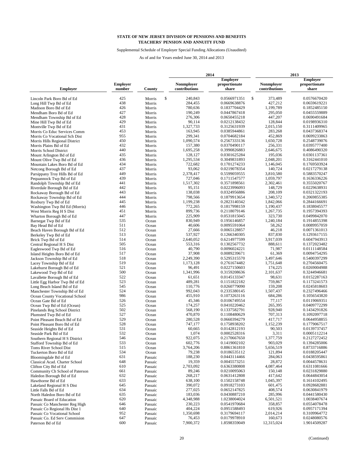Supplemental Schedule of Employer Special Funding Allocations (Unaudited)

|                                                           |                           |                    | 2014                               | 2013                               |                                    |                              |  |
|-----------------------------------------------------------|---------------------------|--------------------|------------------------------------|------------------------------------|------------------------------------|------------------------------|--|
|                                                           |                           |                    |                                    | <b>Employer</b>                    |                                    | <b>Employer</b>              |  |
| <b>Employer</b>                                           | <b>Employer</b><br>number | County             | <b>Nonmployer</b><br>contributions | proportionate<br>share             | <b>Nonmployer</b><br>contributions | proportionate<br>share       |  |
|                                                           |                           |                    |                                    |                                    |                                    |                              |  |
| Lincoln Park Boro Bd of Ed                                | 425<br>438                | Morris             | \$<br>240,843                      | \$<br>0.0566971351<br>0.0669638876 | 373,489                            | 0.0576670420                 |  |
| Long Hill Twp Bd of Ed                                    | 426                       | Morris             | 284,455<br>780,636                 | 0.1837704429                       | 427,212<br>1,199,789               | 0.0659619221<br>0.1852485150 |  |
| Madison Boro Bd of Ed                                     | 427                       | Morris             | 190,249                            | 0.0447867418                       | 295,050                            | 0.0455559889                 |  |
| Mendham Boro Bd of Ed                                     | 428                       | Morris<br>Morris   | 276,306                            | 0.0650455218                       | 447,207                            | 0.0690491684                 |  |
| Mendham Township Bd of Ed                                 | 429                       | Morris             | 90,114                             | 0.0212138432                       | 128,844                            | 0.0198936310                 |  |
| Mine Hill Twp Bd of Ed<br>Montville Twp Bd of Ed          | 431                       | Morris             | 1,327,733                          | 0.3125631939                       | 2,015,150                          | 0.3111409965                 |  |
| Morris Co Educ Services Comm                              | 453                       | Morris             | 163.945                            | 0.0385944861                       | 283,268                            | 0.0437368374                 |  |
| Morris Co Vocational Sch Dist                             | 955                       | Morris             | 299,341                            | 0.0704682184                       | 452,869                            | 0.0699233863                 |  |
| Morris Hills Regional District                            | 450                       | Morris             | 1,090,574                          | 0.2567333136                       | 1,650,728                          | 0.2548739076                 |  |
| Morris Plains Bd of Ed                                    | 432                       | Morris             | 157,380                            | 0.0370490117                       | 256,331                            | 0.0395777400                 |  |
| Morris School District                                    | 440                       | Morris             | 1,695,258                          | 0.3990826883                       | 2,646,675                          | 0.4086490320                 |  |
| Mount Arlington Bd of Ed                                  | 435                       | Morris             | 128,127                            | 0.0301625284                       | 195,036                            | 0.0301137361                 |  |
| Mount Olive Twp Bd of Ed                                  | 436                       | Morris             | 1,295,534                          | 0.3049831893                       | 2,048,201                          | 0.3162441010                 |  |
| Mountain Lakes Boro Bd of Ed                              | 434                       | Morris             | 722,682                            | 0.1701274233                       | 1,146,045                          | 0.1769503924                 |  |
| Netcong Borough Bd of Ed                                  | 437                       | Morris             | 93,062                             | 0.0219078354                       | 140,724                            | 0.0217279138                 |  |
| Parsippany Troy Hills Bd of Ed                            | 449                       | Morris             | 2,378,417                          | 0.5599059555                       | 3,810,580                          | 0.5883570247                 |  |
| Pequannock Twp Bd of Ed                                   | 439                       | Morris             | 727,046                            | 0.1711547577                       | 1,059,797                          | 0.1636336226                 |  |
| Randolph Township Bd of Ed                                | 441                       | Morris             | 1,517,302                          | 0.3571898561                       | 2,302,461                          | 0.3555020767                 |  |
| Riverdale Borough Bd of Ed                                | 442                       | Morris             | 95,151                             | 0.0223996093                       | 148,729                            | 0.0229638931                 |  |
| Rockaway Borough Bd of Ed                                 | 443                       | Morris             | 138,038                            | 0.0324956886                       | 208.109                            | 0.0321322193                 |  |
| Rockaway Township Bd of Ed                                | 444                       | Morris             | 798,566                            | 0.1879913654                       | 1,340,572                          | 0.2069855385                 |  |
| Roxbury Twp Bd of Ed                                      | 445                       | Morris             | 1,199,238                          | 0.2823140342                       | 1,842,066                          | 0.2844166691                 |  |
| Washington Twp Bd Ed (Morris)                             | 446                       | Morris             | 772,265                            | 0.1817998159                       | 1,190,437                          | 0.1838045577                 |  |
| West Morris Reg H S Dist                                  | 451                       | Morris             | 899,736                            | 0.2118079146                       | 1,267,735                          | 0.1957394393                 |  |
| Wharton Borough Bd of Ed                                  | 447                       | Morris             | 225,909                            | 0.0531815045                       | 323,730                            | 0.0499842070                 |  |
| Barnegat Twp Bd of Ed                                     | 535                       | Ocean              | 830,949                            | 0.1956146857                       | 1,240,184                          | 0.1914855398                 |  |
| Bay Head Bd of Ed                                         | 511                       | Ocean              | 40,606                             | 0.0095591064                       | 58.262                             | 0.0089957059                 |  |
| Beach Haven Borough Bd of Ed                              | 512                       | Ocean              | 27,666                             | 0.0065128857                       | 46,218                             | 0.0071361013                 |  |
| Berkeley Twp Bd of Ed                                     | 513                       | Ocean              | 537,927                            | 0.1266340305                       | 837,830                            | 0.1293617155                 |  |
| Brick Twp Bd of Ed                                        | 514                       | Ocean              | 2,640,052                          | 0.6214977599                       | 3,917,039                          | 0.6047943913                 |  |
| Central Regional H S Dist                                 | 505                       | Ocean              | 553,316                            | 0.1302567732                       | 888,611                            | 0.1372023482                 |  |
| Eagleswood Twp Bd of Ed                                   | 516                       | Ocean              | 40,790                             | 0.0096024221                       | 71,987                             | 0.0111148584                 |  |
| Island Heights Boro Bd of Ed                              | 517                       | Ocean              | 37,908                             | 0.0089239671                       | 61,369                             | 0.0094754295                 |  |
| Jackson Township Bd of Ed                                 | 518                       | Ocean              | 2,249,390                          | 0.5295315570                       | 3,497,646                          | 0.5400397299                 |  |
| Lacey Township Bd of Ed                                   | 519                       | Ocean              | 1,173,128                          | 0.2761674482                       | 1,751,648                          | 0.2704560475                 |  |
| Lakehurst Borough Bd of Ed                                | 521                       | Ocean              | 96,491                             | 0.0227150603                       | 174,225                            | 0.0269004988                 |  |
| Lakewood Twp Bd of Ed                                     | 500                       | Ocean              | 1,341,996                          | 0.3159208636                       | 2,101,637                          | 0.3244946681                 |  |
| Lavallette Borough Bd of Ed                               | 522                       | Ocean              | 61,651                             | 0.0145133347                       | 98,631                             | 0.0152287163                 |  |
| Little Egg Harbor Twp Bd of Ed                            | 523                       | Ocean              | 489,281                            | 0.1151822182                       | 759,867                            | 0.1173241573                 |  |
| Long Beach Island Bd of Ed                                | 545                       | Ocean              | 110,776                            | 0.0260779090                       | 159,208                            | 0.0245818603                 |  |
| Manchester Township Bd of Ed                              | 524                       | Ocean              | 992,043                            | 0.2335380145                       | 1,507,437                          | 0.2327496466                 |  |
| Ocean County Vocational School                            | 986                       | Ocean              | 455,910                            | 0.1073263116                       | 684,286                            | 0.1056543820                 |  |
| Ocean Gate Bd of Ed                                       | 526                       | Ocean              | 45,346                             | 0.0106749554                       | 77,117                             | 0.0119069351                 |  |
| Ocean Twp Bd of Ed (Ocean)                                | 525                       | Ocean              | 174,257                            | 0.0410220462                       | 265,395                            | 0.0409772299                 |  |
| Pinelands Reg School District                             | 502                       | Ocean              | 568,190                            | 0.1337582791                       | 928,940                            | 0.1434291826                 |  |
| Plumsted Twp Bd of Ed                                     | 527                       | Ocean              | 470,870                            | 0.1108480629                       | 707,313                            | 0.1092097718                 |  |
| Point Pleasant Beach Bd of Ed                             | 529                       | Ocean              | 280,528                            | 0.0660394279                       | 417,717                            | 0.0644958855                 |  |
| Point Pleasant Boro Bd of Ed                              | 528                       | Ocean              | 747,177                            | 0.1758938202                       | 1,152,239                          | 0.1779067517                 |  |
| Seaside Heights Bd of Ed                                  | 531                       | Ocean              | 60,665                             | 0.0142812193                       | 90,503                             | 0.0139737457                 |  |
| Seaside Park Bd of Ed                                     | 532                       | Ocean              | 1,074                              | 0.0002528316                       | 3,311                              | 0.0005112214                 |  |
| Southern Regional H S District                            | 546                       | Ocean              | 922,075                            | 0.2170667650                       | 1,377,759                          | 0.2127272452                 |  |
| Stafford Township Bd of Ed                                | 533                       | Ocean              | 602,776                            | 0.1419002102                       | 903,029                            | 0.1394285006                 |  |
| Toms River School Dist                                    | 515                       | Ocean              | 3,764,206                          | 0.8861361810                       | 5,656,519                          | 0.8733716886                 |  |
| Tuckerton Boro Bd of Ed                                   | 534                       | Ocean              | 79,238                             | 0.0186535112                       | 121,894                            | 0.0188205447                 |  |
| Bloomingdale Bd of Ed                                     | 631                       | Passaic            | 188,230                            | 0.0443114466                       | 284,063                            | 0.0438595861                 |  |
| Classical Acad. Charter School                            | 648                       | Passaic            | 19,359                             | 0.0045573251                       | 28,872                             | 0.0044578631                 |  |
| Clifton City Bd of Ed                                     | 610                       | Passaic            | 2,703,092                          | 0.6363380808<br>0.0210095063       | 4,087,464                          | 0.6311081666                 |  |
| Community Ch School of Paterson                           | 661<br>632                | Passaic            | 89,246<br>268,217                  |                                    | 150,148<br>417,642                 | 0.0231829880                 |  |
| Haledon Borough Bd of Ed                                  |                           | Passaic            | 638,100                            | 0.0631412808                       | 1,045,397                          | 0.0644843054<br>0.1614102495 |  |
| Hawthorne Bd of Ed                                        | 633                       | Passaic            | 390,072                            | 0.1502158748                       | 601,475                            | 0.0928682881                 |  |
| Lakeland Regional H S Dist                                | 645<br>634                | Passaic            | 277,025                            | 0.0918273103<br>0.0652147825       | 408,574                            | 0.0630841979                 |  |
| Little Falls Bd of Ed                                     |                           | Passaic            | 183,036                            |                                    | 285,996                            |                              |  |
| North Haledon Boro Bd of Ed<br>Passaic Board of Education | 635<br>620                | Passaic            | 4,348,988                          | 0.0430887210<br>1.0238004024       | 6,501,521                          | 0.0441580430<br>1.0038407674 |  |
|                                                           |                           | Passaic            | 230,223                            |                                    |                                    |                              |  |
| Passaic Co Manchester Reg High                            | 646                       | Passaic            | 404,224                            | 0.0541970684                       | 358,857                            | 0.0554078478<br>0.0957171394 |  |
| Passaic Co Regional Hs Dist 1                             | 640<br>952                | Passaic            | 1,350,698                          | 0.0951588493<br>0.3179694117       | 619,926<br>2,014,214               | 0.3109964772                 |  |
| Passaic Co Vocational School                              | 647                       | Passaic            | 76,453                             | 0.0179978910                       | 160,673                            | 0.0248080576                 |  |
| Passaic Co. Ed Serv Commision<br>Paterson Bd of Ed        | 600                       | Passaic<br>Passaic | 7,900,372                          | 1.8598359049                       | 12,315,024                         | 1.9014509287                 |  |
|                                                           |                           |                    |                                    |                                    |                                    |                              |  |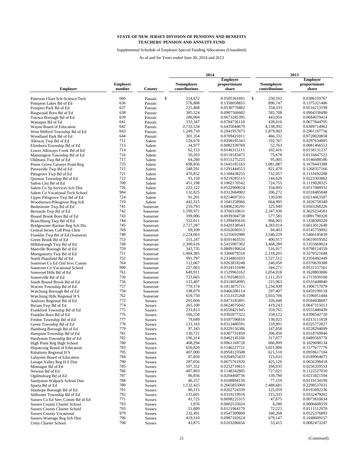Supplemental Schedule of Employer Special Funding Allocations (Unaudited)

|                                                       |                           |                                | 2014 |                                    |                              |               |                                    | 2013 |                              |  |  |
|-------------------------------------------------------|---------------------------|--------------------------------|------|------------------------------------|------------------------------|---------------|------------------------------------|------|------------------------------|--|--|
|                                                       |                           |                                |      |                                    | <b>Employer</b>              |               |                                    |      | <b>Employer</b>              |  |  |
| <b>Employer</b>                                       | <b>Employer</b><br>number | County                         |      | <b>Nonmployer</b><br>contributions | proportionate<br>share       |               | <b>Nonmployer</b><br>contributions |      | proportionate<br>share       |  |  |
| Paterson Chart Sch-Science/Tech                       | 660                       | Passaic                        | \$   | 214,672                            | 0.0505361891                 | <sup>\$</sup> | 250,102                            |      | 0.0386159767                 |  |  |
| Pompton Lakes Bd of Ed                                | 636                       | Passaic                        |      | 576,888                            | 0.1358058855                 |               | 890,747                            |      | 0.1375321486                 |  |  |
| Prospect Park Bd of Ed                                | 637                       | Passaic                        |      | 225,468                            | 0.0530776882                 |               | 334,333                            |      | 0.0516213199                 |  |  |
| Ringwood Boro Bd of Ed                                | 638                       | Passaic                        |      | 385,524                            | 0.0907566602                 |               | 585,708                            |      | 0.0904338490                 |  |  |
| Totowa Borough Bd of Ed                               | 639                       | Passaic                        |      | 286,004                            | 0.0673285395                 |               | 443,054                            |      | 0.0684079414                 |  |  |
| Wanaque Bd of Ed                                      | 641                       | Passaic                        |      | 333,347                            | 0.0784736110                 |               | 439,016                            |      | 0.0677844705                 |  |  |
| Wayne Board of Education                              | 642                       | Passaic                        |      | 2,733,534                          | 0.6435044679                 |               | 4,138,392                          |      | 0.6389714963                 |  |  |
| West Milford Township Bd of Ed                        | 643                       | Passaic                        |      | 1,249,710                          | 0.2941957073                 |               | 1,879,003                          |      | 0.2901197756                 |  |  |
| Woodland Park Bd of Ed                                | 644                       | Passaic                        |      | 301,354                            | 0.0709421011                 |               | 466.332                            |      | 0.0720020858                 |  |  |
| Alloway Twp Bd of Ed                                  | 711                       | Salem                          |      | 126,670                            | 0.0298195343                 |               | 192,767                            |      | 0.0297634005                 |  |  |
| Elsinboro Township Bd of Ed                           | 713                       |                                |      | 34,977                             | 0.0082339769                 |               | 52,763                             |      | 0.0081466553                 |  |  |
|                                                       | 714                       | Salem<br>Salem                 |      | 62,153                             | 0.0146315111                 |               | 102,416                            |      | 0.0158131237                 |  |  |
| Lower Alloways Creek Bd of Ed                         | 716                       |                                |      | 50,203                             | 0.0118183475                 |               | 75,678                             |      | 0.0116847522                 |  |  |
| Mannington Township Bd of Ed                          | 717                       | Salem                          |      | 64,260                             | 0.0151275225                 |               | 95,005                             |      | 0.0146688586                 |  |  |
| Oldmans Twp Bd of Ed                                  | 725                       | Salem<br>Salem                 |      | 698,856                            | 0.1645185165                 |               | 1,081,887                          |      | 0.1670443388                 |  |  |
| Penns Grove Carneys Point Reg                         | 715                       |                                |      | 548,591                            | 0.1291444553                 |               | 821,470                            |      | 0.1268357166                 |  |  |
| Pennsville Twp Bd of Ed                               | 721                       | Salem                          |      | 470,852                            | 0.1108438255                 |               | 732,957                            |      | 0.1131692288                 |  |  |
| Pittsgrove Twp Bd of Ed                               | 722                       | Salem                          |      | 93,150                             | 0.0219285515                 |               | 144,626                            |      | 0.0223303862                 |  |  |
| Quinton Township Bd of Ed                             | 700                       | Salem                          |      | 451,198                            | 0.1062170542                 |               | 724,755                            |      | 0.1119028325                 |  |  |
| Salem City Bd of Ed                                   | 726                       | Salem                          |      | 222,122                            | 0.0522900024                 |               | 334,895                            |      | 0.0517080932                 |  |  |
| Salem Co Sp Services Sch Dist                         | 984                       | Salem                          |      | 132,825                            |                              |               | 206,272                            |      | 0.0318485848                 |  |  |
| Salem Co Vocational Tech School                       | 724                       | Salem                          |      |                                    | 0.0312684902                 |               |                                    |      |                              |  |  |
| Upper Pittsgrove Twp Bd of Ed                         | 719                       | Salem                          |      | 91,201<br>442,315                  | 0.0214697351                 |               | 139,030                            |      | 0.0214663587                 |  |  |
| Woodstown-Pilesgrove Reg Sch                          | 741                       | Salem                          |      | 210.793                            | 0.1041258966<br>0.0496230291 |               | 664,995<br>325,949                 |      | 0.1026758340                 |  |  |
| Bedminster Twp Bd of Ed                               | 742                       | Somerset                       |      |                                    |                              |               |                                    |      | 0.0503268226                 |  |  |
| Bernards Twp Bd of Ed                                 |                           | Somerset                       |      | 1,599,971                          | 0.3766510631                 |               | 2,347,936                          |      | 0.3625234581                 |  |  |
| Bound Brook Boro Bd of Ed                             | 743                       | Somerset                       |      | 399,006                            | 0.0939304738                 |               | 577,581                            |      | 0.0891790328                 |  |  |
| Branchburg Twp Bd of Ed                               | 744                       | Somerset                       |      | 552,011                            | 0.1299495616                 |               | 866,905                            |      | 0.1338509220                 |  |  |
| Bridgewater-Raritan Reg Sch Dis                       | 745<br>769                | Somerset                       |      | 2,727,287                          | 0.6420338543<br>0.0162690313 |               | 4,283,014                          |      | 0.6613012648                 |  |  |
| Central Jersey Coll Prep Chrtr                        |                           | Somerset                       |      | 69,109                             |                              |               | 94,403                             |      | 0.0145759092                 |  |  |
| Franklin Twp Bd of Ed (Somerst)                       | 748                       | Somerset                       |      | 2,224,063                          | 0.5235692980                 |               | 3,540,229                          |      | 0.5466145839                 |  |  |
| Green Brook Bd of Ed                                  | 753<br>749                | Somerset                       |      | 251,247                            | 0.0591463531                 |               | 400,917                            |      | 0.0619019502                 |  |  |
| Hillsborough Twp Bd of Ed                             | 759                       | Somerset                       |      | 2,300,616<br>343,735               | 0.5415907302                 |               | 3,468,289<br>516,917               |      | 0.5355069824                 |  |  |
| Manville Borough Bd of Ed                             | 751                       | Somerset                       |      |                                    | 0.0809190624                 |               |                                    |      | 0.0798124559                 |  |  |
| Montgomery Twp Bd of Ed                               | 752                       | Somerset                       |      | 1,404,385<br>991,797               | 0.3306079318                 |               | 2,118,201<br>1,527,512             |      | 0.3270521648                 |  |  |
| North Plainfield Bd of Ed                             | 764                       | Somerset                       |      | 112,067                            | 0.2334801033                 |               |                                    |      | 0.2358492449                 |  |  |
| Somerset Co Ed Ctnl Srvc Comm                         |                           | Somerset                       |      |                                    | 0.0263818248                 |               | 240,050                            |      | 0.0370639388                 |  |  |
| Somerset Co Vocational School                         | 990                       | Somerset                       |      | 227,063                            | 0.0534531690                 |               | 344,271                            |      | 0.0531557561                 |  |  |
| Somerset Hills Bd of Ed                               | 761                       | Somerset                       |      | 649,911                            | 0.1529963162                 |               | 1,054,918                          |      | 0.1628803006                 |  |  |
| Somerville Bd of Ed                                   | 730                       | Somerset                       |      | 723,665                            | 0.1703588325                 |               | 1,111,353                          |      | 0.1715939160                 |  |  |
| South Bound Brook Bd of Ed                            | 756                       | Somerset                       |      | 133,407                            | 0.0314054995                 |               | 215,963                            |      | 0.0333448840                 |  |  |
| Warren Township Bd of Ed                              | 757<br>758                | Somerset                       |      | 770,174                            | 0.1813075711                 |               | 1,234,939                          |      | 0.1906757070                 |  |  |
| Watchung Borough Bd of Ed                             | 762                       | Somerset                       |      | 198,079<br>659,750                 | 0.0466300114<br>0.1553125268 |               | 297,407<br>1,033,706               |      | 0.0459199118<br>0.1596051484 |  |  |
| Watchung Hills Regional H S                           | 772                       | Somerset                       |      | 201.004                            | 0.0473185891                 |               | 326,448                            |      | 0.0504038687                 |  |  |
| Andover Regional Bd of Ed                             | 774                       | <b>Sussex</b>                  |      | 265,100                            | 0.0624075042                 |               | 419,243                            |      | 0.0647315013                 |  |  |
| Byram Twp Bd of Ed                                    | 775                       | <b>Sussex</b>                  |      | 233,813                            | 0.0550421945                 |               | 359,765                            |      | 0.0555480439                 |  |  |
| Frankford Township Bd of Ed<br>Franklin Boro Bd of Ed | 776                       | <b>Sussex</b>                  |      | 166,550                            | 0.0392077322                 |               | 258,122                            |      | 0.0398542720                 |  |  |
|                                                       | 777                       | <b>Sussex</b><br><b>Sussex</b> |      | 79,689                             | 0.0187596816                 |               | 138,025                            |      | 0.0213111858                 |  |  |
| Fredon Township Bd of Ed<br>Green Township Bd of Ed   | 778                       |                                |      | 133,163                            | 0.0313480591                 |               | 210,991                            |      | 0.0325772027                 |  |  |
| Hamburg Borough Bd of Ed                              | 779                       | <b>Sussex</b>                  |      | 97,343                             | 0.0229156306                 |               | 147,858                            |      | 0.0228294099                 |  |  |
| Hampton Township Bd of Ed                             | 781                       | <b>Sussex</b>                  |      | 130,721                            | 0.0307731850                 |               | 206,456                            |      | 0.0318769946                 |  |  |
| Hardyston Township Bd of Ed                           | 782                       | Sussex<br><b>Sussex</b>        |      | 196,314                            | 0.0462145106                 |               | 317,077                            |      | 0.0489569778                 |  |  |
| High Point Reg High School                            | 780                       | <b>Sussex</b>                  |      | 408,294                            | 0.0961169728                 |               | 666,899                            |      | 0.1029698134                 |  |  |
| Hopatcong Board of Education                          | 783                       | Sussex                         |      | 656,820                            | 0.1546227721                 |               | 1,021,806                          |      | 0.1577677776                 |  |  |
| Kittatinny Regional H S                               | 795                       | <b>Sussex</b>                  |      | 407,000                            | 0.0958123508                 |               | 621,510                            |      | 0.0959617104                 |  |  |
| Lafayette Board of Education                          | 784                       | <b>Sussex</b>                  |      | 87,050                             | 0.0204925433                 |               | 123,033                            |      | 0.0189964073                 |  |  |
| Lenape Valley Reg H S Dist                            | 790                       | <b>Sussex</b>                  |      | 287,056                            | 0.0675761920                 |               | 425,126                            |      | 0.0656398418                 |  |  |
| Montague Bd of Ed                                     | 785                       | <b>Sussex</b>                  |      | 107,352                            | 0.0252718611                 |               | 166,035                            |      | 0.0256359553                 |  |  |
| Newton Bd of Ed                                       | 786                       | <b>Sussex</b>                  |      | 487,803                            | 0.1148342805                 |               | 727,021                            |      | 0.1122527050                 |  |  |
| Ogdensburg Bd of Ed                                   | 787                       | <b>Sussex</b>                  |      | 86,856                             | 0.0204468736                 |               | 139,780                            |      | 0.0215821594                 |  |  |
| Sandyston Walpack School Dist                         | 788                       | <b>Sussex</b>                  |      | 46,257                             | 0.0108894150                 |               | 77,159                             |      | 0.0119134199                 |  |  |
| Sparta Bd of Ed                                       | 789                       | <b>Sussex</b>                  |      | 1,132,425                          | 0.2665855069                 |               | 1,488,681                          |      | 0.2298537031                 |  |  |
| Stanhope Borough Bd of Ed                             | 791                       | <b>Sussex</b>                  |      | 86,115                             | 0.0202724339                 |               | 125,059                            |      | 0.0193092236                 |  |  |
| Stillwater Township Bd of Ed                          | 792                       | <b>Sussex</b>                  |      | 135,601                            | 0.0319219916                 |               | 215,335                            |      | 0.0332479202                 |  |  |
| Sussex Co Ed Serv Comm Bd of Ed                       | 771                       | <b>Sussex</b>                  |      | 41,725                             | 0.0098225315                 |               | 47,675                             |      | 0.0073610634                 |  |  |
| <b>Sussex County Charter School</b>                   | 793                       | <b>Sussex</b>                  |      | 1,076                              | 0.0002533024                 |               | 4,280                              |      | 0.0006608359                 |  |  |
| <b>Sussex County Charter School</b>                   | 793                       | <b>Sussex</b>                  |      | 51,809                             | 0.0121964179                 |               | 72,223                             |      | 0.0111512970                 |  |  |
| <b>Sussex County Vocational</b>                       | 979                       | <b>Sussex</b>                  |      | 232,491                            | 0.0547309809                 |               | 340,268                            |      | 0.0525376893                 |  |  |
| Sussex-Wantage Reg Sch Dist                           | 796                       | Sussex                         |      | 419,310                            | 0.0987102624                 |               | 679,147                            |      | 0.1048609157                 |  |  |
| <b>Unity Charter School</b>                           | 798                       | <b>Sussex</b>                  |      | 43,875                             | 0.0103286656                 |               | 53,415                             |      | 0.0082473247                 |  |  |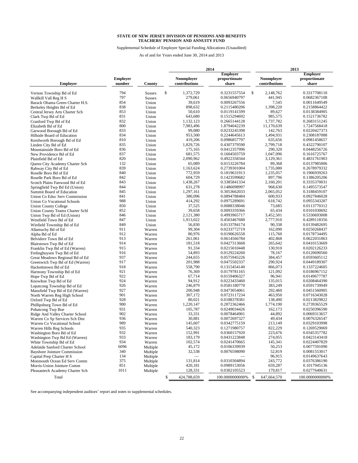#### Supplemental Schedule of Employer Special Funding Allocations (Unaudited)

As of and for Years ended June 30, 2014 and 2013

|                                     |                           |               |                             | 2014                                      |                                    | 2013                                      |
|-------------------------------------|---------------------------|---------------|-----------------------------|-------------------------------------------|------------------------------------|-------------------------------------------|
| <b>Employer</b>                     | <b>Employer</b><br>number | County        | Nonmployer<br>contributions | <b>Employer</b><br>proportionate<br>share | <b>Nonmployer</b><br>contributions | <b>Employer</b><br>proportionate<br>share |
|                                     |                           |               | \$                          |                                           | \$                                 |                                           |
| Vernon Township Bd of Ed            | 794                       | <b>Sussex</b> | 1,372,729                   | 0.3231557554                              | 2,148,762                          | 0.3317708110                              |
| Wallkill Vall Reg H S               | 797                       | <b>Sussex</b> | 279,061                     | 0.0656940797<br>0.0093267556              | 441,945                            | 0.0682367108                              |
| Barack Obama Green Charter H.S.     | 854                       | Union         | 39,619                      |                                           | 7,545                              | 0.0011649549                              |
| Berkelev Heights Bd of Ed           | 838                       | Union         | 898,632                     | 0.2115480206                              | 1,398,220                          | 0.2158864422                              |
| Central Jersey Arts Charter Sch     | 853                       | Union         | 50,610                      | 0.0119141599                              | 89,627                             | 0.0138384905                              |
| Clark Twp Bd of Ed                  | 831                       | Union         | 643,680                     | 0.1515294692                              | 985,575                            | 0.1521736782                              |
| Cranford Twp Bd of Ed               | 832                       | Union         | 1,132,123                   | 0.2665144128                              | 1,737,782                          | 0.2683151245                              |
| Elizabeth Bd of Ed                  | 800                       | Union         | 7,983,496                   | 1.8794042239                              | 11,170,639                         | 1.7247568418                              |
| Garwood Borough Bd of Ed            | 833                       | Union         | 99,080                      | 0.0233245398                              | 142,763                            | 0.0220427373                              |
| Hillside Board of Education         | 834                       | Union         | 953,500                     | 0.2244645613                              | 1.494.931                          | 0.2308187088                              |
| Kenilworth Borough Bd of Ed         | 810                       | Union         | 419,206                     | 0.0986857797                              | 635,656                            | 0.0981458657                              |
| Linden City Bd of Ed                | 835                       | Union         | 1,829,726                   | 0.4307379590                              | 2,799,718                          | 0.4322790107                              |
| Mountainside Boro Bd of Ed          | 836                       | Union         | 175,165                     | 0.0412357996                              | 290,320                            | 0.0448256726                              |
| New Providence Bd of Ed             | 837                       | Union         | 681,575                     | 0.1604503759                              | 1,047,096                          | 0.1616725767                              |
| Plainfield Bd of Ed                 | 820                       | Union         | 2,090,962                   | 0.4922358344                              | 3,129,361                          | 0.4831761903                              |
| Queen City Academy Charter Sch      | 132                       | Union         | 65,089                      | 0.0153226784                              | 89,368                             | 0.0137985006                              |
| Rahway City Bd of Ed                | 839                       | Union         | 1,163,624                   | 0.2739301004                              | 1,735,080                          | 0.2678979332                              |
| Roselle Boro Bd of Ed               | 840                       | Union         | 772,959                     | 0.1819631913                              | 1,235,057                          | 0.1906939263                              |
| Roselle Park Boro Bd of Ed          | 842                       | Union         | 604,729                     | 0.1423599682                              | 897,796                            | 0.1386205206                              |
| Scotch Plains Fanwood Bd of Ed      | 843                       | Union         | 1,438,267                   | 0.3385841334                              | 2,160,201                          | 0.3335370031                              |
| Springfield Twp Bd Ed (Union)       | 844                       | Union         | 631,278                     | 0.1486098997                              | 968,630                            | 0.1495573547                              |
| Summit Board of Education           | 845                       | Union         | 1,297,161                   | 0.3053662033                              | 2,065,052                          | 0.3188459107                              |
| Union Co Educ Serv Commission       | 841                       | Union         | 380,096                     | 0.0894788484                              | 600,933                            | 0.0927846028                              |
| Union Co Vocational Schools         | 988                       | Union         | 414,292                     | 0.0975289691                              | 618.742                            | 0.0955343287                              |
| <b>Union County College</b>         | 850                       | Union         | 37,525                      | 0.0088338046                              | 73,685                             | 0.0113770312                              |
| Union County Teams Charter Schl     | 852                       | Union         | 39,658                      | 0.0093359366                              | 65,434                             | 0.0101030692                              |
| Union Twp Bd of Ed (Union)          | 846                       | Union         | 2,121,380                   | 0.4993965717                              | 3,452,501                          | 0.5330693008                              |
| Westfield Town Bd of Ed             | 847                       | Union         | 1,913,022                   | 0.4503467688                              | 2,777,910                          | 0.4289118356                              |
| Winfield Township Bd of Ed          | 849                       | Union         | 56,830                      | 0.0133784174                              | 90,338                             | 0.0139482695                              |
| Allamuchy Bd of Ed                  | 911                       | Warren        | 99,304                      | 0.0233772719                              | 162,090                            | 0.0250268437                              |
| Alpha Bd of Ed                      | 912                       | Warren        | 80,976                      | 0.0190626558                              | 115,760                            | 0.0178734495                              |
| Belvidere Town Bd of Ed             | 913                       | Warren        | 261,061                     | 0.0614566784                              | 402,868                            | 0.0622031863                              |
|                                     | 914                       | Warren        | 181,518                     | 0.0427313668                              | 265,642                            | 0.0410153669                              |
| Blairstown Twp Bd of Ed             | 915                       |               | 91,334                      | 0.0215010448                              | 130,910                            | 0.0202126233                              |
| Franklin Twp Bd of Ed (Warren)      | 916                       | Warren        | 54,893                      | 0.0129224260                              | 78,167                             | 0.0120690560                              |
| Frelinghuysen Twp Bd of Ed          | 937                       | Warren        |                             | 0.0575945226                              | 384,457                            | 0.0593605112                              |
| Great Meadows Regional Bd of Ed     |                           | Warren        | 244,655                     |                                           |                                    |                                           |
| Greenwich Twp Bd of Ed (Warren)     | 917                       | Warren        | 201,988                     | 0.0475502337                              | 290,924                            | 0.0449189307                              |
| Hackettstown Bd of Ed               | 918                       | Warren        | 558,790                     | 0.1315454140                              | 866,073                            | 0.1337224605                              |
| Harmony Township Bd of Ed           | 921                       | Warren        | 76,369                      | 0.0179781165                              | 121,092                            | 0.0186967152                              |
| Hope Twp Bd of Ed                   | 922                       | Warren        | 67,714                      | 0.0159406327                              | 96,941                             | 0.0149677787                              |
| Knowlton Twp Bd of Ed               | 924                       | Warren        | 94,912                      | 0.0223433460                              | 135,015                            | 0.0208464390                              |
| Lopatcong Township Bd of Ed         | 926                       | Warren        | 246,879                     | 0.0581180770                              | 383,249                            | 0.0591739949                              |
| Mansfield Twp Bd of Ed (Warren)     | 927                       | Warren        | 200,948                     | 0.0473054061                              | 292,460                            | 0.0451560905                              |
| North Warren Reg High School        | 901                       | Warren        | 307,172                     | 0.0723117234                              | 463,950                            | 0.0716343028                              |
| Oxford Twp Bd of Ed                 | 928                       | Warren        | 80,021                      | 0.0188378381                              | 138,490                            | 0.0213829822                              |
| Phillipsburg Town Bd of Ed          | 900                       | Warren        | 1,220,147                   | 0.2872362466                              | 1,774,190                          | 0.2739365529                              |
| Pohatcong Twp Boe                   | 931                       | Warren        | 105,787                     | 0.0249034426                              | 162,173                            | 0.0250396590                              |
| Ridge And Valley Charter School     | 902                       | Warren        | 33,331                      | 0.0078464901                              | 44,892                             | 0.0069313657                              |
| Warren Co Sp Services Sch Dist      | 936                       | Warren        | 30,881                      | 0.0072697327                              | 49,434                             | 0.0076326547                              |
| Warren Co Vocational School         | 989                       | Warren        | 145,607                     | 0.0342775159                              | 213,149                            | 0.0329103998                              |
| Warren Hills Reg Schools            | 935                       | Warren        | 540,323                     | 0.1271980757                              | 822,229                            | 0.1269529069                              |
| Washington Boro Bd of Ed            | 932                       | Warren        | 152,991                     | 0.0360157920                              | 223,676                            | 0.0345357782                              |
| Washington Twp Bd Ed (Warren)       | 933                       | Warren        | 183,179                     | 0.0431223848                              | 274,055                            | 0.0423143418                              |
| White Township Bd of Ed             | 934                       | Warren        | 102,574                     | 0.0241470665                              | 145,341                            | 0.0224407829                              |
| Adelaide Sanford Charter School     | 6096                      | Multiple      | 45.172                      | 0.0106339939                              | 50,253                             | 0.0077591090                              |
| <b>Bayshore Jointure Commission</b> | 340                       | Multiple      | 32,538                      | 0.0076598090                              | 52,819                             | 0.0081553017                              |
| Capital Prep Charter H S            | 134                       | Multiple      |                             |                                           | 96,915                             | 0.0149637643                              |
| Monmouth Ocean Ed Serv Comm         | 375                       | Multiple      | 131,814                     | 0.0310304894                              | 243,772                            | 0.0376386190                              |
| Morris-Union Jointure Comm          | 851                       | Multiple      | 420,181                     | 0.0989153056                              | 659,287                            | 0.1017945136                              |
| Pleasantech Academy Charter Sch     | 1011                      | Multiple      | 128,331                     | 0.0302105523                              | 179,817                            | 0.0277640631                              |
| Total                               |                           |               | \$<br>424,788,659           | 100.0000000000% \$                        | 647,664,570                        | 100.0000000000%                           |

See accompanying independent auditors' report and notes to supplemental schedules.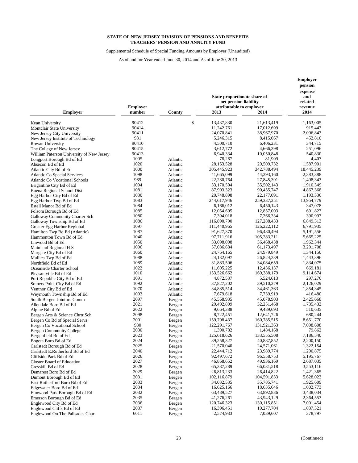Supplemental Schedule of Special Funding Amounts by Employer (Unaudited)

|                                                                              |                           |                      | State proportionate share of<br>net pension liability |                           | Employer<br>pension<br>expense<br>and<br>related |
|------------------------------------------------------------------------------|---------------------------|----------------------|-------------------------------------------------------|---------------------------|--------------------------------------------------|
| <b>Employer</b>                                                              | <b>Employer</b><br>number | County               | attributable to employer<br>2013                      | 2014                      | revenue<br>2014                                  |
| Kean University                                                              | 90412                     |                      | \$<br>13,437,830                                      | 21,613,419                | 1,163,005                                        |
| Montclair State University                                                   | 90414                     |                      | 11,242,761                                            | 17,012,699                | 915,443                                          |
| New Jersey City University                                                   | 90411                     |                      | 24,070,841                                            | 38,967,970                | 2,096,843                                        |
| New Jersey Institute of Technology                                           | 981                       |                      | 5,246,315                                             | 8,415,067                 | 452.810                                          |
| Rowan University                                                             | 90410                     |                      | 4,500,710                                             | 6,406,231                 | 344,715                                          |
| The College of New Jersey                                                    | 90415                     |                      | 3,612,772                                             | 4,666,398                 | 251,096                                          |
| William Paterson University of New Jersey                                    | 90413                     |                      | 6,940,334                                             | 10,050,848                | 540,830                                          |
| Longport Borough Bd of Ed                                                    | 1095                      | Atlantic             | 78,267                                                | 81,909                    | 4,407                                            |
| Absecon Bd of Ed                                                             | 1020<br>1000              | Atlantic             | 28,153,528                                            | 29,509,732                | 1,587,901                                        |
| Atlantic City Bd of Ed                                                       | 1098                      | Atlantic             | 305,445,923<br>41,665,099                             | 342,788,494<br>44,293,160 | 18,445,239<br>2,383,388                          |
| <b>Atlantic Co Special Services</b><br><b>Atlantic Co Vocational Schools</b> | 969                       | Atlantic<br>Atlantic | 22,280,764                                            | 27,845,391                | 1,498,343                                        |
| Brigantine City Bd of Ed                                                     | 1094                      | Atlantic             | 33,170,504                                            | 35,502,143                | 1,910,349                                        |
| Buena Regional School Dist                                                   | 1081                      | Atlantic             | 87,903,323                                            | 90,455,747                | 4,867,368                                        |
| Egg Harbor City Bd of Ed                                                     | 1030                      | Atlantic             | 20,748,898                                            | 22,177,091                | 1,193,336                                        |
| Egg Harbor Twp Bd of Ed                                                      | 1083                      | Atlantic             | 244,617,946                                           | 259, 337, 251             | 13,954,779                                       |
| Estell Manor Bd of Ed                                                        | 1084                      | Atlantic             | 6.166.012                                             | 6,450,143                 | 347,078                                          |
| Folsom Borough Bd of Ed                                                      | 1085                      | Atlantic             | 12,054,695                                            | 12,857,003                | 691,827                                          |
| Galloway Community Charter Sch                                               | 1080                      | Atlantic             | 7,394,018                                             | 7,266,334                 | 390,997                                          |
| Galloway Township Bd of Ed                                                   | 1086                      | Atlantic             | 116,890,790                                           | 127,288,433               | 6,849,313                                        |
| Greater Egg Harbor Regional                                                  | 1097                      | Atlantic             | 111,440,965                                           | 126, 222, 112             | 6,791,935                                        |
| Hamilton Twp Bd Ed (Atlantic)                                                | 1087                      | Atlantic             | 91,627,370                                            | 96,480,494                | 5,191,556                                        |
| Hammonton Town Bd of Ed                                                      | 1040                      | Atlantic             | 97,711,916                                            | 105,283,211               | 5,665,225                                        |
| Linwood Bd of Ed                                                             | 1050                      | Atlantic             | 33,698,008                                            | 36,468,438                | 1,962,344                                        |
| Mainland Regional H S                                                        | 1096                      | Atlantic             | 57,086,684                                            | 61,173,497                | 3,291,708                                        |
| Margate City Bd of Ed                                                        | 1060                      | Atlantic             | 24,764,165                                            | 24,979,849                | 1,344,150                                        |
| Mullica Twp Bd of Ed                                                         | 1088<br>1089              | Atlantic             | 24,132,097                                            | 26,824,239                | 1,443,396                                        |
| Northfield Bd of Ed                                                          | 1022                      | Atlantic             | 31,883,506<br>11,605,225                              | 34,084,659<br>12,436,137  | 1,834,075<br>669,181                             |
| Oceanside Charter School<br>Pleasantville Bd of Ed                           | 1010                      | Atlantic<br>Atlantic | 153,526,662                                           | 169,388,179               | 9,114,674                                        |
| Port Republic City Bd of Ed                                                  | 1091                      | Atlantic             | 4,872,537                                             | 5,524,613                 | 297,276                                          |
| Somers Point City Bd of Ed                                                   | 1092                      | Atlantic             | 37,827,202                                            | 39,510,379                | 2,126,029                                        |
| Ventnor City Bd of Ed                                                        | 1070                      | Atlantic             | 34,885,514                                            | 34,461,363                | 1,854,345                                        |
| Weymouth Township Bd of Ed                                                   | 1093                      | Atlantic             | 7,679,618                                             | 7,739,919                 | 416,480                                          |
| South Bergen Jointure Comm                                                   | 2097                      | Bergen               | 45,568,935                                            | 45,078,903                | 2,425,668                                        |
| Allendale Boro Bd of Ed                                                      | 2021                      | Bergen               | 29,492,809                                            | 32,251,468                | 1,735,432                                        |
| Alpine Bd of Ed                                                              | 2022                      | Bergen               | 9,664,388                                             | 9,489,693                 | 510,635                                          |
| Bergen Arts & Science Chrtr Sch                                              | 2098                      | Bergen               | 8,722,451                                             | 12,641,726                | 680,244                                          |
| Bergen Co Bd of Special Servs                                                | 2001                      | Bergen               | 159,708,437                                           | 160,785,515               | 8,651,770                                        |
| Bergen Co Vocational School                                                  | 980                       | Bergen               | 122,291,767                                           | 131,921,363               | 7,098,608                                        |
| Bergen Community College                                                     | 2030                      | Bergen               | 1,390,782                                             | 1,484,168                 | 79,862                                           |
| Bergenfield Bd of Ed                                                         | 2023                      | Bergen               | 125,618,626                                           | 133,555,508               | 7,186,540                                        |
| Bogota Boro Bd of Ed                                                         | 2024                      | Bergen               | 39,258,327                                            | 40,887,852                | 2,200,150                                        |
| Carlstadt Borough Bd of Ed                                                   | 2025                      | Bergen               | 21,570,040                                            | 24,571,061                | 1,322,154                                        |
| Carlstadt E.Rutherford Bd of Ed                                              | 2040<br>2026              | Bergen               | 22,444,712                                            | 23,989,774                | 1,290,875                                        |
| Cliffside Park Bd of Ed<br><b>Closter Board of Education</b>                 | 2027                      | Bergen               | 92,497,672<br>46,868,652                              | 96,558,753<br>49,936,169  | 5,195,767<br>2,687,035                           |
| Cresskill Bd of Ed                                                           | 2028                      | Bergen               | 65,387,289                                            | 66,031,518                | 3,553,116                                        |
| Demarest Boro Bd of Ed                                                       | 2029                      | Bergen<br>Bergen     | 26,813,233                                            | 26,414,822                | 1,421,365                                        |
| Dumont Borough Bd of Ed                                                      | 2031                      | Bergen               | 102,116,879                                           | 104,591,833               | 5,628,023                                        |
| East Rutherford Boro Bd of Ed                                                | 2033                      | Bergen               | 34,032,535                                            | 35,785,741                | 1,925,609                                        |
| Edgewater Boro Bd of Ed                                                      | 2034                      | Bergen               | 16,625,166                                            | 18,635,646                | 1,002,773                                        |
| Elmwood Park Borough Bd of Ed                                                | 2032                      | Bergen               | 63,489,527                                            | 63,892,836                | 3,438,034                                        |
| Emerson Borough Bd of Ed                                                     | 2035                      | Bergen               | 41,276,261                                            | 43,943,129                | 2,364,553                                        |
| Englewood City Bd of Ed                                                      | 2036                      | Bergen               | 120,746,323                                           | 130, 115, 851             | 7,001,454                                        |
| Englewood Cliffs Bd of Ed                                                    | 2037                      | Bergen               | 16,396,451                                            | 19,277,704                | 1,037,321                                        |
| Englewood On The Palisades Char                                              | 6011                      | Bergen               | 2,574,933                                             | 7,039,607                 | 378,797                                          |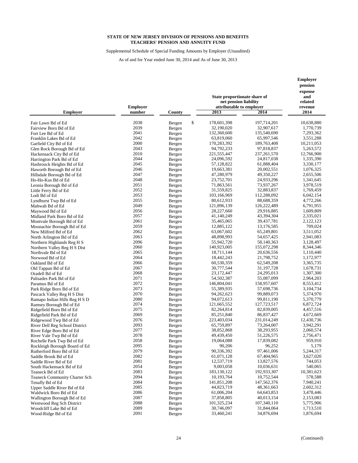Supplemental Schedule of Special Funding Amounts by Employer (Unaudited)

|                                                  |                           |                  | State proportionate share of<br>net pension liability |                          | <b>Employer</b><br>pension<br>expense<br>and<br>related |
|--------------------------------------------------|---------------------------|------------------|-------------------------------------------------------|--------------------------|---------------------------------------------------------|
| <b>Employer</b>                                  | <b>Employer</b><br>number | County           | attributable to employer<br>2013                      | 2014                     | revenue<br>2014                                         |
| Fair Lawn Bd of Ed                               | 2038                      | Bergen           | \$<br>178,601,398                                     | 197,714,201              | 10,638,880                                              |
| Fairview Boro Bd of Ed                           | 2039                      | Bergen           | 32,190,020                                            | 32,907,617               | 1,770,739                                               |
| Fort Lee Bd of Ed                                | 2041                      | Bergen           | 132,360,600                                           | 135,540,690              | 7,293,362                                               |
| Franklin Lakes Bd of Ed                          | 2042                      | Bergen           | 63,819,060                                            | 65,997,546               | 3,551,288                                               |
| Garfield City Bd of Ed                           | 2000                      | Bergen           | 170,283,392                                           | 189,763,408              | 10,211,053                                              |
| Glen Rock Borough Bd of Ed                       | 2043                      | Bergen           | 94,792,233                                            | 97,818,837               | 5,263,572                                               |
| Hackensack City Bd of Ed                         | 2010                      | Bergen           | 221,555,447                                           | 237, 261, 570            | 12,766,900                                              |
| Harrington Park Bd of Ed                         | 2044                      | Bergen           | 24,096,592                                            | 24,817,038               | 1,335,390                                               |
| Hasbrouck Heights Bd of Ed                       | 2045                      | Bergen           | 57,128,822                                            | 61,888,404               | 3,330,177                                               |
| Haworth Borough Bd of Ed                         | 2046                      | Bergen           | 19,663,381                                            | 20,002,551               | 1,076,325                                               |
| Hillsdale Borough Bd of Ed                       | 2047                      | Bergen           | 47,280,979                                            | 49,350,227               | 2,655,506                                               |
| Ho-Ho-Kus Bd of Ed                               | 2048                      | Bergen           | 23,752,701                                            | 24,933,296               | 1,341,645                                               |
| Leonia Borough Bd of Ed                          | 2051                      | Bergen           | 71,863,561                                            | 73,937,267               | 3,978,519                                               |
| Little Ferry Bd of Ed                            | 2052                      | Bergen           | 31,559,825                                            | 32,883,837               | 1,769,459                                               |
| Lodi Bd of Ed                                    | 2053                      | Bergen           | 103,166,969                                           | 112,288,092              | 6,042,154                                               |
| Lyndhurst Twp Bd of Ed                           | 2055                      | Bergen           | 80,612,933                                            | 88,688,359               | 4,772,266                                               |
| Mahwah Bd of Ed                                  | 2049                      | Bergen           | 121,896,139                                           | 126,222,489              | 6,791,955                                               |
| Maywood Bd of Ed                                 | 2056                      | Bergen           | 28,227,660                                            | 29,916,885               | 1,609,809                                               |
| Midland Park Boro Bd of Ed                       | 2057                      | Bergen           | 41,140,249                                            | 43,394,304               | 2,335,021                                               |
| Montvale Borough Bd of Ed                        | 2061<br>2059              | Bergen           | 35,465,065<br>12,885,122                              | 39,437,781               | 2,122,123<br>709,024                                    |
| Moonachie Borough Bd of Ed                       | 2062                      | Bergen           | 63,067,602                                            | 13,176,585<br>65,249,801 | 3,511,052                                               |
| New Milford Bd of Ed<br>North Arlington Bd of Ed | 2063                      | Bergen           | 48,898,993                                            | 54,657,425               | 2,941,083                                               |
| Northern Highlands Reg H S                       | 2096                      | Bergen<br>Bergen | 55,942,720                                            | 58,140,363               | 3,128,497                                               |
| Northern Valley Reg H S Dist                     | 2060                      | Bergen           | 140,923,005                                           | 155,072,298              | 8,344,346                                               |
| Northvale Bd of Ed                               | 2065                      | Bergen           | 18,711,144                                            | 20,636,556               | 1,110,440                                               |
| Norwood Bd of Ed                                 | 2064                      | Bergen           | 18,442,243                                            | 21,798,752               | 1,172,977                                               |
| Oakland Bd of Ed                                 | 2066                      | Bergen           | 60,530,359                                            | 62,549,208               | 3,365,735                                               |
| Old Tappan Bd of Ed                              | 2067                      | Bergen           | 30,777,544                                            | 31, 197, 728             | 1,678,731                                               |
| Oradell Bd of Ed                                 | 2068                      | Bergen           | 23, 172, 447                                          | 24,295,013               | 1,307,300                                               |
| Palisades Park Bd of Ed                          | 2071                      | Bergen           | 54,502,387                                            | 55,087,099               | 2,964,203                                               |
| Paramus Bd of Ed                                 | 2072                      | Bergen           | 146,804,041                                           | 158,957,607              | 8,553,412                                               |
| Park Ridge Boro Bd of Ed                         | 2073                      | Bergen           | 55,389,935                                            | 57,698,736               | 3,104,734                                               |
| Pascack Valley Reg H S Dist                      | 2070                      | Bergen           | 94,262,623                                            | 99,889,073               | 5,374,970                                               |
| Ramapo Indian Hills Reg H S D                    | 2080                      | Bergen           | 94,072,613                                            | 99,811,190               | 5,370,779                                               |
| Ramsey Borough Bd of Ed                          | 2074                      | Bergen           | 121,665,552                                           | 127,723,517              | 6,872,724                                               |
| Ridgefield Boro Bd of Ed                         | 2075                      | Bergen           | 82,264,814                                            | 82,839,005               | 4,457,516                                               |
| Ridgefield Park Bd of Ed                         | 2069                      | Bergen           | 85,251,840                                            | 86,837,427               | 4,672,669                                               |
| Ridgewood Twp Bd of Ed                           | 2076                      | Bergen           | 223,403,034                                           | 231,014,249              | 12,430,736                                              |
| River Dell Reg School District                   | 2093                      | Bergen           | 65,759,897                                            | 73,264,007               | 3,942,291                                               |
| River Edge Boro Bd of Ed                         | 2077                      | Bergen           | 38,852,868                                            | 38,293,955               | 2,060,574                                               |
| River Vale Twp Bd of Ed                          | 2078                      | Bergen           | 49,439,450                                            | 51,226,575               | 2,756,471                                               |
| Rochelle Park Twp Bd of Ed                       | 2058                      | Bergen           | 19,064,088                                            | 17,839,082               | 959,910                                                 |
| Rockleigh Borough Board of Ed                    | 2095                      | Bergen           | 90,206                                                | 96,252                   | 5,179                                                   |
| Rutherford Boro Bd of Ed                         | 2079                      | Bergen           | 90,336,392                                            | 97,461,006               | 5,244,317                                               |
| Saddle Brook Bd of Ed                            | 2082                      | Bergen           | 61,071,128                                            | 67,404,965               | 3,627,020                                               |
| Saddle River Bd of Ed                            | 2081                      | Bergen           | 12,537,719                                            | 13,827,576               | 744,053                                                 |
| South Hackensack Bd of Ed                        | 2054                      | Bergen           | 9,003,058                                             | 10,036,631               | 540,065                                                 |
| Teaneck Bd of Ed                                 | 2083                      | Bergen           | 183,130,122                                           | 192,933,307              | 10,381,623                                              |
| <b>Teaneck Community Charter Sch</b>             | 2094                      | Bergen           | 10,193,764                                            | 10,752,544               | 578,588                                                 |
| Tenafly Bd of Ed                                 | 2084                      | Bergen           | 141,851,208                                           | 147,562,376              | 7,940,241                                               |
| Upper Saddle River Bd of Ed                      | 2085                      | Bergen           | 44,823,719                                            | 48, 361, 663             | 2,602,312                                               |
| Waldwick Boro Bd of Ed                           | 2086                      | Bergen           | 61,006,204                                            | 64, 643, 853             | 3,478,446                                               |
| Wallington Borough Bd of Ed                      | 2087                      | Bergen           | 37,858,805                                            | 40,013,154               | 2,153,083                                               |
| Westwood Reg Sch District                        | 2088                      | Bergen           | 101,325,234                                           | 107,340,110              | 5,775,906                                               |
| Woodcliff Lake Bd of Ed                          | 2089<br>2091              | Bergen           | 30,746,097                                            | 31,844,064               | 1,713,510                                               |
| Wood-Ridge Bd of Ed                              |                           | Bergen           | 33,460,241                                            | 34,876,694               | 1,876,694                                               |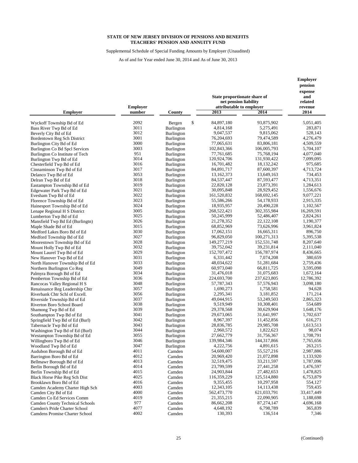Supplemental Schedule of Special Funding Amounts by Employer (Unaudited)

As of and for Year ended June 30, 2014 and As of June 30, 2013

|                                        | <b>Employer</b> |                   | State proportionate share of<br>net pension liability<br>attributable to employer | pension<br>expense<br>and<br>related<br>revenue |            |
|----------------------------------------|-----------------|-------------------|-----------------------------------------------------------------------------------|-------------------------------------------------|------------|
| <b>Employer</b>                        | number          | County            | 2013                                                                              | 2014                                            | 2014       |
| Wyckoff Township Bd of Ed              | 2092            | \$<br>Bergen      | 84,897,180                                                                        | 93,875,902                                      | 5,051,405  |
| Bass River Twp Bd of Ed                | 3011            | Burlington        | 4,814,168                                                                         | 5,275,491                                       | 283,871    |
| Beverly City Bd of Ed                  | 3012            | Burlington        | 9,047,537                                                                         | 9,815,062                                       | 528,143    |
| Bordentown Reg Sch District            | 3001            | Burlington        | 76,204,693                                                                        | 79,474,589                                      | 4,276,479  |
| Burlington City Bd of Ed               | 3000            | Burlington        | 77,065,631                                                                        | 83,806,181                                      | 4,509,559  |
| Burlington Co Bd Spcl Services         | 3003            | Burlington        | 102,843,366                                                                       | 106,005,793                                     | 5,704,107  |
| Burlington Co Institute of Tech        | 951             | Burlington        | 77,761,685                                                                        | 75,768,194                                      | 4,077,040  |
| Burlington Twp Bd of Ed                | 3014            | Burlington        | 120,924,706                                                                       | 131,930,422                                     | 7,099,095  |
| Chesterfield Twp Bd of Ed              | 3016            | Burlington        | 16,701,482                                                                        | 18, 132, 242                                    | 975,685    |
| Cinnaminson Twp Bd of Ed               | 3017            | <b>Burlington</b> | 84,891,717                                                                        | 87,600,397                                      | 4,713,724  |
| Delanco Twp Bd of Ed                   | 3053            | <b>Burlington</b> | 13,162,373                                                                        | 13,649,163                                      | 734,453    |
| Delran Twp Bd of Ed                    | 3018            | Burlington        | 84,537,447                                                                        | 87,593,477                                      | 4,713,351  |
| Eastampton Township Bd of Ed           | 3019            | Burlington        | 22,820,128                                                                        | 23,873,391                                      | 1,284,613  |
| Edgewater Park Twp Bd of Ed            | 3021            | Burlington        | 30,095,848                                                                        | 28,929,452                                      | 1,556,676  |
| Evesham Twp Bd of Ed                   | 3022            | Burlington        | 161,520,832                                                                       | 168,692,145                                     | 9,077,221  |
| Florence Township Bd of Ed             | 3023            | Burlington        | 55,586,266                                                                        | 54,178,933                                      | 2,915,335  |
| Hainesport Township Bd of Ed           | 3024            | Burlington        | 18,935,957                                                                        | 20,490,228                                      | 1,102,567  |
| Lenape Regional H S District           | 3005            | Burlington        | 268,522,421                                                                       | 302,355,984                                     | 16,269,591 |
| Lumberton Twp Bd of Ed                 | 3025            | Burlington        | 50,245,999                                                                        | 52,486,407                                      | 2,824,261  |
| Mansfield Twp Bd Ed (Burlingtn)        | 3026            | Burlington        | 21,278,352                                                                        | 22,122,108                                      | 1,190,377  |
| Maple Shade Bd of Ed                   | 3015            | Burlington        | 68,852,969                                                                        | 73,626,996                                      | 3,961,824  |
| Medford Lakes Boro Bd of Ed            | 3030            | Burlington        | 17,062,151                                                                        | 16,665,311                                      | 896,750    |
| Medford Township Bd of Ed              | 3027            | Burlington        | 96,829,050                                                                        | 100,271,313                                     | 5,395,538  |
| Moorestown Township Bd of Ed           | 3028            | Burlington        | 149,277,219                                                                       | 152,531,748                                     | 8,207,640  |
| Mount Holly Twp Bd of Ed               | 3032            | Burlington        | 39,752,042                                                                        | 39,231,814                                      | 2,111,040  |
| Mount Laurel Twp Bd of Ed              | 3029            | Burlington        | 152,707,472                                                                       | 156,787,974                                     | 8,436,665  |
| New Hanover Twp Bd of Ed               | 3031            | Burlington        | 6,331,442                                                                         | 7,074,208                                       | 380,659    |
| North Hanover Township Bd of Ed        | 3033            | Burlington        | 48,034,622                                                                        | 51,281,684                                      | 2,759,436  |
| Northern Burlington Co Reg             | 3049            | Burlington        | 60,973,040                                                                        | 66,811,725                                      | 3,595,098  |
| Palmyra Borough Bd of Ed               | 3034            | Burlington        | 31,476,018                                                                        | 31,075,683                                      | 1,672,164  |
| Pemberton Township Bd of Ed            | 3036            | Burlington        | 224,693,700                                                                       | 237,623,805                                     | 12,786,392 |
| Rancocas Valley Regional H S           | 3048            | Burlington        | 57,787,343                                                                        | 57,576,943                                      | 3,098,180  |
| Renaissance Reg Leadership Chtr        | 3057            | Burlington        | 1,690,273                                                                         | 1,758,581                                       | 94,628     |
| Riverbank Chtr Schl of Excell.         | 3056            | Burlington        | 2,295,341                                                                         | 3,181,852                                       | 171,214    |
| Riverside Township Bd of Ed            | 3037            | Burlington        | 49,044,915                                                                        | 53,249,503                                      | 2,865,323  |
| Riverton Boro School Board             | 3038            | <b>Burlington</b> | 9,519,949                                                                         | 10,308,401                                      | 554,689    |
| Shamong Twp Bd of Ed                   | 3039            | <b>Burlington</b> | 29,378,568                                                                        | 30,629,904                                      | 1,648,176  |
| Southampton Twp Bd of Ed               | 3041            | Burlington        | 29,673,065                                                                        | 31,641,997                                      | 1,702,637  |
| Springfield Twp Bd of Ed (Burl)        | 3042            | Burlington        | 8,967,397                                                                         | 11,452,856                                      | 616,271    |
| Tabernacle Twp Bd of Ed                | 3043            | Burlington        | 28,836,785                                                                        | 29,985,708                                      | 1,613,513  |
| Washington Twp Bd of Ed (Burl)         | 3044            | Burlington        | 2,960,572                                                                         | 1,822,623                                       | 98,074     |
| Westampton Township Bd of Ed           | 3055            | Burlington        | 27,662,779                                                                        | 31,756,367                                      | 1,708,791  |
| Willingboro Twp Bd of Ed               | 3046            | Burlington        | 139,984,346                                                                       | 144,317,866                                     | 7,765,656  |
| Woodland Twp Bd of Ed                  | 3047            | Burlington        | 4,222,756                                                                         | 4,891,615                                       | 263,215    |
| Audubon Borough Bd of Ed               | 4011            | Camden            | 54,600,007                                                                        | 55,527,216                                      | 2,987,886  |
| Barrington Boro Bd of Ed               | 4012            | Camden            | 20,969,420                                                                        | 21,072,898                                      | 1,133,920  |
| Bellmawr Borough Bd of Ed              | 4013            | Camden            | 32,519,475                                                                        | 33,211,597                                      | 1,787,096  |
| Berlin Borough Bd of Ed                | 4014            | Camden            | 23,799,599                                                                        | 27,441,258                                      | 1,476,597  |
| Berlin Township Bd of Ed               | 4015            | Camden            | 24,903,844                                                                        | 27,482,653                                      | 1,478,825  |
| Black Horse Pike Reg Sch Dist          | 4025            | Camden            | 116,359,229                                                                       | 125,514,880                                     | 6,753,879  |
| Brooklawn Boro Bd of Ed                | 4016            | Camden            | 9,355,455                                                                         | 10,297,958                                      | 554,127    |
| Camden Academy Charter High Sch        | 4003            | Camden            | 12,343,105                                                                        | 14,113,438                                      | 759,435    |
| Camden City Bd of Ed                   | 4000            | Camden            | 562,473,770                                                                       | 621,033,791                                     | 33,417,449 |
| Camden Co Ed Services Comm             | 4019            | Camden            | 21, 355, 215                                                                      | 22,090,905                                      | 1,188,698  |
| <b>Camden County Technical Schools</b> | 977             | Camden            | 86,662,208                                                                        | 87,274,147                                      | 4,696,168  |
| Camden's Pride Charter School          | 4077            | Camden            | 4,648,192                                                                         | 6,798,789                                       | 365,839    |
| Camdens Promise Charter School         | 4002            | Camden            | 130,393                                                                           | 136,514                                         | 7,346      |

**Employer**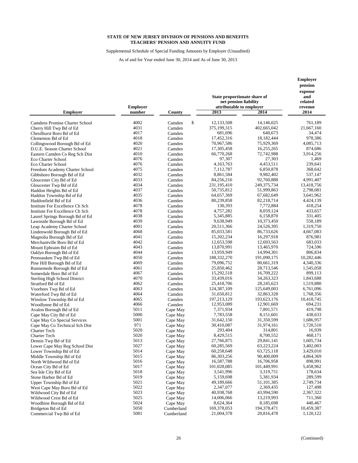Supplemental Schedule of Special Funding Amounts by Employer (Unaudited)

|                                            |                           |                      | State proportionate share of<br>net pension liability | <b>Employer</b><br>pension<br>expense<br>and<br>related |                     |
|--------------------------------------------|---------------------------|----------------------|-------------------------------------------------------|---------------------------------------------------------|---------------------|
| <b>Employer</b>                            | <b>Employer</b><br>number | County               | attributable to employer<br>2013                      | 2014                                                    | revenue<br>2014     |
| Camdens Promise Charter School             | 4002                      | \$<br>Camden         | 12,133,508                                            | 14,146,025                                              | 761,189             |
| Cherry Hill Twp Bd of Ed                   | 4031                      | Camden               | 375,199,315                                           | 402,665,042                                             | 21,667,160          |
| Chesilhurst Boro Bd of Ed                  | 4017                      | Camden               | 681,696                                               | 640,673                                                 | 34,474              |
| Clementon Bd of Ed                         | 4018                      | Camden               | 17,452,316                                            | 18,182,444                                              | 978,386             |
| Collingswood Borough Bd of Ed              | 4020                      | Camden               | 70,967,586                                            | 75,929,369                                              | 4,085,713           |
| D.U.E. Season Charter School               | 4021                      | Camden               | 17,305,458                                            | 16,255,265                                              | 874,686             |
| Eastern Camden Co Reg Sch Dist             | 4010                      | Camden               | 66,770,268                                            | 72,742,988                                              | 3,914,256           |
| Eco Charter School                         | 4076                      | Camden               | 97,307                                                | 27,303                                                  | 1,469               |
| Eco Charter School                         | 4076                      | Camden               | 4,163,763                                             | 4,453,511                                               | 239,641             |
| Freedom Academy Charter School             | 4075                      | Camden               | 7,112,787                                             | 6,850,878                                               | 368,642             |
| Gibbsboro Borough Bd of Ed                 | 4032                      | Camden               | 8,861,584                                             | 9,982,402                                               | 537,147             |
| Gloucester City Bd of Ed                   | 4033                      | Camden               | 84,256,216                                            | 92,760,888                                              | 4,991,407           |
| Gloucester Twp Bd of Ed                    | 4034                      | Camden               | 231,195,410                                           | 249,375,734                                             | 13,418,756          |
| Haddon Heights Bd of Ed                    | 4037                      | Camden               | 50,735,812                                            | 51,999,863                                              | 2,798,081           |
| Haddon Township Bd of Ed                   | 4035                      | Camden               | 64,657,369                                            | 67,682,649                                              | 3,641,962           |
| Haddonfield Bd of Ed                       | 4036                      | Camden               | 80,239,858                                            | 82,218,714                                              | 4,424,139           |
| Institute For Excellence Ch Sch            | 4078                      | Camden               | 130,393                                               | 7,772,884                                               | 418,254             |
| Institute For Excellence Ch Sch            | 4078                      | Camden               | 4,757,282                                             | 8,059,124                                               | 433,657             |
| Laurel Springs Borough Bd of Ed            | 4038                      | Camden               | 5,345,885                                             | 6,158,870                                               | 331,405             |
| Lawnside Borough Bd of Ed                  | 4039                      | Camden               | 9,638,949                                             | 10,373,450                                              | 558,189             |
| Leap Academy Charter School                | 4001                      | Camden               | 20,511,366                                            | 24,526,395                                              | 1,319,750           |
| Lindenwold Borough Bd of Ed                | 4068                      | Camden               | 85,033,581                                            | 86,733,626                                              | 4,667,083           |
| Magnolia Borough Bd of Ed                  | 4041                      | Camden               | 15,202,234                                            | 16,297,918                                              | 876,981             |
| Merchantville Boro Bd of Ed                | 4042                      | Camden               | 12,653,598                                            | 12,693,563                                              | 683,033             |
| Mount Ephraim Bd of Ed                     | 4043                      | Camden               | 13,870,991                                            | 13,465,970                                              | 724,596             |
| Oaklyn Borough Bd of Ed                    | 4044                      | Camden               | 13,959,949                                            | 14,994,301                                              | 806,834             |
| Pennsauken Twp Bd of Ed                    | 4050                      | Camden               | 188,332,270                                           | 191,090,175                                             | 10,282,446          |
| Pine Hill Borough Bd of Ed                 | 4069                      | Camden               | 79,096,752                                            | 80,661,319                                              | 4,340,336           |
| Runnemede Borough Bd of Ed                 | 4061                      | Camden               | 25,850,462                                            | 28,713,546                                              | 1,545,058           |
| Somerdale Boro Bd of Ed                    | 4067                      | Camden               | 15,292,518                                            | 16,709,222                                              | 899,113             |
| Sterling High School District              | 4070                      | Camden               | 33,439,016                                            | 34, 263, 323                                            | 1,843,688           |
| Stratford Bd of Ed                         | 4062                      | Camden               | 25,418,706                                            | 28, 245, 623                                            | 1,519,880           |
| Voorhees Twp Bd of Ed                      | 4063                      | Camden               | 124,387,109                                           | 125,649,003                                             | 6,761,096           |
| Waterford Twp Bd of Ed                     | 4064                      | Camden               | 31,650,812                                            | 32,863,328                                              | 1,768,356           |
| Winslow Township Bd of Ed                  | 4065                      | Camden               | 197,213,129                                           | 193,623,176                                             | 10,418,745          |
| Woodlynne Bd of Ed                         | 4066                      | Camden               | 12,953,089                                            | 12,901,669                                              | 694,231             |
| Avalon Borough Bd of Ed                    | 5011                      | Cape May             | 7,371,934                                             | 7,801,571                                               | 419,798             |
| Cape May City Bd of Ed                     | 5000<br>5001              | Cape May             | 7,783,558                                             | 8,151,601                                               | 438,633             |
| Cape May Co Special Services               | 971                       | Cape May             | 31,642,150                                            | 31,350,599                                              | 1,686,957           |
| Cape May Co Technical Sch Dist             | 5020                      | Cape May             | 30,410,087<br>293,404                                 | 31,974,161<br>314,801                                   | 1,720,510<br>16,939 |
| <b>Charter Tech</b><br><b>Charter Tech</b> | 5020                      | Cape May             | 8,429,515                                             | 8,700,552                                               | 468,171             |
| Dennis Twp Bd of Ed                        | 5013                      | Cape May<br>Cape May | 27,766,875                                            | 29,841,141                                              | 1,605,734           |
| Lower Cape May Reg School Dist             | 5027                      | Cape May             | 60,285,569                                            | 63,223,224                                              | 3,402,003           |
| Lower Township Bd of Ed                    | 5014                      | Cape May             | 60,258,648                                            | 63,725,118                                              | 3,429,010           |
| Middle Township Bd of Ed                   | 5015                      | Cape May             | 86, 303, 256                                          | 90,400,009                                              | 4,864,369           |
| North Wildwood Bd of Ed                    | 5016                      | Cape May             | 16,587,788                                            | 16,706,958                                              | 898,991             |
| Ocean City Bd of Ed                        | 5017                      | Cape May             | 101,028,085                                           | 101,449,991                                             | 5,458,962           |
| Sea Isle City Bd of Ed                     | 5018                      | Cape May             | 3,541,996                                             | 3,319,751                                               | 178,634             |
| Stone Harbor Bd of Ed                      | 5019                      | Cape May             | 5,159,698                                             | 5,381,934                                               | 289,599             |
| Upper Township Bd of Ed                    | 5021                      | Cape May             | 49,189,666                                            | 51, 101, 385                                            | 2,749,734           |
| West Cape May Boro Bd of Ed                | 5022                      | Cape May             | 2,347,077                                             | 2,369,435                                               | 127,498             |
| Wildwood City Bd of Ed                     | 5023                      | Cape May             | 40,938,768                                            | 43,994,590                                              | 2,367,322           |
| Wildwood Crest Bd of Ed                    | 5025                      | Cape May             | 14,006,066                                            | 13,219,993                                              | 711,360             |
| Woodbine Borough Bd of Ed                  | 5024                      | Cape May             | 8,624,364                                             | 8,185,698                                               | 440,467             |
| Bridgeton Bd of Ed                         | 5050                      | Cumberland           | 169,378,053                                           | 194,378,471                                             | 10,459,387          |
| Commercial Twp Bd of Ed                    | 5081                      | Cumberland           | 21,004,378                                            | 20,816,478                                              | 1,120,122           |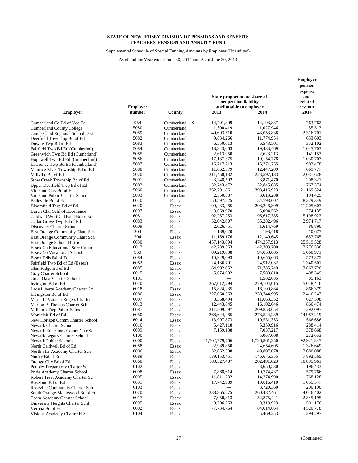Supplemental Schedule of Special Funding Amounts by Employer (Unaudited)

|                                                           |                           |                  | State proportionate share of<br>net pension liability | Employer<br>pension<br>expense<br>and<br>related |                         |
|-----------------------------------------------------------|---------------------------|------------------|-------------------------------------------------------|--------------------------------------------------|-------------------------|
| <b>Employer</b>                                           | <b>Employer</b><br>number | County           | attributable to employer<br>2013                      | 2014                                             | revenue<br>2014         |
|                                                           |                           |                  |                                                       |                                                  |                         |
| Cumberland Co Bd of Voc Ed                                | 954<br>5080               | \$<br>Cumberland | 14,701,809                                            | 14,193,837                                       | 763,762                 |
| <b>Cumberland County College</b>                          | 5089                      | Cumberland       | 1,500,419                                             | 1,027,946                                        | 55,313                  |
| Cumberland Regional School Dist                           |                           | Cumberland       | 40,693,510                                            | 43,053,836                                       | 2,316,701               |
| Deerfield Township Bd of Ed                               | 5082                      | Cumberland       | 9,834,266                                             | 11,774,954                                       | 633,603                 |
| Downe Twp Bd of Ed                                        | 5083                      | Cumberland       | 6,550,013                                             | 6,543,501                                        | 352,102                 |
| Fairfield Twp Bd Ed (Cumberlnd)                           | 5084<br>5085              | Cumberland       | 18,343,063                                            | 19,433,469                                       | 1,045,703               |
| Greenwich Twp Bd Ed (Cumbrland)                           | 5086                      | Cumberland       | 2,613,950                                             | 2,623,213<br>19,154,778                          | 141,153<br>1,030,707    |
| Hopewell Twp Bd Ed (Cumberland)                           | 5087                      | Cumberland       | 17, 137, 375                                          |                                                  | 902,478                 |
| Lawrence Twp Bd Ed (Cumberland)                           |                           | Cumberland       | 16,717,713                                            | 16,771,755                                       |                         |
| Maurice River Township Bd of Ed                           | 5088                      | Cumberland       | 11,662,579                                            | 12,447,209                                       | 669,777                 |
| Millville Bd of Ed                                        | 5070                      | Cumberland       | 211,458,132                                           | 223,597,183                                      | 12,031,628              |
| Stow Creek Township Bd of Ed                              | 5091                      | Cumberland       | 3,248,592                                             | 3,871,470                                        | 208,321                 |
| Upper Deerfield Twp Bd of Ed                              | 5092                      | Cumberland       | 32,243,472                                            | 32,845,085                                       | 1,767,374               |
| Vineland City Bd of Ed                                    | 5060                      | Cumberland       | 362,701,861<br>2,550,587                              | 393,416,923                                      | 21,169,524<br>194,429   |
| Vineland Public Charter School                            | 5093<br>6010              | Cumberland       | 150,597,225                                           | 3,613,288                                        | 8,329,349               |
| Belleville Bd of Ed                                       |                           | Essex            |                                                       | 154,793,607                                      |                         |
| Bloomfield Twp Bd of Ed                                   | 6020<br>6097              | <b>Essex</b>     | 190,433,465                                           | 208,246,309                                      | 11,205,607              |
| <b>Burch Chtr Schl of Excellence</b>                      | 6081                      | Essex            | 3,669,970<br>92,257,253                               | 5,094,562                                        | 274,135                 |
| Caldwell West Caldwell Bd of Ed                           |                           | Essex            |                                                       | 96,617,385<br>55,282,496                         | 5,198,922               |
| Cedar Grove Twp Bd of Ed                                  | 6083<br>6009              | Essex            | 52,042,007<br>2,026,751                               |                                                  | 2,974,717<br>86,890     |
| Discovery Charter School                                  | 204                       | Essex            | 189,620                                               | 1,614,769<br>198,418                             | 10,677                  |
| East Orange Community Chart Sch                           | 204                       | Essex            |                                                       |                                                  | 653.765                 |
| East Orange Community Chart Sch                           | 6030                      | <b>Essex</b>     | 11,169,176                                            | 12,149,645                                       |                         |
| East Orange School District                               | 6012                      | Essex            | 457,143,804<br>42,289,363                             | 474,257,913<br>42,303,700                        | 25,519,528<br>2,276,336 |
| <b>Essex Co Educational Serv Comm</b>                     | 950                       | Essex            | 89,219,038                                            | 94,053,685                                       | 5,060,971               |
| <b>Essex Co Vocational School</b><br>Essex Fells Bd of Ed | 6084                      | Essex<br>Essex   | 10,929,693                                            | 10,655,663                                       | 573,375                 |
|                                                           | 6082                      | Essex            | 24,136,701                                            | 24,912,032                                       | 1,340,501               |
| Fairfield Twp Bd of Ed (Essex)                            | 6085                      | Essex            | 64,992,052                                            | 71,785,249                                       | 3,862,720               |
| Glen Ridge Bd of Ed<br>Gray Charter School                | 6015                      | Essex            | 5,674,092                                             | 7,588,810                                        | 408,349                 |
| <b>Great Oaks Charter School</b>                          | 6101                      | Essex            |                                                       | 1,582,685                                        | 85,163                  |
| Irvington Bd of Ed                                        | 6040                      | Essex            | 267,012,794                                           | 279, 104, 015                                    | 15,018,416              |
| Lady Liberty Academy Charter Sc                           | 6018                      | Essex            | 15,824,235                                            | 16,100,884                                       | 866,379                 |
| Livingston Bd of Ed                                       | 6086                      | Essex            | 227,060,363                                           | 230,744,995                                      | 12,416,247              |
| Maria L. Varisco-Rogers Charter                           | 6007                      | Essex            | 8,368,494                                             | 11,663,352                                       | 627,598                 |
| Marion P. Thomas Charter Sch                              | 6013                      | Essex            | 12,443,845                                            | 16,102,646                                       | 866,474                 |
| Millburn Twp Public Schools                               | 6087                      | Essex            | 211,209,597                                           | 209,853,654                                      | 11,292,097              |
| Montclair Bd of Ed                                        | 6050                      | Essex            | 268, 644, 465                                         | 278,524,239                                      | 14,987,219              |
| New Horizon Comm Charter School                           | 6014                      | Essex            | 13,997,873                                            | 10,531,353                                       | 566,686                 |
| <b>Newark Charter School</b>                              | 6016                      | Essex            | 5,427,118                                             | 5,359,916                                        | 288,414                 |
| Newark Educators' Comm Chtr Sch                           | 6099                      | Essex            | 7,159,138                                             | 7,037,217                                        | 378,668                 |
| Newark Legacy Charter School                              | 6100                      | Essex            |                                                       | 5,067,008                                        | 272.653                 |
| Newark Public Schools                                     | 6000                      | Essex            | 1,702,779,766                                         | 1,726,861,250                                    | 92,921,347              |
| North Caldwell Bd of Ed                                   | 6088                      | Essex            | 22,989,850                                            | 24,654,605                                       | 1,326,649               |
| North Star Academy Charter Sch                            | 6006                      | Essex            | 32,662,588                                            | 49,807,078                                       | 2,680,088               |
| Nutley Bd of Ed                                           | 6089                      | Essex            | 139, 153, 451                                         | 146,676,355                                      | 7,892,565               |
| Orange City Bd of Ed                                      | 6060                      | Essex            | 180,527,487                                           | 202,491,823                                      | 10,895,961              |
| Peoples Preparatory Charter Sch                           | 6102                      | Essex            |                                                       | 3,650,530                                        | 196,433                 |
| Pride Academy Charter School                              | 6098                      | Essex            | 7,868,614                                             | 10,774,437                                       | 579,766                 |
| Robert Treat Academy Charter Sc                           | 6005                      | Essex            | 11,811,232                                            | 14,274,990                                       | 768,128                 |
| Roseland Bd of Ed                                         | 6091                      | Essex            | 17,742,989                                            | 19,616,410                                       | 1,055,547               |
| Roseville Community Charter Sch                           | 6103                      | Essex            |                                                       | 3,720,360                                        | 200,190                 |
| South Orange-Maplewood Bd of Ed                           | 6070                      | Essex            | 238,865,275                                           | 260,482,461                                      | 14,016,402              |
| Team Academy Charter School                               | 6017                      | Essex            | 47,050,313                                            | 52,875,441                                       | 2,845,195               |
| University Heights Charter Schl                           | 6095                      | Essex            | 8,206,263                                             | 9,313,923                                        | 501,176                 |
| Verona Bd of Ed                                           | 6092                      | Essex            | 77,734,764                                            | 84,014,664                                       | 4,520,778               |
| Visions Academy Charter H.S.                              | 6104                      | Essex            |                                                       | 5,469,253                                        | 294,297                 |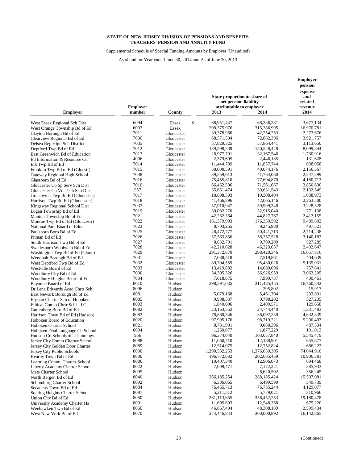Supplemental Schedule of Special Funding Amounts by Employer (Unaudited)

| attributable to employer<br><b>Employer</b><br>revenue<br>2013<br>2014<br><b>Employer</b><br>number<br>County<br>2014<br>\$<br>6094<br>68,951,447<br>68,336,281<br>3,677,134<br>West Essex Regional Sch Dist<br>Essex<br>6093<br>298,375,976<br>315,386,995<br>16,970,781<br>West Orange Township Bd of Ed<br>Essex<br>7011<br>39,378,966<br>42,254,253<br>2,273,676<br>Clayton Borough Bd of Ed<br>Gloucester<br>7036<br>Clearview Regional Bd of Ed<br>Gloucester<br>68,571,504<br>72,882,396<br>3,921,757<br>7035<br>57,829,325<br>57,864,441<br>3,113,650<br>Delsea Reg High Sch District<br>Gloucester<br>7012<br>139,598,239<br>150,528,448<br>8,099,844<br>Deptford Twp Bd of Ed<br>Gloucester<br>7013<br>28,977,791<br>32, 167, 546<br>1,730,916<br>East Greenwich Bd of Education<br>Gloucester<br>4006<br>2,379,695<br>2,446,185<br>131,628<br>Ed Information & Resource Ctr<br>Gloucester<br>7014<br>11,857,744<br>638,058<br>11,444,789<br>Elk Twp Bd of Ed<br>Gloucester<br>7015<br>38,000,591<br>40,074,176<br>2,156,367<br>Gloucester<br>Franklin Twp Bd of Ed (Glocstr)<br>7038<br>2,247,299<br>39,559,613<br>41,764,060<br>Gateway Regional High School<br>Gloucester<br>7016<br>75,455,810<br>77,694,870<br>4,180,713<br>Glassboro Bd of Ed<br>Gloucester<br>7010<br>66,462,506<br>71,561,667<br>3,850,690<br>Gloucester Co Sp Serv Sch Dist<br>Gloucester<br>957<br>35,661,474<br>39,631,543<br>2,132,549<br>Gloucester Co Vo-Tech Sch Dist<br>Gloucester<br>7017<br>18,698,503<br>19,308,404<br>1,038,973<br>Greenwich Twp Bd Ed (Gloucster)<br>Gloucester<br>7018<br>41,466,896<br>42,065,146<br>2,263,500<br>Harrison Twp Bd Ed (Gloucester)<br>Gloucester<br>7037<br>59,999,348<br>57,910,947<br>3,228,528<br>Kingsway Regional School Dist<br>Gloucester<br>7019<br>30,082,270<br>32,915,040<br>1,771,138<br>Logan Township Bd of Ed<br>Gloucester<br>7021<br>42,262,364<br>44,827,767<br>2,412,155<br>Mantua Township Bd of Ed<br>Gloucester<br>7022<br>161,579,903<br>176,359,592<br>9,489,802<br>Monroe Twp Bd of Ed (Gloucestr)<br>Gloucester<br>7023<br>8,703,255<br>9,245,980<br>497,521<br>National Park Board of Educ<br>Gloucester<br>7025<br>48,472,777<br>50,441,713<br>2,714,238<br>Paulsboro Boro Bd of Ed<br>Gloucester<br>7026<br>58,357,528<br>3,140,183<br>57,563,856<br>Pitman Bd of Ed<br>Gloucester<br>7027<br>8,632,791<br>9,799,209<br>527,289<br>Gloucester<br>7028<br>42,210,628<br>46,323,637<br>2,492,647<br>Swedesboro Woolwich Bd of Ed<br>Gloucester<br>7029<br>291,372,670<br>298,420,346<br>16,057,816<br>Washington Twp Bd of Ed (Glouc)<br>Gloucester<br>7031<br>404,639<br>Gloucester<br>7,088,518<br>7,519,861<br>7032<br>89,704,559<br>95,430,026<br>5,135,031<br>Gloucester<br>7033<br>13,419,882<br>14,080,096<br>757,641<br>Westville Board of Ed<br>Gloucester<br>7000<br>3,063,205<br>54,395,326<br>56,926,959<br>Woodbury City Bd of Ed<br>Gloucester<br>7034<br>7,618,675<br>7,999,737<br>430,461<br>Gloucester<br>Woodbury Heights Board of Ed<br>8010<br>16,760,842<br>298,591,035<br>311,485,455<br>Bayonne Board of Ed<br>Hudson<br>8096<br>15,917<br>295,802<br>Dr Lena Edwards Acad Chrtr Schl<br>Hudson<br>8081<br>5,079,168<br>293,891<br>5,461,704<br>East Newark Borough Bd of Ed<br>Hudson<br>8085<br>9,988,537<br>9,798,202<br>527,235<br>Elysian Charter Sch of Hoboken<br>Hudson<br>8093<br>2,409,571<br>129,658<br>1,840,096<br>Ethical Comm Chrtr Schl - J.C.<br>Hudson<br>8082<br>24,744,440<br>23,163,552<br>1,331,483<br>Guttenberg Boro Bd of Ed<br>Hudson<br>8083<br>78,860,546<br>86,097,230<br>4,632,839<br>Harrison Town Bd of Ed (Hudson)<br>Hudson<br>8020<br>97,995,176<br>98,319,221<br>5,290,497<br>Hoboken Board of Education<br>Hudson<br>8021<br>8,781,991<br>9,060,396<br>487,534<br>Hoboken Charter School<br>Hudson<br>8094<br>1,260,077<br>1,877,229<br>101,013<br>Hoboken Dual Language Ch School<br>Hudson<br>956<br>96,374,040<br>103,057,840<br>5,545,479<br>Hudson Co Schools of Technology<br>Hudson<br>8088<br>11,060,710<br>655,877<br>12,188,901<br>Hudson<br>Jersey City Comm Charter School<br>8089<br>686,222<br>12,514,075<br>12,752,824<br>Jersey City Golden Door Charter<br>Hudson<br>8000<br>1,290,532,253<br>1,376,059,305<br>74,044,910<br>Jersey City Public Schools<br>Hudson<br>8030<br>196,772,632<br>202,685,459<br>10,906,381<br>Hudson<br>Kearny Town Bd of Ed<br>8086<br>10,407,340<br>12,906,073<br>694,468<br>Learning Comm. Charter School<br>Hudson<br>8022<br>7,009,471<br>7,172,221<br>385,933<br>Liberty Academy Charter School<br>Hudson<br>8095<br>6,620,502<br>356,245<br>Mets Charter School<br>Hudson<br>8040<br>266,185,254<br>288,185,424<br>15,507,081<br>North Bergen Bd of Ed<br>Hudson<br>8092<br>6,499,590<br>349,739<br>6,386,065<br>Schomburg Charter School<br>Hudson<br>8084<br>76,735,244<br>4,129,077<br>Secaucus Town Bd of Ed<br>Hudson<br>76,465,713<br>8087<br>5,211,512<br>5,779,021<br>310,966<br>Soaring Heights Charter School<br>Hudson<br>8050<br>361,113,655<br>356,452,253<br>19,180,478<br>Union City Bd of Ed<br>Hudson<br>8091<br>11,605,693<br>12,548,368<br>675,220<br>University Academy Charter Hs<br>Hudson<br>8060<br>46,867,404<br>2,599,434<br>Weehawken Twp Bd of Ed<br>Hudson<br>48,308,189<br>8070<br>274,446,843<br>300,000,892 |                             |        | State proportionate share of<br>net pension liability | <b>Employer</b><br>pension<br>expense<br>and<br>related |
|-----------------------------------------------------------------------------------------------------------------------------------------------------------------------------------------------------------------------------------------------------------------------------------------------------------------------------------------------------------------------------------------------------------------------------------------------------------------------------------------------------------------------------------------------------------------------------------------------------------------------------------------------------------------------------------------------------------------------------------------------------------------------------------------------------------------------------------------------------------------------------------------------------------------------------------------------------------------------------------------------------------------------------------------------------------------------------------------------------------------------------------------------------------------------------------------------------------------------------------------------------------------------------------------------------------------------------------------------------------------------------------------------------------------------------------------------------------------------------------------------------------------------------------------------------------------------------------------------------------------------------------------------------------------------------------------------------------------------------------------------------------------------------------------------------------------------------------------------------------------------------------------------------------------------------------------------------------------------------------------------------------------------------------------------------------------------------------------------------------------------------------------------------------------------------------------------------------------------------------------------------------------------------------------------------------------------------------------------------------------------------------------------------------------------------------------------------------------------------------------------------------------------------------------------------------------------------------------------------------------------------------------------------------------------------------------------------------------------------------------------------------------------------------------------------------------------------------------------------------------------------------------------------------------------------------------------------------------------------------------------------------------------------------------------------------------------------------------------------------------------------------------------------------------------------------------------------------------------------------------------------------------------------------------------------------------------------------------------------------------------------------------------------------------------------------------------------------------------------------------------------------------------------------------------------------------------------------------------------------------------------------------------------------------------------------------------------------------------------------------------------------------------------------------------------------------------------------------------------------------------------------------------------------------------------------------------------------------------------------------------------------------------------------------------------------------------------------------------------------------------------------------------------------------------------------------------------------------------------------------------------------------------------------------------------------------------------------------------------------------------------------------------------------------------------------------------------------------------------------------------------------------------------------------------------------------------------------------------------------------------------------------------------------------------------------------------------------------------------------------------------------------------------------------------------------------------------------------------------------------------------------------------------------------------------------------------------------------------------------------------------------------------------------------------------------------------------------------------------------------------------------------------------------------------------------------------------------------------------------------------------------------------------------------------------------------------|-----------------------------|--------|-------------------------------------------------------|---------------------------------------------------------|
|                                                                                                                                                                                                                                                                                                                                                                                                                                                                                                                                                                                                                                                                                                                                                                                                                                                                                                                                                                                                                                                                                                                                                                                                                                                                                                                                                                                                                                                                                                                                                                                                                                                                                                                                                                                                                                                                                                                                                                                                                                                                                                                                                                                                                                                                                                                                                                                                                                                                                                                                                                                                                                                                                                                                                                                                                                                                                                                                                                                                                                                                                                                                                                                                                                                                                                                                                                                                                                                                                                                                                                                                                                                                                                                                                                                                                                                                                                                                                                                                                                                                                                                                                                                                                                                                                                                                                                                                                                                                                                                                                                                                                                                                                                                                                                                                                                                                                                                                                                                                                                                                                                                                                                                                                                                                                                                       |                             |        |                                                       |                                                         |
|                                                                                                                                                                                                                                                                                                                                                                                                                                                                                                                                                                                                                                                                                                                                                                                                                                                                                                                                                                                                                                                                                                                                                                                                                                                                                                                                                                                                                                                                                                                                                                                                                                                                                                                                                                                                                                                                                                                                                                                                                                                                                                                                                                                                                                                                                                                                                                                                                                                                                                                                                                                                                                                                                                                                                                                                                                                                                                                                                                                                                                                                                                                                                                                                                                                                                                                                                                                                                                                                                                                                                                                                                                                                                                                                                                                                                                                                                                                                                                                                                                                                                                                                                                                                                                                                                                                                                                                                                                                                                                                                                                                                                                                                                                                                                                                                                                                                                                                                                                                                                                                                                                                                                                                                                                                                                                                       |                             |        |                                                       |                                                         |
|                                                                                                                                                                                                                                                                                                                                                                                                                                                                                                                                                                                                                                                                                                                                                                                                                                                                                                                                                                                                                                                                                                                                                                                                                                                                                                                                                                                                                                                                                                                                                                                                                                                                                                                                                                                                                                                                                                                                                                                                                                                                                                                                                                                                                                                                                                                                                                                                                                                                                                                                                                                                                                                                                                                                                                                                                                                                                                                                                                                                                                                                                                                                                                                                                                                                                                                                                                                                                                                                                                                                                                                                                                                                                                                                                                                                                                                                                                                                                                                                                                                                                                                                                                                                                                                                                                                                                                                                                                                                                                                                                                                                                                                                                                                                                                                                                                                                                                                                                                                                                                                                                                                                                                                                                                                                                                                       |                             |        |                                                       |                                                         |
|                                                                                                                                                                                                                                                                                                                                                                                                                                                                                                                                                                                                                                                                                                                                                                                                                                                                                                                                                                                                                                                                                                                                                                                                                                                                                                                                                                                                                                                                                                                                                                                                                                                                                                                                                                                                                                                                                                                                                                                                                                                                                                                                                                                                                                                                                                                                                                                                                                                                                                                                                                                                                                                                                                                                                                                                                                                                                                                                                                                                                                                                                                                                                                                                                                                                                                                                                                                                                                                                                                                                                                                                                                                                                                                                                                                                                                                                                                                                                                                                                                                                                                                                                                                                                                                                                                                                                                                                                                                                                                                                                                                                                                                                                                                                                                                                                                                                                                                                                                                                                                                                                                                                                                                                                                                                                                                       |                             |        |                                                       |                                                         |
|                                                                                                                                                                                                                                                                                                                                                                                                                                                                                                                                                                                                                                                                                                                                                                                                                                                                                                                                                                                                                                                                                                                                                                                                                                                                                                                                                                                                                                                                                                                                                                                                                                                                                                                                                                                                                                                                                                                                                                                                                                                                                                                                                                                                                                                                                                                                                                                                                                                                                                                                                                                                                                                                                                                                                                                                                                                                                                                                                                                                                                                                                                                                                                                                                                                                                                                                                                                                                                                                                                                                                                                                                                                                                                                                                                                                                                                                                                                                                                                                                                                                                                                                                                                                                                                                                                                                                                                                                                                                                                                                                                                                                                                                                                                                                                                                                                                                                                                                                                                                                                                                                                                                                                                                                                                                                                                       |                             |        |                                                       |                                                         |
|                                                                                                                                                                                                                                                                                                                                                                                                                                                                                                                                                                                                                                                                                                                                                                                                                                                                                                                                                                                                                                                                                                                                                                                                                                                                                                                                                                                                                                                                                                                                                                                                                                                                                                                                                                                                                                                                                                                                                                                                                                                                                                                                                                                                                                                                                                                                                                                                                                                                                                                                                                                                                                                                                                                                                                                                                                                                                                                                                                                                                                                                                                                                                                                                                                                                                                                                                                                                                                                                                                                                                                                                                                                                                                                                                                                                                                                                                                                                                                                                                                                                                                                                                                                                                                                                                                                                                                                                                                                                                                                                                                                                                                                                                                                                                                                                                                                                                                                                                                                                                                                                                                                                                                                                                                                                                                                       |                             |        |                                                       |                                                         |
|                                                                                                                                                                                                                                                                                                                                                                                                                                                                                                                                                                                                                                                                                                                                                                                                                                                                                                                                                                                                                                                                                                                                                                                                                                                                                                                                                                                                                                                                                                                                                                                                                                                                                                                                                                                                                                                                                                                                                                                                                                                                                                                                                                                                                                                                                                                                                                                                                                                                                                                                                                                                                                                                                                                                                                                                                                                                                                                                                                                                                                                                                                                                                                                                                                                                                                                                                                                                                                                                                                                                                                                                                                                                                                                                                                                                                                                                                                                                                                                                                                                                                                                                                                                                                                                                                                                                                                                                                                                                                                                                                                                                                                                                                                                                                                                                                                                                                                                                                                                                                                                                                                                                                                                                                                                                                                                       |                             |        |                                                       |                                                         |
|                                                                                                                                                                                                                                                                                                                                                                                                                                                                                                                                                                                                                                                                                                                                                                                                                                                                                                                                                                                                                                                                                                                                                                                                                                                                                                                                                                                                                                                                                                                                                                                                                                                                                                                                                                                                                                                                                                                                                                                                                                                                                                                                                                                                                                                                                                                                                                                                                                                                                                                                                                                                                                                                                                                                                                                                                                                                                                                                                                                                                                                                                                                                                                                                                                                                                                                                                                                                                                                                                                                                                                                                                                                                                                                                                                                                                                                                                                                                                                                                                                                                                                                                                                                                                                                                                                                                                                                                                                                                                                                                                                                                                                                                                                                                                                                                                                                                                                                                                                                                                                                                                                                                                                                                                                                                                                                       |                             |        |                                                       |                                                         |
|                                                                                                                                                                                                                                                                                                                                                                                                                                                                                                                                                                                                                                                                                                                                                                                                                                                                                                                                                                                                                                                                                                                                                                                                                                                                                                                                                                                                                                                                                                                                                                                                                                                                                                                                                                                                                                                                                                                                                                                                                                                                                                                                                                                                                                                                                                                                                                                                                                                                                                                                                                                                                                                                                                                                                                                                                                                                                                                                                                                                                                                                                                                                                                                                                                                                                                                                                                                                                                                                                                                                                                                                                                                                                                                                                                                                                                                                                                                                                                                                                                                                                                                                                                                                                                                                                                                                                                                                                                                                                                                                                                                                                                                                                                                                                                                                                                                                                                                                                                                                                                                                                                                                                                                                                                                                                                                       |                             |        |                                                       |                                                         |
|                                                                                                                                                                                                                                                                                                                                                                                                                                                                                                                                                                                                                                                                                                                                                                                                                                                                                                                                                                                                                                                                                                                                                                                                                                                                                                                                                                                                                                                                                                                                                                                                                                                                                                                                                                                                                                                                                                                                                                                                                                                                                                                                                                                                                                                                                                                                                                                                                                                                                                                                                                                                                                                                                                                                                                                                                                                                                                                                                                                                                                                                                                                                                                                                                                                                                                                                                                                                                                                                                                                                                                                                                                                                                                                                                                                                                                                                                                                                                                                                                                                                                                                                                                                                                                                                                                                                                                                                                                                                                                                                                                                                                                                                                                                                                                                                                                                                                                                                                                                                                                                                                                                                                                                                                                                                                                                       |                             |        |                                                       |                                                         |
|                                                                                                                                                                                                                                                                                                                                                                                                                                                                                                                                                                                                                                                                                                                                                                                                                                                                                                                                                                                                                                                                                                                                                                                                                                                                                                                                                                                                                                                                                                                                                                                                                                                                                                                                                                                                                                                                                                                                                                                                                                                                                                                                                                                                                                                                                                                                                                                                                                                                                                                                                                                                                                                                                                                                                                                                                                                                                                                                                                                                                                                                                                                                                                                                                                                                                                                                                                                                                                                                                                                                                                                                                                                                                                                                                                                                                                                                                                                                                                                                                                                                                                                                                                                                                                                                                                                                                                                                                                                                                                                                                                                                                                                                                                                                                                                                                                                                                                                                                                                                                                                                                                                                                                                                                                                                                                                       |                             |        |                                                       |                                                         |
|                                                                                                                                                                                                                                                                                                                                                                                                                                                                                                                                                                                                                                                                                                                                                                                                                                                                                                                                                                                                                                                                                                                                                                                                                                                                                                                                                                                                                                                                                                                                                                                                                                                                                                                                                                                                                                                                                                                                                                                                                                                                                                                                                                                                                                                                                                                                                                                                                                                                                                                                                                                                                                                                                                                                                                                                                                                                                                                                                                                                                                                                                                                                                                                                                                                                                                                                                                                                                                                                                                                                                                                                                                                                                                                                                                                                                                                                                                                                                                                                                                                                                                                                                                                                                                                                                                                                                                                                                                                                                                                                                                                                                                                                                                                                                                                                                                                                                                                                                                                                                                                                                                                                                                                                                                                                                                                       |                             |        |                                                       |                                                         |
|                                                                                                                                                                                                                                                                                                                                                                                                                                                                                                                                                                                                                                                                                                                                                                                                                                                                                                                                                                                                                                                                                                                                                                                                                                                                                                                                                                                                                                                                                                                                                                                                                                                                                                                                                                                                                                                                                                                                                                                                                                                                                                                                                                                                                                                                                                                                                                                                                                                                                                                                                                                                                                                                                                                                                                                                                                                                                                                                                                                                                                                                                                                                                                                                                                                                                                                                                                                                                                                                                                                                                                                                                                                                                                                                                                                                                                                                                                                                                                                                                                                                                                                                                                                                                                                                                                                                                                                                                                                                                                                                                                                                                                                                                                                                                                                                                                                                                                                                                                                                                                                                                                                                                                                                                                                                                                                       |                             |        |                                                       |                                                         |
|                                                                                                                                                                                                                                                                                                                                                                                                                                                                                                                                                                                                                                                                                                                                                                                                                                                                                                                                                                                                                                                                                                                                                                                                                                                                                                                                                                                                                                                                                                                                                                                                                                                                                                                                                                                                                                                                                                                                                                                                                                                                                                                                                                                                                                                                                                                                                                                                                                                                                                                                                                                                                                                                                                                                                                                                                                                                                                                                                                                                                                                                                                                                                                                                                                                                                                                                                                                                                                                                                                                                                                                                                                                                                                                                                                                                                                                                                                                                                                                                                                                                                                                                                                                                                                                                                                                                                                                                                                                                                                                                                                                                                                                                                                                                                                                                                                                                                                                                                                                                                                                                                                                                                                                                                                                                                                                       |                             |        |                                                       |                                                         |
|                                                                                                                                                                                                                                                                                                                                                                                                                                                                                                                                                                                                                                                                                                                                                                                                                                                                                                                                                                                                                                                                                                                                                                                                                                                                                                                                                                                                                                                                                                                                                                                                                                                                                                                                                                                                                                                                                                                                                                                                                                                                                                                                                                                                                                                                                                                                                                                                                                                                                                                                                                                                                                                                                                                                                                                                                                                                                                                                                                                                                                                                                                                                                                                                                                                                                                                                                                                                                                                                                                                                                                                                                                                                                                                                                                                                                                                                                                                                                                                                                                                                                                                                                                                                                                                                                                                                                                                                                                                                                                                                                                                                                                                                                                                                                                                                                                                                                                                                                                                                                                                                                                                                                                                                                                                                                                                       |                             |        |                                                       |                                                         |
|                                                                                                                                                                                                                                                                                                                                                                                                                                                                                                                                                                                                                                                                                                                                                                                                                                                                                                                                                                                                                                                                                                                                                                                                                                                                                                                                                                                                                                                                                                                                                                                                                                                                                                                                                                                                                                                                                                                                                                                                                                                                                                                                                                                                                                                                                                                                                                                                                                                                                                                                                                                                                                                                                                                                                                                                                                                                                                                                                                                                                                                                                                                                                                                                                                                                                                                                                                                                                                                                                                                                                                                                                                                                                                                                                                                                                                                                                                                                                                                                                                                                                                                                                                                                                                                                                                                                                                                                                                                                                                                                                                                                                                                                                                                                                                                                                                                                                                                                                                                                                                                                                                                                                                                                                                                                                                                       |                             |        |                                                       |                                                         |
|                                                                                                                                                                                                                                                                                                                                                                                                                                                                                                                                                                                                                                                                                                                                                                                                                                                                                                                                                                                                                                                                                                                                                                                                                                                                                                                                                                                                                                                                                                                                                                                                                                                                                                                                                                                                                                                                                                                                                                                                                                                                                                                                                                                                                                                                                                                                                                                                                                                                                                                                                                                                                                                                                                                                                                                                                                                                                                                                                                                                                                                                                                                                                                                                                                                                                                                                                                                                                                                                                                                                                                                                                                                                                                                                                                                                                                                                                                                                                                                                                                                                                                                                                                                                                                                                                                                                                                                                                                                                                                                                                                                                                                                                                                                                                                                                                                                                                                                                                                                                                                                                                                                                                                                                                                                                                                                       |                             |        |                                                       |                                                         |
|                                                                                                                                                                                                                                                                                                                                                                                                                                                                                                                                                                                                                                                                                                                                                                                                                                                                                                                                                                                                                                                                                                                                                                                                                                                                                                                                                                                                                                                                                                                                                                                                                                                                                                                                                                                                                                                                                                                                                                                                                                                                                                                                                                                                                                                                                                                                                                                                                                                                                                                                                                                                                                                                                                                                                                                                                                                                                                                                                                                                                                                                                                                                                                                                                                                                                                                                                                                                                                                                                                                                                                                                                                                                                                                                                                                                                                                                                                                                                                                                                                                                                                                                                                                                                                                                                                                                                                                                                                                                                                                                                                                                                                                                                                                                                                                                                                                                                                                                                                                                                                                                                                                                                                                                                                                                                                                       |                             |        |                                                       |                                                         |
|                                                                                                                                                                                                                                                                                                                                                                                                                                                                                                                                                                                                                                                                                                                                                                                                                                                                                                                                                                                                                                                                                                                                                                                                                                                                                                                                                                                                                                                                                                                                                                                                                                                                                                                                                                                                                                                                                                                                                                                                                                                                                                                                                                                                                                                                                                                                                                                                                                                                                                                                                                                                                                                                                                                                                                                                                                                                                                                                                                                                                                                                                                                                                                                                                                                                                                                                                                                                                                                                                                                                                                                                                                                                                                                                                                                                                                                                                                                                                                                                                                                                                                                                                                                                                                                                                                                                                                                                                                                                                                                                                                                                                                                                                                                                                                                                                                                                                                                                                                                                                                                                                                                                                                                                                                                                                                                       |                             |        |                                                       |                                                         |
|                                                                                                                                                                                                                                                                                                                                                                                                                                                                                                                                                                                                                                                                                                                                                                                                                                                                                                                                                                                                                                                                                                                                                                                                                                                                                                                                                                                                                                                                                                                                                                                                                                                                                                                                                                                                                                                                                                                                                                                                                                                                                                                                                                                                                                                                                                                                                                                                                                                                                                                                                                                                                                                                                                                                                                                                                                                                                                                                                                                                                                                                                                                                                                                                                                                                                                                                                                                                                                                                                                                                                                                                                                                                                                                                                                                                                                                                                                                                                                                                                                                                                                                                                                                                                                                                                                                                                                                                                                                                                                                                                                                                                                                                                                                                                                                                                                                                                                                                                                                                                                                                                                                                                                                                                                                                                                                       |                             |        |                                                       |                                                         |
|                                                                                                                                                                                                                                                                                                                                                                                                                                                                                                                                                                                                                                                                                                                                                                                                                                                                                                                                                                                                                                                                                                                                                                                                                                                                                                                                                                                                                                                                                                                                                                                                                                                                                                                                                                                                                                                                                                                                                                                                                                                                                                                                                                                                                                                                                                                                                                                                                                                                                                                                                                                                                                                                                                                                                                                                                                                                                                                                                                                                                                                                                                                                                                                                                                                                                                                                                                                                                                                                                                                                                                                                                                                                                                                                                                                                                                                                                                                                                                                                                                                                                                                                                                                                                                                                                                                                                                                                                                                                                                                                                                                                                                                                                                                                                                                                                                                                                                                                                                                                                                                                                                                                                                                                                                                                                                                       |                             |        |                                                       |                                                         |
|                                                                                                                                                                                                                                                                                                                                                                                                                                                                                                                                                                                                                                                                                                                                                                                                                                                                                                                                                                                                                                                                                                                                                                                                                                                                                                                                                                                                                                                                                                                                                                                                                                                                                                                                                                                                                                                                                                                                                                                                                                                                                                                                                                                                                                                                                                                                                                                                                                                                                                                                                                                                                                                                                                                                                                                                                                                                                                                                                                                                                                                                                                                                                                                                                                                                                                                                                                                                                                                                                                                                                                                                                                                                                                                                                                                                                                                                                                                                                                                                                                                                                                                                                                                                                                                                                                                                                                                                                                                                                                                                                                                                                                                                                                                                                                                                                                                                                                                                                                                                                                                                                                                                                                                                                                                                                                                       |                             |        |                                                       |                                                         |
|                                                                                                                                                                                                                                                                                                                                                                                                                                                                                                                                                                                                                                                                                                                                                                                                                                                                                                                                                                                                                                                                                                                                                                                                                                                                                                                                                                                                                                                                                                                                                                                                                                                                                                                                                                                                                                                                                                                                                                                                                                                                                                                                                                                                                                                                                                                                                                                                                                                                                                                                                                                                                                                                                                                                                                                                                                                                                                                                                                                                                                                                                                                                                                                                                                                                                                                                                                                                                                                                                                                                                                                                                                                                                                                                                                                                                                                                                                                                                                                                                                                                                                                                                                                                                                                                                                                                                                                                                                                                                                                                                                                                                                                                                                                                                                                                                                                                                                                                                                                                                                                                                                                                                                                                                                                                                                                       |                             |        |                                                       |                                                         |
|                                                                                                                                                                                                                                                                                                                                                                                                                                                                                                                                                                                                                                                                                                                                                                                                                                                                                                                                                                                                                                                                                                                                                                                                                                                                                                                                                                                                                                                                                                                                                                                                                                                                                                                                                                                                                                                                                                                                                                                                                                                                                                                                                                                                                                                                                                                                                                                                                                                                                                                                                                                                                                                                                                                                                                                                                                                                                                                                                                                                                                                                                                                                                                                                                                                                                                                                                                                                                                                                                                                                                                                                                                                                                                                                                                                                                                                                                                                                                                                                                                                                                                                                                                                                                                                                                                                                                                                                                                                                                                                                                                                                                                                                                                                                                                                                                                                                                                                                                                                                                                                                                                                                                                                                                                                                                                                       |                             |        |                                                       |                                                         |
|                                                                                                                                                                                                                                                                                                                                                                                                                                                                                                                                                                                                                                                                                                                                                                                                                                                                                                                                                                                                                                                                                                                                                                                                                                                                                                                                                                                                                                                                                                                                                                                                                                                                                                                                                                                                                                                                                                                                                                                                                                                                                                                                                                                                                                                                                                                                                                                                                                                                                                                                                                                                                                                                                                                                                                                                                                                                                                                                                                                                                                                                                                                                                                                                                                                                                                                                                                                                                                                                                                                                                                                                                                                                                                                                                                                                                                                                                                                                                                                                                                                                                                                                                                                                                                                                                                                                                                                                                                                                                                                                                                                                                                                                                                                                                                                                                                                                                                                                                                                                                                                                                                                                                                                                                                                                                                                       | South Harrison Twp Bd of Ed |        |                                                       |                                                         |
|                                                                                                                                                                                                                                                                                                                                                                                                                                                                                                                                                                                                                                                                                                                                                                                                                                                                                                                                                                                                                                                                                                                                                                                                                                                                                                                                                                                                                                                                                                                                                                                                                                                                                                                                                                                                                                                                                                                                                                                                                                                                                                                                                                                                                                                                                                                                                                                                                                                                                                                                                                                                                                                                                                                                                                                                                                                                                                                                                                                                                                                                                                                                                                                                                                                                                                                                                                                                                                                                                                                                                                                                                                                                                                                                                                                                                                                                                                                                                                                                                                                                                                                                                                                                                                                                                                                                                                                                                                                                                                                                                                                                                                                                                                                                                                                                                                                                                                                                                                                                                                                                                                                                                                                                                                                                                                                       |                             |        |                                                       |                                                         |
|                                                                                                                                                                                                                                                                                                                                                                                                                                                                                                                                                                                                                                                                                                                                                                                                                                                                                                                                                                                                                                                                                                                                                                                                                                                                                                                                                                                                                                                                                                                                                                                                                                                                                                                                                                                                                                                                                                                                                                                                                                                                                                                                                                                                                                                                                                                                                                                                                                                                                                                                                                                                                                                                                                                                                                                                                                                                                                                                                                                                                                                                                                                                                                                                                                                                                                                                                                                                                                                                                                                                                                                                                                                                                                                                                                                                                                                                                                                                                                                                                                                                                                                                                                                                                                                                                                                                                                                                                                                                                                                                                                                                                                                                                                                                                                                                                                                                                                                                                                                                                                                                                                                                                                                                                                                                                                                       |                             |        |                                                       |                                                         |
|                                                                                                                                                                                                                                                                                                                                                                                                                                                                                                                                                                                                                                                                                                                                                                                                                                                                                                                                                                                                                                                                                                                                                                                                                                                                                                                                                                                                                                                                                                                                                                                                                                                                                                                                                                                                                                                                                                                                                                                                                                                                                                                                                                                                                                                                                                                                                                                                                                                                                                                                                                                                                                                                                                                                                                                                                                                                                                                                                                                                                                                                                                                                                                                                                                                                                                                                                                                                                                                                                                                                                                                                                                                                                                                                                                                                                                                                                                                                                                                                                                                                                                                                                                                                                                                                                                                                                                                                                                                                                                                                                                                                                                                                                                                                                                                                                                                                                                                                                                                                                                                                                                                                                                                                                                                                                                                       | Wenonah Borough Bd of Ed    |        |                                                       |                                                         |
|                                                                                                                                                                                                                                                                                                                                                                                                                                                                                                                                                                                                                                                                                                                                                                                                                                                                                                                                                                                                                                                                                                                                                                                                                                                                                                                                                                                                                                                                                                                                                                                                                                                                                                                                                                                                                                                                                                                                                                                                                                                                                                                                                                                                                                                                                                                                                                                                                                                                                                                                                                                                                                                                                                                                                                                                                                                                                                                                                                                                                                                                                                                                                                                                                                                                                                                                                                                                                                                                                                                                                                                                                                                                                                                                                                                                                                                                                                                                                                                                                                                                                                                                                                                                                                                                                                                                                                                                                                                                                                                                                                                                                                                                                                                                                                                                                                                                                                                                                                                                                                                                                                                                                                                                                                                                                                                       | West Deptford Twp Bd of Ed  |        |                                                       |                                                         |
|                                                                                                                                                                                                                                                                                                                                                                                                                                                                                                                                                                                                                                                                                                                                                                                                                                                                                                                                                                                                                                                                                                                                                                                                                                                                                                                                                                                                                                                                                                                                                                                                                                                                                                                                                                                                                                                                                                                                                                                                                                                                                                                                                                                                                                                                                                                                                                                                                                                                                                                                                                                                                                                                                                                                                                                                                                                                                                                                                                                                                                                                                                                                                                                                                                                                                                                                                                                                                                                                                                                                                                                                                                                                                                                                                                                                                                                                                                                                                                                                                                                                                                                                                                                                                                                                                                                                                                                                                                                                                                                                                                                                                                                                                                                                                                                                                                                                                                                                                                                                                                                                                                                                                                                                                                                                                                                       |                             |        |                                                       |                                                         |
|                                                                                                                                                                                                                                                                                                                                                                                                                                                                                                                                                                                                                                                                                                                                                                                                                                                                                                                                                                                                                                                                                                                                                                                                                                                                                                                                                                                                                                                                                                                                                                                                                                                                                                                                                                                                                                                                                                                                                                                                                                                                                                                                                                                                                                                                                                                                                                                                                                                                                                                                                                                                                                                                                                                                                                                                                                                                                                                                                                                                                                                                                                                                                                                                                                                                                                                                                                                                                                                                                                                                                                                                                                                                                                                                                                                                                                                                                                                                                                                                                                                                                                                                                                                                                                                                                                                                                                                                                                                                                                                                                                                                                                                                                                                                                                                                                                                                                                                                                                                                                                                                                                                                                                                                                                                                                                                       |                             |        |                                                       |                                                         |
|                                                                                                                                                                                                                                                                                                                                                                                                                                                                                                                                                                                                                                                                                                                                                                                                                                                                                                                                                                                                                                                                                                                                                                                                                                                                                                                                                                                                                                                                                                                                                                                                                                                                                                                                                                                                                                                                                                                                                                                                                                                                                                                                                                                                                                                                                                                                                                                                                                                                                                                                                                                                                                                                                                                                                                                                                                                                                                                                                                                                                                                                                                                                                                                                                                                                                                                                                                                                                                                                                                                                                                                                                                                                                                                                                                                                                                                                                                                                                                                                                                                                                                                                                                                                                                                                                                                                                                                                                                                                                                                                                                                                                                                                                                                                                                                                                                                                                                                                                                                                                                                                                                                                                                                                                                                                                                                       |                             |        |                                                       |                                                         |
|                                                                                                                                                                                                                                                                                                                                                                                                                                                                                                                                                                                                                                                                                                                                                                                                                                                                                                                                                                                                                                                                                                                                                                                                                                                                                                                                                                                                                                                                                                                                                                                                                                                                                                                                                                                                                                                                                                                                                                                                                                                                                                                                                                                                                                                                                                                                                                                                                                                                                                                                                                                                                                                                                                                                                                                                                                                                                                                                                                                                                                                                                                                                                                                                                                                                                                                                                                                                                                                                                                                                                                                                                                                                                                                                                                                                                                                                                                                                                                                                                                                                                                                                                                                                                                                                                                                                                                                                                                                                                                                                                                                                                                                                                                                                                                                                                                                                                                                                                                                                                                                                                                                                                                                                                                                                                                                       |                             |        |                                                       |                                                         |
|                                                                                                                                                                                                                                                                                                                                                                                                                                                                                                                                                                                                                                                                                                                                                                                                                                                                                                                                                                                                                                                                                                                                                                                                                                                                                                                                                                                                                                                                                                                                                                                                                                                                                                                                                                                                                                                                                                                                                                                                                                                                                                                                                                                                                                                                                                                                                                                                                                                                                                                                                                                                                                                                                                                                                                                                                                                                                                                                                                                                                                                                                                                                                                                                                                                                                                                                                                                                                                                                                                                                                                                                                                                                                                                                                                                                                                                                                                                                                                                                                                                                                                                                                                                                                                                                                                                                                                                                                                                                                                                                                                                                                                                                                                                                                                                                                                                                                                                                                                                                                                                                                                                                                                                                                                                                                                                       |                             |        |                                                       |                                                         |
|                                                                                                                                                                                                                                                                                                                                                                                                                                                                                                                                                                                                                                                                                                                                                                                                                                                                                                                                                                                                                                                                                                                                                                                                                                                                                                                                                                                                                                                                                                                                                                                                                                                                                                                                                                                                                                                                                                                                                                                                                                                                                                                                                                                                                                                                                                                                                                                                                                                                                                                                                                                                                                                                                                                                                                                                                                                                                                                                                                                                                                                                                                                                                                                                                                                                                                                                                                                                                                                                                                                                                                                                                                                                                                                                                                                                                                                                                                                                                                                                                                                                                                                                                                                                                                                                                                                                                                                                                                                                                                                                                                                                                                                                                                                                                                                                                                                                                                                                                                                                                                                                                                                                                                                                                                                                                                                       |                             |        |                                                       |                                                         |
|                                                                                                                                                                                                                                                                                                                                                                                                                                                                                                                                                                                                                                                                                                                                                                                                                                                                                                                                                                                                                                                                                                                                                                                                                                                                                                                                                                                                                                                                                                                                                                                                                                                                                                                                                                                                                                                                                                                                                                                                                                                                                                                                                                                                                                                                                                                                                                                                                                                                                                                                                                                                                                                                                                                                                                                                                                                                                                                                                                                                                                                                                                                                                                                                                                                                                                                                                                                                                                                                                                                                                                                                                                                                                                                                                                                                                                                                                                                                                                                                                                                                                                                                                                                                                                                                                                                                                                                                                                                                                                                                                                                                                                                                                                                                                                                                                                                                                                                                                                                                                                                                                                                                                                                                                                                                                                                       |                             |        |                                                       |                                                         |
|                                                                                                                                                                                                                                                                                                                                                                                                                                                                                                                                                                                                                                                                                                                                                                                                                                                                                                                                                                                                                                                                                                                                                                                                                                                                                                                                                                                                                                                                                                                                                                                                                                                                                                                                                                                                                                                                                                                                                                                                                                                                                                                                                                                                                                                                                                                                                                                                                                                                                                                                                                                                                                                                                                                                                                                                                                                                                                                                                                                                                                                                                                                                                                                                                                                                                                                                                                                                                                                                                                                                                                                                                                                                                                                                                                                                                                                                                                                                                                                                                                                                                                                                                                                                                                                                                                                                                                                                                                                                                                                                                                                                                                                                                                                                                                                                                                                                                                                                                                                                                                                                                                                                                                                                                                                                                                                       |                             |        |                                                       |                                                         |
|                                                                                                                                                                                                                                                                                                                                                                                                                                                                                                                                                                                                                                                                                                                                                                                                                                                                                                                                                                                                                                                                                                                                                                                                                                                                                                                                                                                                                                                                                                                                                                                                                                                                                                                                                                                                                                                                                                                                                                                                                                                                                                                                                                                                                                                                                                                                                                                                                                                                                                                                                                                                                                                                                                                                                                                                                                                                                                                                                                                                                                                                                                                                                                                                                                                                                                                                                                                                                                                                                                                                                                                                                                                                                                                                                                                                                                                                                                                                                                                                                                                                                                                                                                                                                                                                                                                                                                                                                                                                                                                                                                                                                                                                                                                                                                                                                                                                                                                                                                                                                                                                                                                                                                                                                                                                                                                       |                             |        |                                                       |                                                         |
|                                                                                                                                                                                                                                                                                                                                                                                                                                                                                                                                                                                                                                                                                                                                                                                                                                                                                                                                                                                                                                                                                                                                                                                                                                                                                                                                                                                                                                                                                                                                                                                                                                                                                                                                                                                                                                                                                                                                                                                                                                                                                                                                                                                                                                                                                                                                                                                                                                                                                                                                                                                                                                                                                                                                                                                                                                                                                                                                                                                                                                                                                                                                                                                                                                                                                                                                                                                                                                                                                                                                                                                                                                                                                                                                                                                                                                                                                                                                                                                                                                                                                                                                                                                                                                                                                                                                                                                                                                                                                                                                                                                                                                                                                                                                                                                                                                                                                                                                                                                                                                                                                                                                                                                                                                                                                                                       |                             |        |                                                       |                                                         |
|                                                                                                                                                                                                                                                                                                                                                                                                                                                                                                                                                                                                                                                                                                                                                                                                                                                                                                                                                                                                                                                                                                                                                                                                                                                                                                                                                                                                                                                                                                                                                                                                                                                                                                                                                                                                                                                                                                                                                                                                                                                                                                                                                                                                                                                                                                                                                                                                                                                                                                                                                                                                                                                                                                                                                                                                                                                                                                                                                                                                                                                                                                                                                                                                                                                                                                                                                                                                                                                                                                                                                                                                                                                                                                                                                                                                                                                                                                                                                                                                                                                                                                                                                                                                                                                                                                                                                                                                                                                                                                                                                                                                                                                                                                                                                                                                                                                                                                                                                                                                                                                                                                                                                                                                                                                                                                                       |                             |        |                                                       |                                                         |
|                                                                                                                                                                                                                                                                                                                                                                                                                                                                                                                                                                                                                                                                                                                                                                                                                                                                                                                                                                                                                                                                                                                                                                                                                                                                                                                                                                                                                                                                                                                                                                                                                                                                                                                                                                                                                                                                                                                                                                                                                                                                                                                                                                                                                                                                                                                                                                                                                                                                                                                                                                                                                                                                                                                                                                                                                                                                                                                                                                                                                                                                                                                                                                                                                                                                                                                                                                                                                                                                                                                                                                                                                                                                                                                                                                                                                                                                                                                                                                                                                                                                                                                                                                                                                                                                                                                                                                                                                                                                                                                                                                                                                                                                                                                                                                                                                                                                                                                                                                                                                                                                                                                                                                                                                                                                                                                       |                             |        |                                                       |                                                         |
|                                                                                                                                                                                                                                                                                                                                                                                                                                                                                                                                                                                                                                                                                                                                                                                                                                                                                                                                                                                                                                                                                                                                                                                                                                                                                                                                                                                                                                                                                                                                                                                                                                                                                                                                                                                                                                                                                                                                                                                                                                                                                                                                                                                                                                                                                                                                                                                                                                                                                                                                                                                                                                                                                                                                                                                                                                                                                                                                                                                                                                                                                                                                                                                                                                                                                                                                                                                                                                                                                                                                                                                                                                                                                                                                                                                                                                                                                                                                                                                                                                                                                                                                                                                                                                                                                                                                                                                                                                                                                                                                                                                                                                                                                                                                                                                                                                                                                                                                                                                                                                                                                                                                                                                                                                                                                                                       |                             |        |                                                       |                                                         |
|                                                                                                                                                                                                                                                                                                                                                                                                                                                                                                                                                                                                                                                                                                                                                                                                                                                                                                                                                                                                                                                                                                                                                                                                                                                                                                                                                                                                                                                                                                                                                                                                                                                                                                                                                                                                                                                                                                                                                                                                                                                                                                                                                                                                                                                                                                                                                                                                                                                                                                                                                                                                                                                                                                                                                                                                                                                                                                                                                                                                                                                                                                                                                                                                                                                                                                                                                                                                                                                                                                                                                                                                                                                                                                                                                                                                                                                                                                                                                                                                                                                                                                                                                                                                                                                                                                                                                                                                                                                                                                                                                                                                                                                                                                                                                                                                                                                                                                                                                                                                                                                                                                                                                                                                                                                                                                                       |                             |        |                                                       |                                                         |
|                                                                                                                                                                                                                                                                                                                                                                                                                                                                                                                                                                                                                                                                                                                                                                                                                                                                                                                                                                                                                                                                                                                                                                                                                                                                                                                                                                                                                                                                                                                                                                                                                                                                                                                                                                                                                                                                                                                                                                                                                                                                                                                                                                                                                                                                                                                                                                                                                                                                                                                                                                                                                                                                                                                                                                                                                                                                                                                                                                                                                                                                                                                                                                                                                                                                                                                                                                                                                                                                                                                                                                                                                                                                                                                                                                                                                                                                                                                                                                                                                                                                                                                                                                                                                                                                                                                                                                                                                                                                                                                                                                                                                                                                                                                                                                                                                                                                                                                                                                                                                                                                                                                                                                                                                                                                                                                       |                             |        |                                                       |                                                         |
|                                                                                                                                                                                                                                                                                                                                                                                                                                                                                                                                                                                                                                                                                                                                                                                                                                                                                                                                                                                                                                                                                                                                                                                                                                                                                                                                                                                                                                                                                                                                                                                                                                                                                                                                                                                                                                                                                                                                                                                                                                                                                                                                                                                                                                                                                                                                                                                                                                                                                                                                                                                                                                                                                                                                                                                                                                                                                                                                                                                                                                                                                                                                                                                                                                                                                                                                                                                                                                                                                                                                                                                                                                                                                                                                                                                                                                                                                                                                                                                                                                                                                                                                                                                                                                                                                                                                                                                                                                                                                                                                                                                                                                                                                                                                                                                                                                                                                                                                                                                                                                                                                                                                                                                                                                                                                                                       |                             |        |                                                       |                                                         |
|                                                                                                                                                                                                                                                                                                                                                                                                                                                                                                                                                                                                                                                                                                                                                                                                                                                                                                                                                                                                                                                                                                                                                                                                                                                                                                                                                                                                                                                                                                                                                                                                                                                                                                                                                                                                                                                                                                                                                                                                                                                                                                                                                                                                                                                                                                                                                                                                                                                                                                                                                                                                                                                                                                                                                                                                                                                                                                                                                                                                                                                                                                                                                                                                                                                                                                                                                                                                                                                                                                                                                                                                                                                                                                                                                                                                                                                                                                                                                                                                                                                                                                                                                                                                                                                                                                                                                                                                                                                                                                                                                                                                                                                                                                                                                                                                                                                                                                                                                                                                                                                                                                                                                                                                                                                                                                                       |                             |        |                                                       |                                                         |
|                                                                                                                                                                                                                                                                                                                                                                                                                                                                                                                                                                                                                                                                                                                                                                                                                                                                                                                                                                                                                                                                                                                                                                                                                                                                                                                                                                                                                                                                                                                                                                                                                                                                                                                                                                                                                                                                                                                                                                                                                                                                                                                                                                                                                                                                                                                                                                                                                                                                                                                                                                                                                                                                                                                                                                                                                                                                                                                                                                                                                                                                                                                                                                                                                                                                                                                                                                                                                                                                                                                                                                                                                                                                                                                                                                                                                                                                                                                                                                                                                                                                                                                                                                                                                                                                                                                                                                                                                                                                                                                                                                                                                                                                                                                                                                                                                                                                                                                                                                                                                                                                                                                                                                                                                                                                                                                       |                             |        |                                                       |                                                         |
|                                                                                                                                                                                                                                                                                                                                                                                                                                                                                                                                                                                                                                                                                                                                                                                                                                                                                                                                                                                                                                                                                                                                                                                                                                                                                                                                                                                                                                                                                                                                                                                                                                                                                                                                                                                                                                                                                                                                                                                                                                                                                                                                                                                                                                                                                                                                                                                                                                                                                                                                                                                                                                                                                                                                                                                                                                                                                                                                                                                                                                                                                                                                                                                                                                                                                                                                                                                                                                                                                                                                                                                                                                                                                                                                                                                                                                                                                                                                                                                                                                                                                                                                                                                                                                                                                                                                                                                                                                                                                                                                                                                                                                                                                                                                                                                                                                                                                                                                                                                                                                                                                                                                                                                                                                                                                                                       |                             |        |                                                       |                                                         |
|                                                                                                                                                                                                                                                                                                                                                                                                                                                                                                                                                                                                                                                                                                                                                                                                                                                                                                                                                                                                                                                                                                                                                                                                                                                                                                                                                                                                                                                                                                                                                                                                                                                                                                                                                                                                                                                                                                                                                                                                                                                                                                                                                                                                                                                                                                                                                                                                                                                                                                                                                                                                                                                                                                                                                                                                                                                                                                                                                                                                                                                                                                                                                                                                                                                                                                                                                                                                                                                                                                                                                                                                                                                                                                                                                                                                                                                                                                                                                                                                                                                                                                                                                                                                                                                                                                                                                                                                                                                                                                                                                                                                                                                                                                                                                                                                                                                                                                                                                                                                                                                                                                                                                                                                                                                                                                                       |                             |        |                                                       |                                                         |
|                                                                                                                                                                                                                                                                                                                                                                                                                                                                                                                                                                                                                                                                                                                                                                                                                                                                                                                                                                                                                                                                                                                                                                                                                                                                                                                                                                                                                                                                                                                                                                                                                                                                                                                                                                                                                                                                                                                                                                                                                                                                                                                                                                                                                                                                                                                                                                                                                                                                                                                                                                                                                                                                                                                                                                                                                                                                                                                                                                                                                                                                                                                                                                                                                                                                                                                                                                                                                                                                                                                                                                                                                                                                                                                                                                                                                                                                                                                                                                                                                                                                                                                                                                                                                                                                                                                                                                                                                                                                                                                                                                                                                                                                                                                                                                                                                                                                                                                                                                                                                                                                                                                                                                                                                                                                                                                       |                             |        |                                                       |                                                         |
|                                                                                                                                                                                                                                                                                                                                                                                                                                                                                                                                                                                                                                                                                                                                                                                                                                                                                                                                                                                                                                                                                                                                                                                                                                                                                                                                                                                                                                                                                                                                                                                                                                                                                                                                                                                                                                                                                                                                                                                                                                                                                                                                                                                                                                                                                                                                                                                                                                                                                                                                                                                                                                                                                                                                                                                                                                                                                                                                                                                                                                                                                                                                                                                                                                                                                                                                                                                                                                                                                                                                                                                                                                                                                                                                                                                                                                                                                                                                                                                                                                                                                                                                                                                                                                                                                                                                                                                                                                                                                                                                                                                                                                                                                                                                                                                                                                                                                                                                                                                                                                                                                                                                                                                                                                                                                                                       |                             |        |                                                       |                                                         |
|                                                                                                                                                                                                                                                                                                                                                                                                                                                                                                                                                                                                                                                                                                                                                                                                                                                                                                                                                                                                                                                                                                                                                                                                                                                                                                                                                                                                                                                                                                                                                                                                                                                                                                                                                                                                                                                                                                                                                                                                                                                                                                                                                                                                                                                                                                                                                                                                                                                                                                                                                                                                                                                                                                                                                                                                                                                                                                                                                                                                                                                                                                                                                                                                                                                                                                                                                                                                                                                                                                                                                                                                                                                                                                                                                                                                                                                                                                                                                                                                                                                                                                                                                                                                                                                                                                                                                                                                                                                                                                                                                                                                                                                                                                                                                                                                                                                                                                                                                                                                                                                                                                                                                                                                                                                                                                                       |                             |        |                                                       |                                                         |
|                                                                                                                                                                                                                                                                                                                                                                                                                                                                                                                                                                                                                                                                                                                                                                                                                                                                                                                                                                                                                                                                                                                                                                                                                                                                                                                                                                                                                                                                                                                                                                                                                                                                                                                                                                                                                                                                                                                                                                                                                                                                                                                                                                                                                                                                                                                                                                                                                                                                                                                                                                                                                                                                                                                                                                                                                                                                                                                                                                                                                                                                                                                                                                                                                                                                                                                                                                                                                                                                                                                                                                                                                                                                                                                                                                                                                                                                                                                                                                                                                                                                                                                                                                                                                                                                                                                                                                                                                                                                                                                                                                                                                                                                                                                                                                                                                                                                                                                                                                                                                                                                                                                                                                                                                                                                                                                       |                             |        |                                                       |                                                         |
|                                                                                                                                                                                                                                                                                                                                                                                                                                                                                                                                                                                                                                                                                                                                                                                                                                                                                                                                                                                                                                                                                                                                                                                                                                                                                                                                                                                                                                                                                                                                                                                                                                                                                                                                                                                                                                                                                                                                                                                                                                                                                                                                                                                                                                                                                                                                                                                                                                                                                                                                                                                                                                                                                                                                                                                                                                                                                                                                                                                                                                                                                                                                                                                                                                                                                                                                                                                                                                                                                                                                                                                                                                                                                                                                                                                                                                                                                                                                                                                                                                                                                                                                                                                                                                                                                                                                                                                                                                                                                                                                                                                                                                                                                                                                                                                                                                                                                                                                                                                                                                                                                                                                                                                                                                                                                                                       |                             |        |                                                       |                                                         |
|                                                                                                                                                                                                                                                                                                                                                                                                                                                                                                                                                                                                                                                                                                                                                                                                                                                                                                                                                                                                                                                                                                                                                                                                                                                                                                                                                                                                                                                                                                                                                                                                                                                                                                                                                                                                                                                                                                                                                                                                                                                                                                                                                                                                                                                                                                                                                                                                                                                                                                                                                                                                                                                                                                                                                                                                                                                                                                                                                                                                                                                                                                                                                                                                                                                                                                                                                                                                                                                                                                                                                                                                                                                                                                                                                                                                                                                                                                                                                                                                                                                                                                                                                                                                                                                                                                                                                                                                                                                                                                                                                                                                                                                                                                                                                                                                                                                                                                                                                                                                                                                                                                                                                                                                                                                                                                                       |                             |        |                                                       |                                                         |
|                                                                                                                                                                                                                                                                                                                                                                                                                                                                                                                                                                                                                                                                                                                                                                                                                                                                                                                                                                                                                                                                                                                                                                                                                                                                                                                                                                                                                                                                                                                                                                                                                                                                                                                                                                                                                                                                                                                                                                                                                                                                                                                                                                                                                                                                                                                                                                                                                                                                                                                                                                                                                                                                                                                                                                                                                                                                                                                                                                                                                                                                                                                                                                                                                                                                                                                                                                                                                                                                                                                                                                                                                                                                                                                                                                                                                                                                                                                                                                                                                                                                                                                                                                                                                                                                                                                                                                                                                                                                                                                                                                                                                                                                                                                                                                                                                                                                                                                                                                                                                                                                                                                                                                                                                                                                                                                       |                             |        |                                                       |                                                         |
|                                                                                                                                                                                                                                                                                                                                                                                                                                                                                                                                                                                                                                                                                                                                                                                                                                                                                                                                                                                                                                                                                                                                                                                                                                                                                                                                                                                                                                                                                                                                                                                                                                                                                                                                                                                                                                                                                                                                                                                                                                                                                                                                                                                                                                                                                                                                                                                                                                                                                                                                                                                                                                                                                                                                                                                                                                                                                                                                                                                                                                                                                                                                                                                                                                                                                                                                                                                                                                                                                                                                                                                                                                                                                                                                                                                                                                                                                                                                                                                                                                                                                                                                                                                                                                                                                                                                                                                                                                                                                                                                                                                                                                                                                                                                                                                                                                                                                                                                                                                                                                                                                                                                                                                                                                                                                                                       | West New York Bd of Ed      | Hudson |                                                       | 16, 142, 865                                            |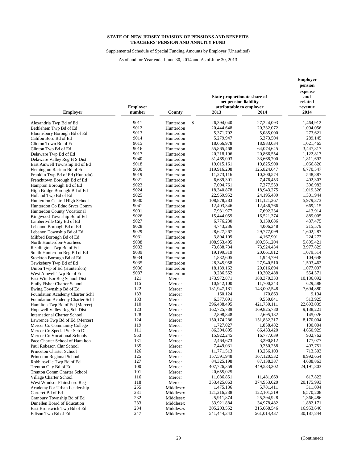Supplemental Schedule of Special Funding Amounts by Employer (Unaudited)

As of and for Year ended June 30, 2014 and As of June 30, 2013

|                                        | <b>Employer</b> |           | State proportionate share of<br>net pension liability<br>attributable to emplover | pension<br>expense<br>and<br>related<br>revenue |                          |
|----------------------------------------|-----------------|-----------|-----------------------------------------------------------------------------------|-------------------------------------------------|--------------------------|
| <b>Employer</b>                        | number          | County    | 2013                                                                              | 2014                                            | 2014                     |
| Alexandria Twp Bd of Ed                | 9011            | Hunterdon | \$<br>26,394,040                                                                  | 27,224,093                                      | 1,464,912                |
| Bethlehem Twp Bd of Ed                 | 9012            | Hunterdon | 20,444,648                                                                        | 20,332,072                                      | 1,094,056                |
| Bloomsbury Borough Bd of Ed            | 9013            | Hunterdon | 5,371,792                                                                         | 5,085,000                                       | 273,621                  |
| Califon Boro Bd of Ed                  | 9014            | Hunterdon | 5,279,947                                                                         | 5,373,504                                       | 289,145                  |
| Clinton Town Bd of Ed                  | 9015            | Hunterdon | 18,666,978                                                                        | 18,983,034                                      | 1,021,465                |
| Clinton Twp Bd of Ed                   | 9016            | Hunterdon | 55,865,468                                                                        | 64,074,645                                      | 3,447,817                |
| Delaware Twp Bd of Ed                  | 9017            | Hunterdon | 20,218,196                                                                        | 20,866,554                                      | 1,122,817                |
| Delaware Valley Reg H S Dist           | 9040            | Hunterdon | 31,465,093                                                                        | 33,668,700                                      | 1,811,692                |
| East Amwell Township Bd of Ed          | 9018            | Hunterdon | 19,015,161                                                                        | 19,825,900                                      | 1,066,820                |
| Flemington Raritan Bd of Ed            | 9000            | Hunterdon | 119,916,208                                                                       | 125,824,647                                     | 6,770,547                |
| Franklin Twp Bd of Ed (Huntrdn)        | 9019            | Hunterdon | 11,273,116                                                                        | 10,200,574                                      | 548,887                  |
| Frenchtown Borough Bd of Ed            | 9021            | Hunterdon | 6,689,301                                                                         | 7,476,453                                       | 402,303                  |
| Hampton Borough Bd of Ed               | 9023            | Hunterdon | 7,094,761                                                                         | 7,377,559                                       | 396,982                  |
| High Bridge Borough Bd of Ed           | 9024            | Hunterdon | 18,340,878                                                                        | 18,943,275                                      | 1,019,326                |
| Holland Twp Bd of Ed                   | 9025            | Hunterdon | 22,969,952                                                                        | 24, 195, 489                                    | 1,301,944                |
| Hunterdon Central High School          | 9030            | Hunterdon | 108,878,283                                                                       | 111, 121, 367                                   | 5,979,373                |
| Hunterdon Co Educ Srvcs Comm           | 9041            | Hunterdon | 12,403,346                                                                        | 12,436,766                                      | 669,215                  |
| Hunterdon County Vocational            | 9001            | Hunterdon | 7,931,977                                                                         | 7,692,234                                       | 413,914                  |
| Kingwood Township Bd of Ed             | 9026            | Hunterdon | 15,444,059                                                                        | 16,521,374                                      | 889,005                  |
| Lambertville City Bd of Ed             | 9027            | Hunterdon | 6,776,230                                                                         | 8,130,086                                       | 437,475                  |
| Lebanon Borough Bd of Ed               | 9028            | Hunterdon | 4,743,236                                                                         | 4,006,348                                       | 215,579                  |
| Lebanon Township Bd of Ed              | 9029            | Hunterdon | 28,627,267                                                                        | 29,777,099                                      | 1,602,287                |
| Milford Borough Bd of Ed               | 9031            | Hunterdon | 3,804,109                                                                         | 4,167,901                                       | 224,272                  |
| North Hunterdon-Voorhees               | 9038            | Hunterdon | 108,963,495                                                                       | 109,561,204                                     | 5,895,421                |
| Readington Twp Bd of Ed                | 9033            | Hunterdon | 73,638,734                                                                        | 73,924,434                                      | 3,977,829                |
| South Hunterdon Reg Bd of Ed           | 9039            | Hunterdon | 19,199,319                                                                        | 20,061,812                                      | 1,079,514                |
| Stockton Borough Bd of Ed              | 9034            | Hunterdon | 1,832,605                                                                         | 1,944,794                                       | 104,648                  |
| Tewksbury Twp Bd of Ed                 | 9035            | Hunterdon | 28, 345, 958                                                                      | 27,940,510                                      | 1,503,462                |
| Union Twp of Ed (Hunterdon)            | 9036            | Hunterdon | 18,139,162                                                                        | 20,016,894                                      | 1,077,097                |
| West Amwell Twp Bd of Ed               | 9037            | Hunterdon | 9,286,552                                                                         | 10,302,488                                      | 554,371                  |
| East Windsor Reg School Dist           | 121             | Mercer    | 173,972,871                                                                       | 188,370,333                                     | 10,136,092               |
| <b>Emily Fisher Charter School</b>     | 115             | Mercer    | 10,942,100                                                                        | 11,700,343                                      | 629,588                  |
| Ewing Township Bd of Ed                | 122             | Mercer    | 131,947,181                                                                       | 143,002,548                                     | 7,694,880                |
| <b>Foundation Academy Charter Schl</b> | 133             | Mercer    | 160,124                                                                           | 170,863                                         | 9,194                    |
| <b>Foundation Academy Charter Schl</b> | 133             | Mercer    | 6,377,091                                                                         | 9,550,841                                       | 513,925                  |
| Hamilton Twp Bd of Ed (Mercer)         | 110             | Mercer    | 396,438,495                                                                       | 421,730,111                                     | 22,693,039               |
| Hopewell Valley Reg Sch Dist           | 123             | Mercer    | 162,725,739                                                                       | 169,825,780                                     | 9,138,221                |
| <b>International Charter School</b>    | 128             | Mercer    | 2,898,848                                                                         | 2,695,182                                       | 145,026                  |
| Lawrence Twp Bd of Ed (Mercer)         | 124             | Mercer    | 150, 174, 286                                                                     | 151,832,317                                     | 8,170,004                |
| Mercer Co Community College            | 119             | Mercer    | 1,727,027                                                                         | 1,858,482                                       | 100,004                  |
| Mercer Co Special Ser Sch Dist         | 111             | Mercer    | 86,304,895                                                                        | 86,433,420                                      | 4,650,929                |
| Mercer Co Vocational Schools           | 953             | Mercer    | 15,922,245                                                                        | 16,777,039                                      | 902,762                  |
| Pace Charter School of Hamilton        | 131             | Mercer    | 2,464,673                                                                         | 3,290,812                                       | 177,077                  |
| Paul Robeson Chtr School               | 135             | Mercer    | 7,449,031                                                                         | 9,250,258                                       | 497,751                  |
| Princeton Charter School               | 126             | Mercer    | 11,771,513                                                                        | 13,256,103                                      | 713,303                  |
| Princeton Regional School              | 125             | Mercer    | 157,591,948<br>84,325,198                                                         | 167,120,532                                     | 8,992,654                |
| Robbinsville Twp Bd of Ed              | 127             | Mercer    |                                                                                   | 87,138,387                                      | 4,688,863                |
| Trenton City Bd of Ed                  | 100             | Mercer    | 407,726,359                                                                       | 449,583,302                                     | 24,191,803               |
| <b>Trenton Comm Charter School</b>     | 101             | Mercer    | 20,655,025                                                                        |                                                 |                          |
| Village Charter School                 | 116             | Mercer    | 11,086,851                                                                        | 11,481,669                                      | 617,822                  |
| West Windsor Plainsboro Reg            | 118             | Mercer    | 353,425,063                                                                       | 374,953,020                                     | 20,175,993               |
| Academy For Urban Leadership           | 255             | Middlesex | 1,475,136                                                                         | 5,781,411                                       | 311,094                  |
| Carteret Bd of Ed                      | 231             | Middlesex | 121,216,238                                                                       | 122, 101, 519                                   | 6,570,208                |
| Cranbury Township Bd of Ed             | 232             | Middlesex | 25,911,874                                                                        | 25,394,928                                      | 1,366,486                |
| Dunellen Board of Education            | 233             | Middlesex | 33,921,884                                                                        | 34,978,482                                      | 1,882,171                |
| East Brunswick Twp Bd of Ed            | 234<br>247      | Middlesex | 305, 203, 552<br>541,444,343                                                      | 315,068,546                                     | 16,953,646<br>30,187,844 |
| Edison Twp Bd of Ed                    |                 | Middlesex |                                                                                   | 561,014,437                                     |                          |

**Employer**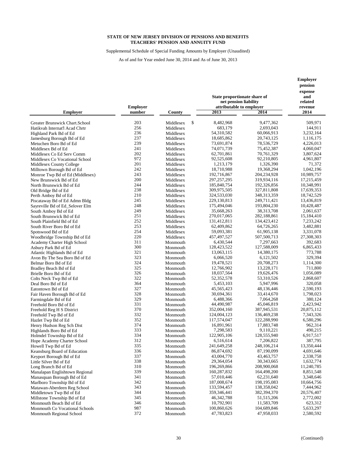Supplemental Schedule of Special Funding Amounts by Employer (Unaudited)

|                                                           |                           |                        | State proportionate share of<br>net pension liability | Employer<br>pension<br>expense<br>and<br>related |                          |
|-----------------------------------------------------------|---------------------------|------------------------|-------------------------------------------------------|--------------------------------------------------|--------------------------|
| <b>Employer</b>                                           | <b>Employer</b><br>number | County                 | attributable to employer<br>2013                      | 2014                                             | revenue<br>2014          |
| Greater Brunswick Chart.School                            | 203                       | \$<br>Middlesex        | 8,482,968                                             | 9,477,362                                        | 509,971                  |
| Hatikvah Internat'l Acad Chrtr                            | 256                       | Middlesex              | 683,179                                               | 2,693,043                                        | 144,911                  |
| Highland Park Bd of Ed                                    | 236                       | Middlesex              | 54,310,582                                            | 60,066,913                                       | 3,232,164                |
| Jamesburg Borough Bd of Ed                                | 237                       | Middlesex              | 18,685,862                                            | 20,743,125                                       | 1,116,175                |
| Metuchen Boro Bd of Ed                                    | 239                       | Middlesex              | 73,691,874                                            | 78,536,729                                       | 4,226,013                |
| Middlesex Bd of Ed                                        | 241                       | Middlesex              | 74,071,739                                            | 75,452,387                                       | 4,060,047                |
| Middlesex Co Ed Serv Comm                                 | 202                       | Middlesex              | 62,701,861                                            | 70,761,329                                       | 3,807,624                |
| Middlesex Co Vocational School                            | 972                       | Middlesex              | 92,525,608                                            | 92,210,805                                       | 4,961,807                |
| Middlesex County College                                  | 201                       | Middlesex              | 1,213,179                                             | 1,326,390                                        | 71,372                   |
| Milltown Borough Bd of Ed                                 | 242<br>243                | Middlesex              | 18,710,988                                            | 19,368,294                                       | 1,042,196                |
| Monroe Twp Bd of Ed (Middlesex)<br>New Brunswick Bd of Ed | 200                       | Middlesex<br>Middlesex | 192,716,867<br>297, 257, 295                          | 204,234,928<br>319,934,116                       | 10,989,757<br>17,215,459 |
| North Brunswick Bd of Ed                                  | 244                       | Middlesex              | 185,840,754                                           | 192,326,856                                      | 10,348,991               |
| Old Bridge Bd of Ed                                       | 238                       | Middlesex              | 309,975,505                                           | 327,811,808                                      | 17,639,353               |
| Perth Amboy Bd of Ed                                      | 210                       | Middlesex              | 324,533,030                                           | 348, 313, 359                                    | 18,742,529               |
| Piscataway Bd of Ed Admn Bldg                             | 245                       | Middlesex              | 229,130,813                                           | 249,711,421                                      | 13,436,819               |
| Sayreville Bd of Ed_Selover Elm                           | 248                       | Middlesex              | 175,494,046                                           | 193,804,230                                      | 10,428,487               |
| South Amboy Bd of Ed                                      | 249                       | Middlesex              | 35,668,263                                            | 38,313,708                                       | 2,061,637                |
| South Brunswick Bd of Ed                                  | 251                       | Middlesex              | 270,017,065                                           | 282,188,861                                      | 15,184,410               |
| South Plainfield Bd of Ed                                 | 252                       | Middlesex              | 131,412,811                                           | 134,423,412                                      | 7,233,242                |
| South River Boro Bd of Ed                                 | 253                       | Middlesex              | 62,409,862                                            | 64,726,265                                       | 3,482,881                |
| Spotswood Bd of Ed                                        | 254                       | Middlesex              | 59,093,381                                            | 61,905,138                                       | 3,331,078                |
| Woodbridge Township Bd of Ed                              | 220                       | Middlesex              | 457,497,527                                           | 507,500,713                                      | 27,308,303               |
| Academy Charter High School                               | 311                       | Monmouth               | 6,430,544                                             | 7,297,663                                        | 392,683                  |
| Asbury Park Bd of Ed                                      | 300                       | Monmouth               | 128,423,522                                           | 127,588,009                                      | 6,865,433                |
| Atlantic Highlands Bd of Ed                               | 321                       | Monmouth               | 13,063,115                                            | 14,380,175                                       | 773,788                  |
| Avon By The Sea Boro Bd of Ed                             | 323<br>324                | Monmouth               | 6,066,520<br>19,478,521                               | 6,121,502<br>20,708,273                          | 329,394<br>1,114,300     |
| Belmar Boro Bd of Ed                                      | 325                       | Monmouth<br>Monmouth   | 12,766,902                                            | 13,228,171                                       | 711,800                  |
| Bradley Beach Bd of Ed<br>Brielle Boro Bd of Ed           | 326                       | Monmouth               | 18,037,564                                            | 19,626,476                                       | 1,056,089                |
| Colts Neck Twp Bd of Ed                                   | 322                       | Monmouth               | 52, 352, 578                                          | 53,310,526                                       | 2,868,607                |
| Deal Boro Bd of Ed                                        | 364                       | Monmouth               | 5,453,103                                             | 5,947,996                                        | 320,058                  |
| Eatontown Bd of Ed                                        | 327                       | Monmouth               | 45,565,423                                            | 48,136,446                                       | 2,590,193                |
| Fair Haven Borough Bd of Ed                               | 328                       | Monmouth               | 30,694,361                                            | 33,414,670                                       | 1,798,023                |
| Farmingdale Bd of Ed                                      | 329                       | Monmouth               | 6,488,366                                             | 7,064,268                                        | 380,124                  |
| Freehold Boro Bd of Ed                                    | 331                       | Monmouth               | 44,490,987                                            | 45,046,819                                       | 2,423,942                |
| Freehold Reg H S District                                 | 370                       | Monmouth               | 352,004,160                                           | 387,945,531                                      | 20,875,112               |
| Freehold Twp Bd of Ed                                     | 332                       | Monmouth               | 124,004,123                                           | 136,469,238                                      | 7,343,326                |
| Hazlet Twp Bd of Ed                                       | 352                       | Monmouth               | 117,574,047                                           | 122,288,990                                      | 6,580,296                |
| Henry Hudson Reg Sch Dist                                 | 374                       | Monmouth               | 16,891,961                                            | 17,883,748                                       | 962,314                  |
| Highlands Boro Bd of Ed                                   | 333<br>334                | Monmouth               | 7,298,583<br>122,905,106                              | 9,110,221                                        | 490,215                  |
| Holmdel Township Bd of Ed<br>Hope Academy Charter School  | 312                       | Monmouth<br>Monmouth   | 6,516,614                                             | 128,555,940<br>7,206,822                         | 6,917,517<br>387,795     |
| Howell Twp Bd of Ed                                       | 335                       | Monmouth               | 241,649,258                                           | 248,106,214                                      | 13,350,444               |
| Keansburg Board of Education                              | 336                       | Monmouth               | 86,874,692                                            | 87,190,099                                       | 4,691,646                |
| Keyport Borough Bd of Ed                                  | 337                       | Monmouth               | 43,004,770                                            | 43,463,757                                       | 2,338,758                |
| Little Silver Bd of Ed                                    | 338                       | Monmouth               | 29,364,054                                            | 30, 343, 665                                     | 1,632,774                |
| Long Branch Bd of Ed                                      | 310                       | Monmouth               | 196,269,866                                           | 208,900,068                                      | 11,240,785               |
| Manalapan Englishtown Regional                            | 339                       | Monmouth               | 160,287,832                                           | 164,498,200                                      | 8,851,548                |
| Manasquan Borough Bd of Ed                                | 341                       | Monmouth               | 57,010,446                                            | 62,231,640                                       | 3,348,646                |
| Marlboro Township Bd of Ed                                | 342                       | Monmouth               | 187,008,674                                           | 198, 195, 083                                    | 10,664,756               |
| Matawan-Aberdeen Reg School                               | 343                       | Monmouth               | 133,594,457                                           | 138,358,042                                      | 7,444,962                |
| Middletown Twp Bd of Ed                                   | 344                       | Monmouth               | 359,346,441                                           | 382,394,370                                      | 20,576,407               |
| Millstone Township Bd of Ed                               | 345                       | Monmouth               | 46, 342, 788                                          | 51, 515, 206                                     | 2,772,002                |
| Monmouth Beach Bd of Ed                                   | 346                       | Monmouth               | 10,792,901                                            | 11,583,709                                       | 623,312                  |
| Monmouth Co Vocational Schools                            | 987                       | Monmouth               | 100,860,626                                           | 104,689,846                                      | 5,633,297                |
| Monmouth Regional School                                  | 372                       | Monmouth               | 47,783,823                                            | 47,958,033                                       | 2,580,592                |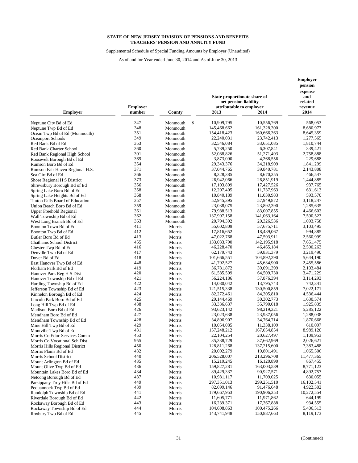Supplemental Schedule of Special Funding Amounts by Employer (Unaudited)

|                                                |                           |                  | State proportionate share of<br>net pension liability | Employer<br>pension<br>expense<br>and<br>related |                        |
|------------------------------------------------|---------------------------|------------------|-------------------------------------------------------|--------------------------------------------------|------------------------|
| <b>Employer</b>                                | <b>Employer</b><br>number | County           | attributable to employer<br>2013                      | 2014                                             | revenue<br>2014        |
| Neptune City Bd of Ed                          | 347                       | \$<br>Monmouth   | 10,909,795                                            | 10,556,769                                       | 568,053                |
| Neptune Twp Bd of Ed                           | 348                       | Monmouth         | 145,468,662                                           | 161,328,300                                      | 8,680,977              |
| Ocean Twp Bd of Ed (Monmouth)                  | 351                       | Monmouth         | 154,418,423                                           | 160,666,363                                      | 8,645,359              |
| Oceanport Schools                              | 349                       | Monmouth         | 22,240,031                                            | 23,742,413                                       | 1,277,565              |
| Red Bank Bd of Ed                              | 353                       | Monmouth         | 32,546,084                                            | 33,651,085                                       | 1,810,744              |
| Red Bank Charter School                        | 360                       | Monmouth         | 5,739,250                                             | 6,307,841                                        | 339,421                |
| Red Bank Regional High School                  | 301                       | Monmouth         | 52,088,826                                            | 51,271,493                                       | 2,758,888              |
| Roosevelt Borough Bd of Ed                     | 369                       | Monmouth         | 3,873,090                                             | 4,268,556                                        | 229,688                |
| Rumson Boro Bd of Ed                           | 354                       | Monmouth         | 29, 343, 376                                          | 34,218,909                                       | 1,841,299              |
| Rumson Fair Haven Regional H.S.                | 371                       | Monmouth         | 37,044,765                                            | 39,840,781                                       | 2,143,808              |
| Sea Girt Bd of Ed                              | 366                       | Monmouth         | 8,328,385                                             | 8,670,355                                        | 466,547                |
| Shore Regional H S District                    | 373                       | Monmouth         | 26,942,066                                            | 26,851,919                                       | 1,444,885              |
| Shrewsbury Borough Bd of Ed                    | 356                       | Monmouth         | 17,103,899                                            | 17,427,526                                       | 937,765                |
| Spring Lake Boro Bd of Ed                      | 358                       | Monmouth         | 12,207,405                                            | 11,737,963                                       | 631,613                |
| Spring Lake Heights Bd of Ed                   | 368                       | Monmouth         | 10,840,189                                            | 11,030,983                                       | 593,570                |
| Tinton Falls Board of Education                | 357                       | Monmouth         | 52,945,395                                            | 57,949,872                                       | 3,118,247              |
| Union Beach Boro Bd of Ed                      | 359                       | Monmouth         | 23,038,075                                            | 23,892,390                                       | 1,285,635              |
| <b>Upper Freehold Regional</b>                 | 361                       | Monmouth         | 79,988,513                                            | 83,007,855                                       | 4,466,602              |
| Wall Township Bd of Ed                         | 362                       | Monmouth         | 137,997,158                                           | 141,063,164                                      | 7,590,523              |
| West Long Branch Bd of Ed                      | 363                       | Monmouth         | 20,794,392                                            | 20,326,536                                       | 1,093,758              |
| Boonton Town Bd of Ed                          | 411                       | Morris           | 55,602,809                                            | 57,675,711                                       | 3,103,495              |
| Boonton Twp Bd of Ed                           | 412                       | Morris           | 17,816,652                                            | 18,489,067                                       | 994,885                |
| Butler Boro Bd of Ed                           | 413                       | Morris           | 47,022,768                                            | 47,593,911                                       | 2,560,999              |
| <b>Chathams School District</b>                | 455                       | Morris           | 133,033,790                                           | 142,195,918                                      | 7,651,475              |
| Chester Twp Bd of Ed                           | 416                       | Morris           | 46,228,470                                            | 46, 465, 184                                     | 2,500,263              |
| Denville Twp Bd of Ed                          | 417                       | Morris           | 62,179,743                                            | 59,831,379                                       | 3,219,490              |
| Dover Bd of Ed                                 | 418                       | Morris           | 101,666,551                                           | 104,892,290                                      | 5,644,190              |
| East Hanover Twp Bd of Ed                      | 448                       | Morris           | 41,792,527                                            | 45,634,900                                       | 2,455,586              |
| Florham Park Bd of Ed                          | 419                       | Morris           | 36,781,872                                            | 39,091,399                                       | 2,103,484              |
| Hanover Park Reg H S Dist                      | 420                       | Morris           | 61,585,599                                            | 64,509,730                                       | 3,471,229              |
| Hanover Township Bd of Ed                      | 421                       | Morris           | 56,224,186                                            | 57,876,394                                       | 3,114,293              |
| Harding Township Bd of Ed                      | 422<br>423                | Morris           | 14,080,042                                            | 13,795,743                                       | 742,341                |
| Jefferson Township Bd of Ed                    | 424                       | Morris           | 121,515,338<br>82,272,461                             | 130,500,859<br>84, 305, 810                      | 7,022,171<br>4,536,444 |
| Kinnelon Borough Bd of Ed                      | 425                       | Morris           | 29,144,469                                            | 30, 302, 773                                     | 1,630,574              |
| Lincoln Park Boro Bd of Ed                     | 438                       | Morris<br>Morris | 33,336,637                                            | 35,790,018                                       | 1,925,839              |
| Long Hill Twp Bd of Ed                         | 426                       | Morris           | 93,623,142                                            | 98,219,321                                       | 5,285,122              |
| Madison Boro Bd of Ed<br>Mendham Boro Bd of Ed | 427                       | Morris           | 23,023,638                                            | 23,937,056                                       | 1,288,038              |
| Mendham Township Bd of Ed                      | 428                       | Morris           | 34,896,907                                            | 34,764,714                                       | 1,870,668              |
| Mine Hill Twp Bd of Ed                         | 429                       | Morris           | 10,054,085                                            | 11,338,109                                       | 610,097                |
| Montville Twp Bd of Ed                         | 431                       | Morris           | 157,248,212                                           | 167,054,854                                      | 8,989,120              |
| Morris Co Educ Services Comm                   | 453                       | Morris           | 22, 104, 254                                          | 20,627,497                                       | 1,109,953              |
| Morris Co Vocational Sch Dist                  | 955                       | Morris           | 35,338,729                                            | 37,662,969                                       | 2,026,621              |
| Morris Hills Regional District                 | 450                       | Morris           | 128,811,268                                           | 137,215,600                                      | 7,383,488              |
| Morris Plains Bd of Ed                         | 432                       | Morris           | 20,002,279                                            | 19,801,491                                       | 1,065,506              |
| Morris School District                         | 440                       | Morris           | 206,528,007                                           | 213,296,708                                      | 11,477,365             |
| Mount Arlington Bd of Ed                       | 435                       | Morris           | 15,219,245                                            | 16,120,890                                       | 867,455                |
| Mount Olive Twp Bd of Ed                       | 436                       | Morris           | 159,827,281                                           | 163,003,589                                      | 8,771,123              |
| Mountain Lakes Boro Bd of Ed                   | 434                       | Morris           | 89,429,337                                            | 90,927,571                                       | 4,892,757              |
| Netcong Borough Bd of Ed                       | 437                       | Morris           | 10,981,117                                            | 11,709,025                                       | 630,055                |
| Parsippany Troy Hills Bd of Ed                 | 449                       | Morris           | 297,351,013                                           | 299,251,510                                      | 16,102,541             |
| Pequannock Twp Bd of Ed                        | 439                       | Morris           | 82,699,146                                            | 91,476,648                                       | 4,922,302              |
| Randolph Township Bd of Ed                     | 441                       | Morris           | 179,667,953                                           | 190,906,353                                      | 10,272,554             |
| Riverdale Borough Bd of Ed                     | 442                       | Morris           | 11,605,771                                            | 11,971,862                                       | 644,199                |
| Rockaway Borough Bd of Ed                      | 443                       | Morris           | 16,239,371                                            | 17,367,888                                       | 934,555                |
| Rockaway Township Bd of Ed                     | 444                       | Morris           | 104,608,863                                           | 100,475,266                                      | 5,406,513              |
| Roxbury Twp Bd of Ed                           | 445                       | Morris           | 143,741,948                                           | 150,887,663                                      | 8,119,173              |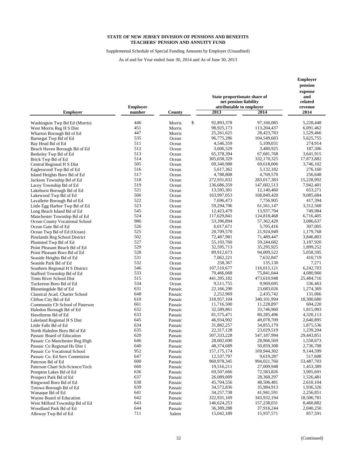Supplemental Schedule of Special Funding Amounts by Employer (Unaudited)

|                                                      |                           |                    | State proportionate share of<br>net pension liability |                          | Employer<br>pension<br>expense<br>and<br>related |
|------------------------------------------------------|---------------------------|--------------------|-------------------------------------------------------|--------------------------|--------------------------------------------------|
| <b>Employer</b>                                      | <b>Employer</b><br>number | County             | attributable to employer<br>2013                      | 2014                     | revenue<br>2014                                  |
|                                                      |                           |                    |                                                       |                          |                                                  |
| Washington Twp Bd Ed (Morris)                        | 446                       | Morris             | \$<br>92,893,378                                      | 97,166,085               | 5,228,448                                        |
| West Morris Reg H S Dist                             | 451                       | Morris             | 98,925,173                                            | 113,204,437              | 6,091,462                                        |
| Wharton Borough Bd of Ed                             | 447                       | Morris             | 25, 261, 625                                          | 28,423,783               | 1,529,466                                        |
| Barnegat Twp Bd of Ed                                | 535                       | Ocean              | 96,775,286                                            | 104,549,683              | 5,625,755                                        |
| Bay Head Bd of Ed                                    | 511<br>512                | Ocean              | 4,546,359                                             | 5,109,031                | 274,914                                          |
| Beach Haven Borough Bd of Ed                         | 513                       | Ocean              | 3,606,529                                             | 3,480,925                | 187,306                                          |
| Berkeley Twp Bd of Ed                                | 514                       | Ocean              | 65,378,394                                            | 67,681,768               | 3,641,915<br>17,873,882                          |
| Brick Twp Bd of Ed                                   | 505                       | Ocean              | 305,658,329                                           | 332,170,325              |                                                  |
| Central Regional H S Dist                            | 516                       | Ocean              | 69,340,988<br>5,617,362                               | 69,618,006<br>5,132,182  | 3,746,102<br>276,160                             |
| Eagleswood Twp Bd of Ed                              | 517                       | Ocean              | 4,788,808                                             | 4,769,570                | 256,648                                          |
| Island Heights Boro Bd of Ed                         | 518                       | Ocean<br>Ocean     | 272,931,832                                           | 283,017,383              | 15,228,992                                       |
| Jackson Township Bd of Ed<br>Lacey Township Bd of Ed | 519                       | Ocean              | 136,686,359                                           | 147,602,513              | 7,942,401                                        |
| Lakehurst Borough Bd of Ed                           | 521                       | Ocean              | 13,595,301                                            | 12,140,460               | 653,271                                          |
| Lakewood Twp Bd of Ed                                | 500                       | Ocean              | 163,997,053                                           | 168,849,420              | 9,085,684                                        |
| Lavallette Borough Bd of Ed                          | 522                       | Ocean              | 7,696,473                                             | 7,756,905                | 417,394                                          |
| Little Egg Harbor Twp Bd of Ed                       | 523                       | Ocean              | 59,294,706                                            | 61,561,147               | 3,312,568                                        |
| Long Beach Island Bd of Ed                           | 545                       | Ocean              | 12,423,479                                            | 13,937,794               | 749,984                                          |
| Manchester Township Bd of Ed                         | 524                       | Ocean              | 117,629,841                                           | 124,818,468              | 6,716,405                                        |
| Ocean County Vocational School                       | 986                       | Ocean              | 53,396,894                                            | 57,362,420               | 3,086,637                                        |
| Ocean Gate Bd of Ed                                  | 526                       | Ocean              | 6,017,671                                             | 5,705,416                | 307,005                                          |
| Ocean Twp Bd of Ed (Ocean)                           | 525                       | Ocean              | 20,709,570                                            | 21,924,949               | 1,179,768                                        |
| Pinelands Reg School District                        | 502                       | Ocean              | 72,487,981                                            | 71,489,447               | 3,846,803                                        |
| Plumsted Twp Bd of Ed                                | 527                       | Ocean              | 55,193,760                                            | 59,244,682               | 3,187,920                                        |
| Point Pleasant Beach Bd of Ed                        | 529                       | Ocean              | 32,595,713                                            | 35,295,925               | 1,899,252                                        |
| Point Pleasant Boro Bd of Ed                         | 528                       | Ocean              | 89,912,673                                            | 94,009,522               | 5,058,595                                        |
| Seaside Heights Bd of Ed                             | 531                       | Ocean              | 7,062,221                                             | 7,632,847                | 410,719                                          |
| Seaside Park Bd of Ed                                | 532                       | Ocean              | 258,367                                               | 135,130                  | 7,271                                            |
| Southern Regional H S District                       | 546                       | Ocean              | 107,510,677                                           | 116,015,121              | 6,242,703                                        |
| Stafford Township Bd of Ed                           | 533                       | Ocean              | 70,466,068                                            | 75,841,044               | 4,080,960                                        |
| Toms River School Dist                               | 515                       | Ocean              | 441,395,182                                           | 473,610,948              | 25,484,716                                       |
| Tuckerton Boro Bd of Ed                              | 534                       | Ocean              | 9,511,755                                             | 9,969,695                | 536,463                                          |
| Bloomingdale Bd of Ed                                | 631                       | Passaic            | 22,166,290                                            | 23,683,026               | 1,274,369                                        |
| Classical Acad. Charter School                       | 648                       | Passaic            | 2,252,969                                             | 2,435,742                | 131,066                                          |
| Clifton City Bd of Ed                                | 610                       | Passaic            | 318,957,104                                           | 340, 101, 994            | 18,300,680                                       |
| Community Ch School of Paterson                      | 661                       | Passaic            | 11,716,500                                            | 11,228,897               | 604,220                                          |
| Haledon Borough Bd of Ed                             | 632                       | Passaic            | 32,589,861                                            | 33,746,960               | 1,815,903                                        |
| Hawthorne Bd of Ed                                   | 633                       | Passaic            | 81,575,471                                            | 80,285,496               | 4,320,113                                        |
| Lakeland Regional H S Dist                           | 645                       | Passaic            | 46,934,902                                            | 49,078,709               | 2,640,895                                        |
| Little Falls Bd of Ed                                | 634                       | Passaic            | 31,882,257                                            | 34,855,179               | 1,875,536                                        |
| North Haledon Boro Bd of Ed                          | 635                       | Passaic            | 22,317,128                                            | 23,029,519               | 1,239,204                                        |
| Passaic Board of Education                           | 620                       | Passaic            | 507, 333, 228                                         | 547,187,994              | 29,443,851                                       |
| Passaic Co Manchester Reg High                       | 646                       | Passaic            | 28,002,690                                            | 28,966,569               | 1,558,673                                        |
| Passaic Co Regional Hs Dist 1                        | 640                       | Passaic            | 48,374,689                                            | 50,859,308               | 2,736,708                                        |
| Passaic Co Vocational School                         | 952                       | Passaic            | 157, 175, 174                                         | 169,944,302              | 9,144,599                                        |
| Passaic Co. Ed Serv Commision                        | 647<br>600                | Passaic            | 12,537,797<br>960,978,345                             | 9,619,287<br>994,021,760 | 517,608<br>53,487,703                            |
| Paterson Bd of Ed                                    | 660                       | Passaic            | 19,516,211                                            | 27,009,948               | 1,453,389                                        |
| Paterson Chart Sch-Science/Tech                      | 636                       | Passaic            | 69,507,666                                            | 72,583,826               | 3,905,691                                        |
| Pompton Lakes Bd of Ed<br>Prospect Park Bd of Ed     | 637                       | Passaic<br>Passaic | 26,089,009                                            | 28,368,297               | 1,526,481                                        |
|                                                      | 638                       |                    | 45,704,556                                            | 48,506,481               | 2,610,104                                        |
| Ringwood Boro Bd of Ed<br>Totowa Borough Bd of Ed    | 639                       | Passaic<br>Passaic | 34,572,836                                            | 35,984,913               | 1,936,326                                        |
| Wanaque Bd of Ed                                     | 641                       | Passaic            | 34,257,738                                            | 41,941,591               | 2,256,851                                        |
| Wayne Board of Education                             | 642                       | Passaic            | 322,931,169                                           | 343,932,194              | 18,506,781                                       |
| West Milford Township Bd of Ed                       | 643                       | Passaic            | 146, 624, 253                                         | 157,238,031              | 8,460,882                                        |
| Woodland Park Bd of Ed                               | 644                       | Passaic            | 36,389,288                                            | 37,916,244               | 2,040,250                                        |
| Alloway Twp Bd of Ed                                 | 711                       | Salem              | 15,042,189                                            | 15,937,571               | 857,591                                          |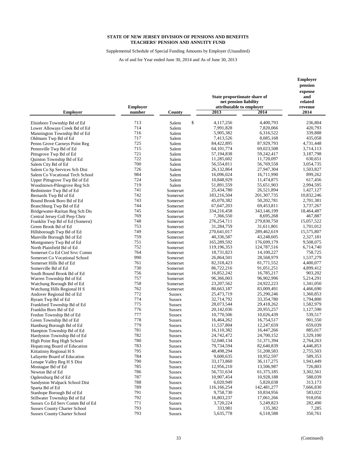Supplemental Schedule of Special Funding Amounts by Employer (Unaudited)

As of and for Year ended June 30, 2014 and As of June 30, 2013

|                                     | <b>Employer</b> |               | State proportionate share of<br>net pension liability<br>attributable to employer | pension<br>expense<br>and<br>related<br>revenue |            |
|-------------------------------------|-----------------|---------------|-----------------------------------------------------------------------------------|-------------------------------------------------|------------|
| <b>Employer</b>                     | number          | County        | 2013                                                                              | 2014                                            | 2014       |
| Elsinboro Township Bd of Ed         | 713             | Salem         | \$<br>4,117,256                                                                   | 4,400,793                                       | 236,804    |
| Lower Alloways Creek Bd of Ed       | 714             | Salem         | 7,991,828                                                                         | 7,820,066                                       | 420,793    |
| Mannington Township Bd of Ed        | 716             | Salem         | 5,905,382                                                                         | 6,316,522                                       | 339,888    |
| Oldmans Twp Bd of Ed                | 717             | Salem         | 7,413,526                                                                         | 8,085,168                                       | 435,058    |
| Penns Grove Carneys Point Reg       | 725             | Salem         | 84,422,895                                                                        | 87,929,793                                      | 4,731,448  |
| Pennsville Twp Bd of Ed             | 715             | Salem         | 64, 101, 774                                                                      | 69,023,508                                      | 3,714,113  |
| Pittsgrove Twp Bd of Ed             | 721             | Salem         | 57,194,838                                                                        | 59,242,417                                      | 3,187,798  |
| Quinton Township Bd of Ed           | 722             | Salem         | 11,285,602                                                                        | 11,720,097                                      | 630,651    |
| Salem City Bd of Ed                 | 700             | Salem         | 56,554,811                                                                        | 56,769,558                                      | 3,054,735  |
| Salem Co Sp Services Sch Dist       | 726             | Salem         | 26,132,864                                                                        | 27,947,304                                      | 1,503,827  |
| Salem Co Vocational Tech School     | 984             | Salem         | 16,096,024                                                                        | 16,711,990                                      | 899,262    |
| Upper Pittsgrove Twp Bd of Ed       | 724             | Salem         | 10,848,929                                                                        | 11,474,875                                      | 617,456    |
| Woodstown-Pilesgrove Reg Sch        | 719             | Salem         | 51,891,559                                                                        | 55,651,903                                      | 2,994,595  |
| Bedminster Twp Bd of Ed             | 741             | Somerset      | 25,434,780                                                                        | 26,521,894                                      | 1,427,127  |
| Bernards Twp Bd of Ed               | 742             | Somerset      | 183,216,504                                                                       | 201, 307, 735                                   | 10,832,246 |
| Bound Brook Boro Bd of Ed           | 743             | Somerset      | 45,070,382                                                                        | 50, 202, 781                                    | 2,701,381  |
| Branchburg Twp Bd of Ed             | 744             | Somerset      | 67,647,203                                                                        | 69,453,811                                      | 3,737,267  |
| Bridgewater-Raritan Reg Sch Dis     | 745             | Somerset      | 334,216,458                                                                       | 343,146,199                                     | 18,464,487 |
| Central Jersey Coll Prep Chrtr      | 769             | Somerset      | 7,366,550                                                                         | 8,695,268                                       | 467,887    |
| Franklin Twp Bd of Ed (Somerst)     | 748             | Somerset      | 276, 254, 711                                                                     | 279,830,750                                     | 15,057,522 |
| Green Brook Bd of Ed                | 753             | Somerset      | 31,284,759                                                                        | 31,611,801                                      | 1,701,012  |
| Hillsborough Twp Bd of Ed           | 749             | Somerset      | 270,641,017                                                                       | 289,462,619                                     | 15,575,807 |
| Manville Borough Bd of Ed           | 759             | Somerset      | 40,336,587                                                                        | 43,248,605                                      | 2,327,181  |
| Montgomery Twp Bd of Ed             | 751             | Somerset      | 165,289,592                                                                       | 176,699,179                                     | 9,508,075  |
| North Plainfield Bd of Ed           | 752             | Somerset      | 119,196,353                                                                       | 124,787,516                                     | 6,714,740  |
| Somerset Co Ed Ctnl Srvc Comm       | 764             | Somerset      | 18,731,823                                                                        | 14,100,227                                      | 758,725    |
| Somerset Co Vocational School       | 990             | Somerset      | 26,864,501                                                                        | 28,568,979                                      | 1,537,279  |
| Somerset Hills Bd of Ed             | 761             | Somerset      | 82,318,423                                                                        | 81,771,552                                      | 4,400,077  |
| Somerville Bd of Ed                 | 730             | Somerset      | 86,722,216                                                                        | 91,051,251                                      | 4,899,412  |
| South Bound Brook Bd of Ed          | 756             | Somerset      | 16,852,242                                                                        | 16,785,217                                      | 903,202    |
| Warren Township Bd of Ed            | 757             | Somerset      | 96,366,003                                                                        | 96,902,996                                      | 5,214,291  |
| Watchung Borough Bd of Ed           | 758             | Somerset      | 23, 207, 562                                                                      | 24,922,223                                      | 1,341,050  |
| Watchung Hills Regional H S         | 762             | Somerset      | 80,663,187                                                                        | 83,009,491                                      | 4,466,690  |
| Andover Regional Bd of Ed           | 772             | <b>Sussex</b> | 25,473,719                                                                        | 25,290,246                                      | 1,360,853  |
| Byram Twp Bd of Ed                  | 774             | <b>Sussex</b> | 32,714,792                                                                        | 33,354,780                                      | 1,794,800  |
| Frankford Township Bd of Ed         | 775             | <b>Sussex</b> | 28,073,544                                                                        | 29,418,262                                      | 1,582,979  |
| Franklin Boro Bd of Ed              | 776             | <b>Sussex</b> | 20,142,036                                                                        | 20,955,257                                      | 1,127,590  |
| Fredon Township Bd of Ed            | 777             | <b>Sussex</b> | 10,770,506                                                                        | 10,026,439                                      | 539,517    |
| Green Township Bd of Ed             | 778             | <b>Sussex</b> | 16,464,262                                                                        | 16,754,517                                      | 901,550    |
| Hamburg Borough Bd of Ed            | 779             | <b>Sussex</b> | 11,537,804                                                                        | 12,247,659                                      | 659,039    |
| Hampton Township Bd of Ed           | 781             | <b>Sussex</b> | 16,110,382                                                                        | 16,447,266                                      | 885,017    |
| Hardyston Township Bd of Ed         | 782             | <b>Sussex</b> | 24,742,472                                                                        | 24,700,152                                      | 1,329,100  |
| High Point Reg High School          | 780             | <b>Sussex</b> | 52,040,134                                                                        | 51,371,394                                      | 2,764,263  |
| Hopatcong Board of Education        | 783             | Sussex        | 79,734,594                                                                        | 82,640,839                                      | 4,446,853  |
| Kittatinny Regional H S             | 795             | Sussex        | 48,498,294                                                                        | 51,208,583                                      | 2,755,503  |
| Lafayette Board of Education        | 784             | Sussex        | 9,600,635                                                                         | 10,952,597                                      | 589,353    |
| Lenape Valley Reg H S Dist          | 790             | <b>Sussex</b> | 33,173,860                                                                        | 36,117,275                                      | 1,943,449  |
| Montague Bd of Ed                   | 785             | <b>Sussex</b> | 12,956,210                                                                        | 13,506,987                                      | 726,803    |
| Newton Bd of Ed                     | 786             | <b>Sussex</b> | 56,731,634                                                                        | 61,375,185                                      | 3,302,561  |
| Ogdensburg Bd of Ed                 | 787             | Sussex        | 10,907,454                                                                        | 10,928,188                                      | 588,039    |
| Sandyston Walpack School Dist       | 788             | <b>Sussex</b> | 6,020,949                                                                         | 5,820,038                                       | 313,173    |
| Sparta Bd of Ed                     | 789             | Sussex        | 116,166,254                                                                       | 142,481,277                                     | 7,666,830  |
| Stanhope Borough Bd of Ed           | 791             | <b>Sussex</b> | 9,758,730                                                                         | 10,834,956                                      | 583,022    |
| Stillwater Township Bd of Ed        | 792             | Sussex        | 16,803,237                                                                        | 17,061,266                                      | 918,056    |
| Sussex Co Ed Serv Comm Bd of Ed     | 771             | <b>Sussex</b> | 3,720,224                                                                         | 5,249,823                                       | 282,490    |
| <b>Sussex County Charter School</b> | 793             | Sussex        | 333,981                                                                           | 135,382                                         | 7,285      |
| <b>Sussex County Charter School</b> | 793             | <b>Sussex</b> | 5,635,778                                                                         | 6,518,588                                       | 350,761    |

**Employer**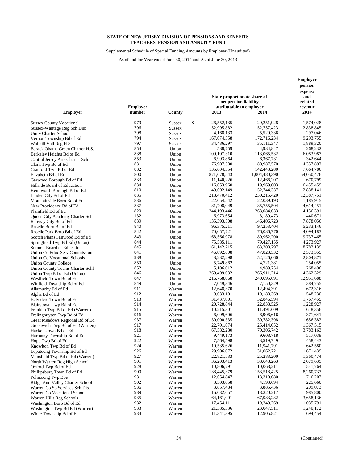Supplemental Schedule of Special Funding Amounts by Employer (Unaudited)

|                                                                 |                           |                                | State proportionate share of<br>net pension liability |                           | Employer<br>pension<br>expense<br>and<br>related |
|-----------------------------------------------------------------|---------------------------|--------------------------------|-------------------------------------------------------|---------------------------|--------------------------------------------------|
| <b>Employer</b>                                                 | <b>Employer</b><br>number | County                         | attributable to employer<br>2013                      | 2014                      | revenue<br>2014                                  |
|                                                                 | 979                       |                                | \$<br>26,552,135                                      | 29,251,928                | 1,574,028                                        |
| <b>Sussex County Vocational</b><br>Sussex-Wantage Reg Sch Dist  | 796                       | <b>Sussex</b><br><b>Sussex</b> | 52,995,882                                            | 52,757,423                | 2,838,845                                        |
| Unity Charter School                                            | 798                       | <b>Sussex</b>                  | 4,168,133                                             | 5,520,336                 | 297,046                                          |
| Vernon Township Bd of Ed                                        | 794                       | <b>Sussex</b>                  | 167, 674, 358                                         | 172,716,234               | 9,293,755                                        |
| Wallkill Vall Reg H S                                           | 797                       | <b>Sussex</b>                  | 34,486,297                                            | 35,111,347                | 1,889,320                                        |
| Barack Obama Green Charter H.S.                                 | 854                       | Union                          | 588,759                                               | 4,984,847                 | 268,232                                          |
| Berkeley Heights Bd of Ed                                       | 838                       | Union                          | 109, 107, 310                                         | 113,065,532               | 6,083,987                                        |
| Central Jersey Arts Charter Sch                                 | 853                       | Union                          | 6,993,864                                             | 6,367,731                 | 342,644                                          |
| Clark Twp Bd of Ed                                              | 831                       | Union                          | 76,907,380                                            | 80,987,570                | 4,357,892                                        |
| Cranford Twp Bd of Ed                                           | 832                       | Union                          | 135,604,354                                           | 142,443,280               | 7,664,786                                        |
| Elizabeth Bd of Ed                                              | 800                       | Union                          | 871,678,543                                           | 1,004,480,390             | 54,050,476                                       |
| Garwood Borough Bd of Ed                                        | 833                       | Union                          | 11,140,226                                            | 12,466,207                | 670,799                                          |
| Hillside Board of Education                                     | 834                       | Union                          | 116,653,960                                           | 119,969,003               | 6,455,459                                        |
| Kenilworth Borough Bd of Ed                                     | 810                       | Union                          | 49,602,149                                            | 52,744,337                | 2,838,141                                        |
| Linden City Bd of Ed                                            | 835                       | Union                          | 218,470,412                                           | 230, 215, 420             | 12,387,751                                       |
| Mountainside Boro Bd of Ed                                      | 836                       | Union                          | 22,654,542                                            | 22,039,193                | 1,185,915                                        |
| New Providence Bd of Ed                                         | 837                       | Union                          | 81,708,049                                            | 85,755,504                | 4,614,451                                        |
| Plainfield Bd of Ed                                             | 820                       | Union                          | 244,193,446                                           | 263,084,033               | 14,156,391                                       |
| Queen City Academy Charter Sch                                  | 132                       | Union                          | 6,973,654                                             | 8,189,473                 | 440,671                                          |
| Rahway City Bd of Ed                                            | 839                       | Union                          | 135,393,508                                           | 146,406,723               | 7,878,056                                        |
| Roselle Boro Bd of Ed                                           | 840                       | Union                          | 96,375,211                                            | 97,253,404                | 5,233,146                                        |
| Roselle Park Boro Bd of Ed                                      | 842                       | Union                          | 70,057,721                                            | 76,086,770                | 4,094,183                                        |
| Scotch Plains Fanwood Bd of Ed                                  | 843<br>844                | Union                          | 168,566,978<br>75,585,111                             | 180,962,200<br>79,427,155 | 9,737,465<br>4,273,927                           |
| Springfield Twp Bd Ed (Union)                                   | 845                       | Union<br>Union                 | 161, 142, 215                                         | 163,208,297               | 8,782,139                                        |
| Summit Board of Education<br>Union Co Educ Serv Commission      | 841                       | Union                          | 46,892,608                                            | 47,823,532                | 2,573,355                                        |
| <b>Union Co Vocational Schools</b>                              | 988                       | Union                          | 48,282,298                                            | 52,126,060                | 2,804,871                                        |
| <b>Union County College</b>                                     | 850                       | Union                          | 5,749,862                                             | 4,721,381                 | 254,055                                          |
| Union County Teams Charter Schl                                 | 852                       | Union                          | 5,106,012                                             | 4,989,754                 | 268,496                                          |
| Union Twp Bd of Ed (Union)                                      | 846                       | Union                          | 269,409,032                                           | 266,911,214               | 14,362,329                                       |
| Westfield Town Bd of Ed                                         | 847                       | Union                          | 216,768,668                                           | 240,695,691               | 12,951,688                                       |
| Winfield Township Bd of Ed                                      | 849                       | Union                          | 7,049,346                                             | 7,150,329                 | 384,755                                          |
| Allamuchy Bd of Ed                                              | 911                       | Warren                         | 12,648,370                                            | 12,494,391                | 672,316                                          |
| Alpha Bd of Ed                                                  | 912                       | Warren                         | 9,033,101                                             | 10,188,369                | 548,230                                          |
| Belvidere Town Bd of Ed                                         | 913                       | Warren                         | 31,437,001                                            | 32,846,594                | 1,767,455                                        |
| Blairstown Twp Bd of Ed                                         | 914                       | Warren                         | 20,728,844                                            | 22,838,525                | 1,228,927                                        |
| Franklin Twp Bd of Ed (Warren)                                  | 915                       | Warren                         | 10,215,301                                            | 11,491,609                | 618,356                                          |
| Frelinghuysen Twp Bd of Ed                                      | 916                       | Warren                         | 6,099,606                                             | 6,906,616                 | 371,641                                          |
| Great Meadows Regional Bd of Ed                                 | 937                       | Warren                         | 30,000,335                                            | 30,782,398                | 1,656,382                                        |
| Greenwich Twp Bd of Ed (Warren)                                 | 917                       | Warren                         | 22,701,674                                            | 25,414,052                | 1,367,515                                        |
| Hackettstown Bd of Ed                                           | 918                       | Warren                         | 67,582,280                                            | 70,306,742                | 3,783,163                                        |
| Harmony Township Bd of Ed                                       | 921                       | Warren                         | 9,449,173                                             | 9,608,718                 | 517,039                                          |
| Hope Twp Bd of Ed                                               | 922<br>924                | Warren                         | 7,564,598                                             | 8,519,749                 | 458,443                                          |
| Knowlton Twp Bd of Ed                                           | 926                       | Warren                         | 10,535,626<br>29,906,072                              | 11,941,791<br>31,062,221  | 642,580<br>1,671,439                             |
| Lopatcong Township Bd of Ed                                     | 927                       | Warren                         | 22,821,533                                            | 25,283,200                | 1,360,474                                        |
| Mansfield Twp Bd of Ed (Warren)<br>North Warren Reg High School | 901                       | Warren<br>Warren               | 36,203,413                                            | 38,648,263                | 2,079,639                                        |
| Oxford Twp Bd of Ed                                             | 928                       | Warren                         | 10,806,791                                            | 10,068,211                | 541,764                                          |
| Phillipsburg Town Bd of Ed                                      | 900                       | Warren                         | 138,445,379                                           | 153,518,425               | 8,260,733                                        |
| Pohatcong Twp Boe                                               | 931                       | Warren                         | 12,654,847                                            | 13,310,080                | 716,207                                          |
| Ridge And Valley Charter School                                 | 902                       | Warren                         | 3,503,058                                             | 4,193,694                 | 225,660                                          |
| Warren Co Sp Services Sch Dist                                  | 936                       | Warren                         | 3,857,484                                             | 3,885,436                 | 209,073                                          |
| Warren Co Vocational School                                     | 989                       | Warren                         | 16,632,657                                            | 18,320,217                | 985,800                                          |
| Warren Hills Reg Schools                                        | 935                       | Warren                         | 64,161,001                                            | 67,983,232                | 3,658,136                                        |
| Washington Boro Bd of Ed                                        | 932                       | Warren                         | 17,454,111                                            | 19,249,269                | 1,035,791                                        |
| Washington Twp Bd Ed (Warren)                                   | 933                       | Warren                         | 21,385,336                                            | 23,047,511                | 1,240,172                                        |
| White Township Bd of Ed                                         | 934                       | Warren                         | 11,341,395                                            | 12,905,821                | 694,454                                          |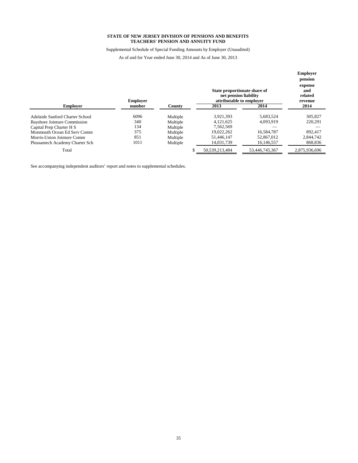Supplemental Schedule of Special Funding Amounts by Employer (Unaudited)

As of and for Year ended June 30, 2014 and As of June 30, 2013

|                                     | <b>Employer</b> |          | State proportionate share of<br>net pension liability<br>attributable to employer |                | <b>Employer</b><br>pension<br>expense<br>and<br>related<br>revenue |
|-------------------------------------|-----------------|----------|-----------------------------------------------------------------------------------|----------------|--------------------------------------------------------------------|
| <b>Employer</b>                     | number          | County   | 2013                                                                              | 2014           | 2014                                                               |
| Adelaide Sanford Charter School     | 6096            | Multiple | 3,921,393                                                                         | 5,683,524      | 305,827                                                            |
| <b>Bayshore Jointure Commission</b> | 340             | Multiple | 4.121.625                                                                         | 4.093.919      | 220,291                                                            |
| Capital Prep Charter H S            | 134             | Multiple | 7.562.569                                                                         |                |                                                                    |
| Monmouth Ocean Ed Serv Comm         | 375             | Multiple | 19.022.262                                                                        | 16,584,787     | 892,417                                                            |
| Morris-Union Jointure Comm          | 851             | Multiple | 51.446.147                                                                        | 52,867,012     | 2.844.742                                                          |
| Pleasantech Academy Charter Sch     | 1011            | Multiple | 14,031,739                                                                        | 16,146,557     | 868,836                                                            |
| Total                               |                 |          | 50,539,213,484                                                                    | 53,446,745,367 | 2,875,936,696                                                      |

See accompanying independent auditors' report and notes to supplemental schedules.